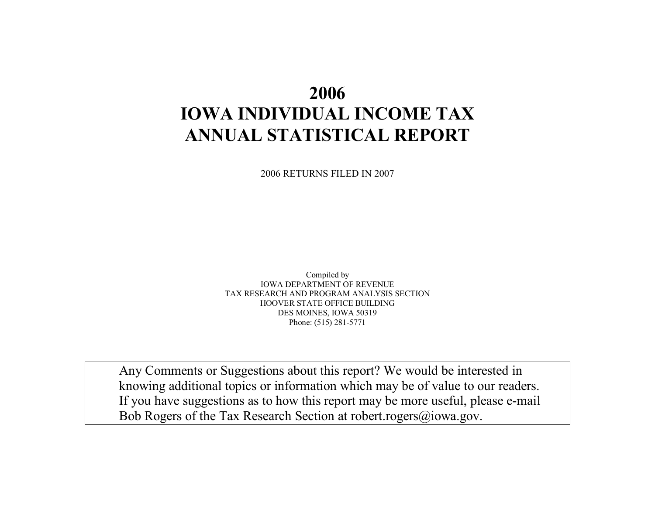# **2006 IOWA INDIVIDUAL INCOME TAXANNUAL STATISTICAL REPORT**

2006 RETURNS FILED IN 2007

Compiled by IOWA DEPARTMENT OF REVENUE TAX RESEARCH AND PROGRAM ANALYSIS SECTION HOOVER STATE OFFICE BUILDING DES MOINES, IOWA 50319 Phone: (515) 281-5771

Any Comments or Suggestions about this report? We would be interested in knowing additional topics or information which may be of value to our readers. If you have suggestions as to how this report may be more useful, please e-mail Bob Rogers of the Tax Research Section at robert.rogers@iowa.gov.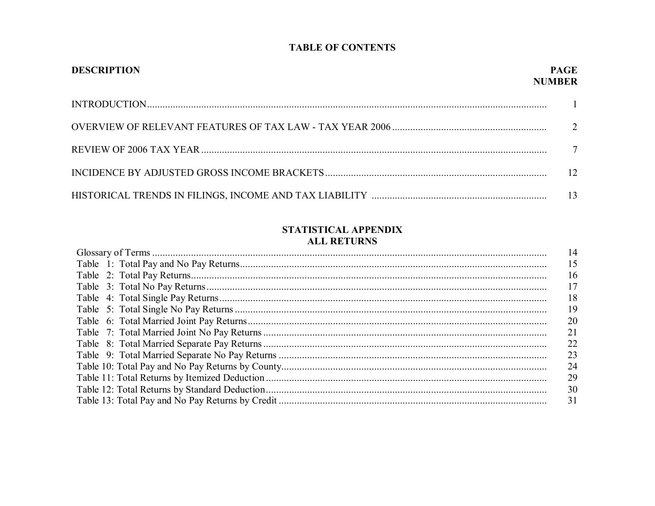#### **TABLE OF CONTENTS**

| <b>DESCRIPTION</b> | <b>PAGE</b><br><b>NUMBER</b> |
|--------------------|------------------------------|
|                    |                              |
|                    |                              |
|                    | $\tau$                       |
|                    | $\overline{12}$              |
|                    |                              |

#### STATISTICAL APPENDIX **ALL RETURNS**

| AUU NEI UNNO |           |
|--------------|-----------|
|              | 14        |
|              | 15        |
|              | 16        |
|              | 17        |
|              | 18        |
|              | 19        |
|              | <b>20</b> |
|              | 21        |
|              | 22        |
|              | 23        |
|              | 24        |
|              | 29        |
|              | 30        |
|              | 31        |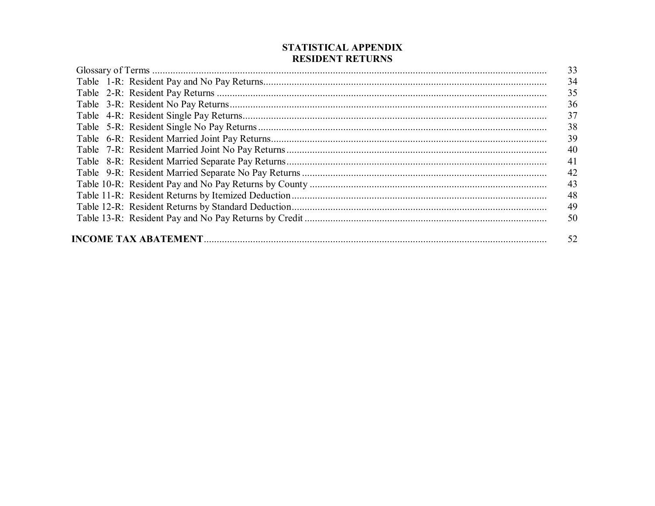| 33 |
|----|
| 34 |
| 35 |
| 36 |
| 37 |
| 38 |
| 39 |
| 40 |
| 41 |
| 42 |
| 43 |
| 48 |
| 49 |
| 50 |
|    |

#### STATISTICAL APPENDIX **RESIDENT RETURNS**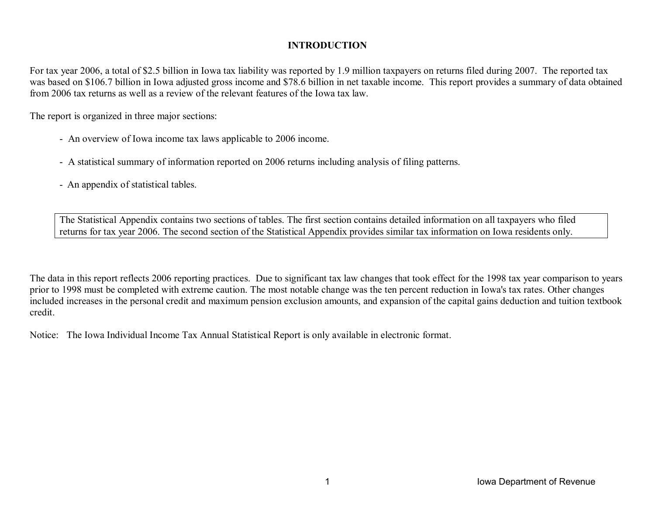#### **INTRODUCTION**

For tax year 2006, a total of \$2.5 billion in Iowa tax liability was reported by 1.9 million taxpayers on returns filed during 2007. The reported tax was based on \$106.7 billion in Iowa adjusted gross income and \$78.6 billion in net taxable income. This report provides a summary of data obtained from 2006 tax returns as well as a review of the relevant features of the Iowa tax law.

The report is organized in three major sections:

- An overview of Iowa income tax laws applicable to 2006 income.
- A statistical summary of information reported on 2006 returns including analysis of filing patterns.
- An appendix of statistical tables.

The Statistical Appendix contains two sections of tables. The first section contains detailed information on all taxpayers who filed returns for tax year 2006. The second section of the Statistical Appendix provides similar tax information on Iowa residents only.

The data in this report reflects 2006 reporting practices. Due to significant tax law changes that took effect for the 1998 tax year comparison to years prior to 1998 must be completed with extreme caution. The most notable change was the ten percent reduction in Iowa's tax rates. Other changes included increases in the personal credit and maximum pension exclusion amounts, and expansion of the capital gains deduction and tuition textbook credit.

Notice: The Iowa Individual Income Tax Annual Statistical Report is only available in electronic format.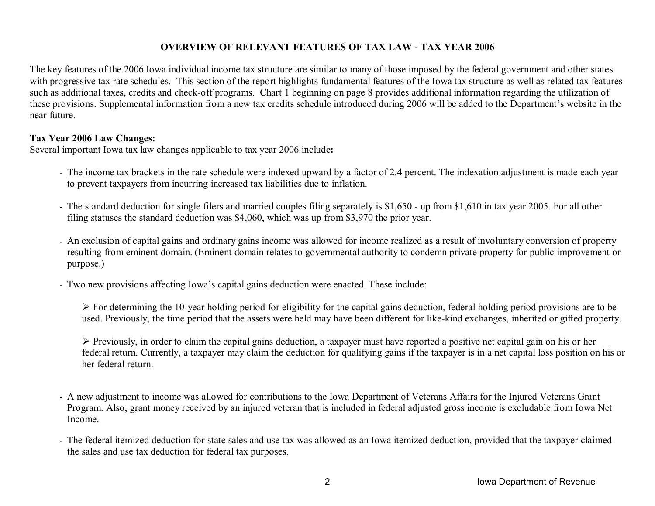#### **OVERVIEW OF RELEVANT FEATURES OF TAX LAW - TAX YEAR 2006**

The key features of the 2006 Iowa individual income tax structure are similar to many of those imposed by the federal government and other states with progressive tax rate schedules. This section of the report highlights fundamental features of the Iowa tax structure as well as related tax features such as additional taxes, credits and check-off programs. Chart 1 beginning on page 8 provides additional information regarding the utilization of these provisions. Supplemental information from a new tax credits schedule introduced during 2006 will be added to the Department's website in the near future.

#### **Tax Year 2006 Law Changes:**

Several important Iowa tax law changes applicable to tax year 2006 include**:** 

- The income tax brackets in the rate schedule were indexed upward by a factor of 2.4 percent. The indexation adjustment is made each year to prevent taxpayers from incurring increased tax liabilities due to inflation.
- The standard deduction for single filers and married couples filing separately is \$1,650 up from \$1,610 in tax year 2005. For all other filing statuses the standard deduction was \$4,060, which was up from \$3,970 the prior year.
- An exclusion of capital gains and ordinary gains income was allowed for income realized as a result of involuntary conversion of property resulting from eminent domain. (Eminent domain relates to governmental authority to condemn private property for public improvement or purpose.)
- Two new provisions affecting Iowa's capital gains deduction were enacted. These include:

 $\triangleright$  For determining the 10-year holding period for eligibility for the capital gains deduction, federal holding period provisions are to be used. Previously, the time period that the assets were held may have been different for like-kind exchanges, inherited or gifted property.

¾ Previously, in order to claim the capital gains deduction, a taxpayer must have reported a positive net capital gain on his or her federal return. Currently, a taxpayer may claim the deduction for qualifying gains if the taxpayer is in a net capital loss position on his or her federal return.

- A new adjustment to income was allowed for contributions to the Iowa Department of Veterans Affairs for the Injured Veterans Grant Program. Also, grant money received by an injured veteran that is included in federal adjusted gross income is excludable from Iowa Net Income.
- The federal itemized deduction for state sales and use tax was allowed as an Iowa itemized deduction, provided that the taxpayer claimed the sales and use tax deduction for federal tax purposes.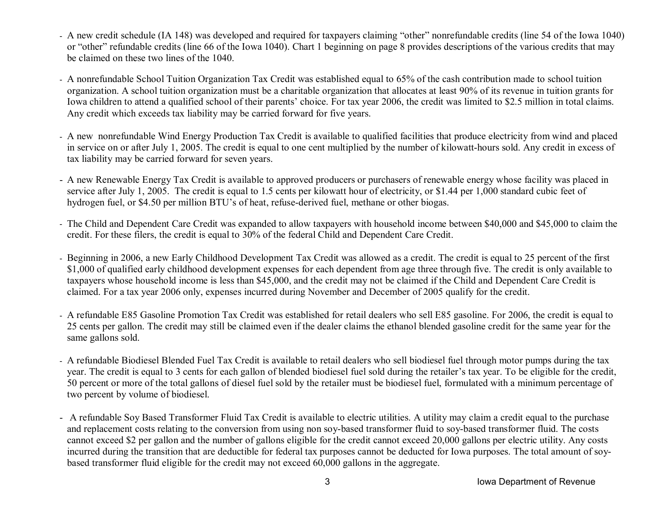- A new credit schedule (IA 148) was developed and required for taxpayers claiming "other" nonrefundable credits (line 54 of the Iowa 1040) or "other" refundable credits (line 66 of the Iowa 1040). Chart 1 beginning on page 8 provides descriptions of the various credits that may be claimed on these two lines of the 1040.
- A nonrefundable School Tuition Organization Tax Credit was established equal to 65% of the cash contribution made to school tuition organization. A school tuition organization must be a charitable organization that allocates at least 90% of its revenue in tuition grants for Iowa children to attend a qualified school of their parents' choice. For tax year 2006, the credit was limited to \$2.5 million in total claims. Any credit which exceeds tax liability may be carried forward for five years.
- A new nonrefundable Wind Energy Production Tax Credit is available to qualified facilities that produce electricity from wind and placed in service on or after July 1, 2005. The credit is equal to one cent multiplied by the number of kilowatt-hours sold. Any credit in excess of tax liability may be carried forward for seven years.
- A new Renewable Energy Tax Credit is available to approved producers or purchasers of renewable energy whose facility was placed in service after July 1, 2005. The credit is equal to 1.5 cents per kilowatt hour of electricity, or \$1.44 per 1,000 standard cubic feet of hydrogen fuel, or \$4.50 per million BTU's of heat, refuse-derived fuel, methane or other biogas.
- The Child and Dependent Care Credit was expanded to allow taxpayers with household income between \$40,000 and \$45,000 to claim the credit. For these filers, the credit is equal to 30% of the federal Child and Dependent Care Credit.
- Beginning in 2006, a new Early Childhood Development Tax Credit was allowed as a credit. The credit is equal to 25 percent of the first \$1,000 of qualified early childhood development expenses for each dependent from age three through five. The credit is only available to taxpayers whose household income is less than \$45,000, and the credit may not be claimed if the Child and Dependent Care Credit is claimed. For a tax year 2006 only, expenses incurred during November and December of 2005 qualify for the credit.
- A refundable E85 Gasoline Promotion Tax Credit was established for retail dealers who sell E85 gasoline. For 2006, the credit is equal to 25 cents per gallon. The credit may still be claimed even if the dealer claims the ethanol blended gasoline credit for the same year for the same gallons sold.
- A refundable Biodiesel Blended Fuel Tax Credit is available to retail dealers who sell biodiesel fuel through motor pumps during the tax year. The credit is equal to 3 cents for each gallon of blended biodiesel fuel sold during the retailer's tax year. To be eligible for the credit, 50 percent or more of the total gallons of diesel fuel sold by the retailer must be biodiesel fuel, formulated with a minimum percentage of two percent by volume of biodiesel.
- A refundable Soy Based Transformer Fluid Tax Credit is available to electric utilities. A utility may claim a credit equal to the purchase and replacement costs relating to the conversion from using non soy-based transformer fluid to soy-based transformer fluid. The costs cannot exceed \$2 per gallon and the number of gallons eligible for the credit cannot exceed 20,000 gallons per electric utility. Any costs incurred during the transition that are deductible for federal tax purposes cannot be deducted for Iowa purposes. The total amount of soybased transformer fluid eligible for the credit may not exceed 60,000 gallons in the aggregate.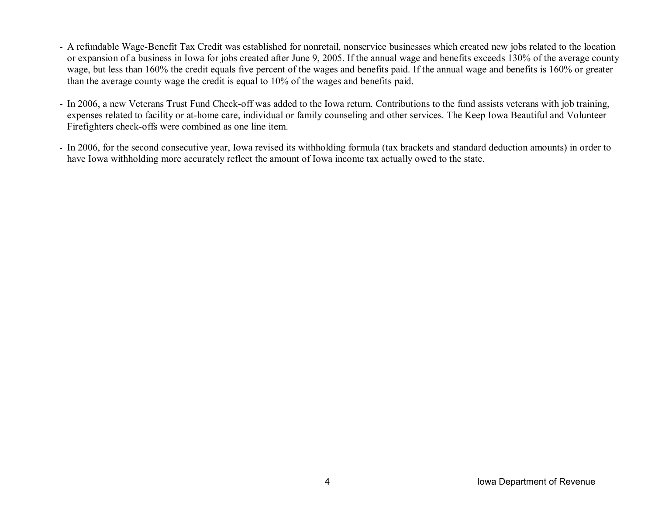- A refundable Wage-Benefit Tax Credit was established for nonretail, nonservice businesses which created new jobs related to the location or expansion of a business in Iowa for jobs created after June 9, 2005. If the annual wage and benefits exceeds 130% of the average county wage, but less than 160% the credit equals five percent of the wages and benefits paid. If the annual wage and benefits is 160% or greater than the average county wage the credit is equal to 10% of the wages and benefits paid.
- In 2006, a new Veterans Trust Fund Check-off was added to the Iowa return. Contributions to the fund assists veterans with job training, expenses related to facility or at-home care, individual or family counseling and other services. The Keep Iowa Beautiful and Volunteer Firefighters check-offs were combined as one line item.
- In 2006, for the second consecutive year, Iowa revised its withholding formula (tax brackets and standard deduction amounts) in order to have Iowa withholding more accurately reflect the amount of Iowa income tax actually owed to the state.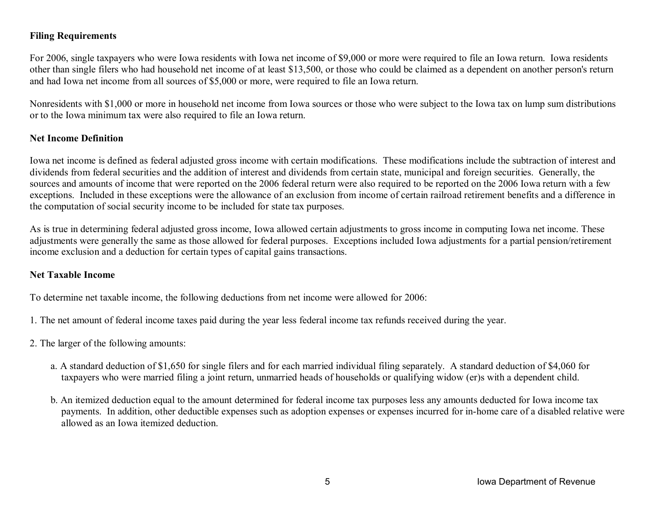#### **Filing Requirements**

For 2006, single taxpayers who were Iowa residents with Iowa net income of \$9,000 or more were required to file an Iowa return. Iowa residents other than single filers who had household net income of at least \$13,500, or those who could be claimed as a dependent on another person's return and had Iowa net income from all sources of \$5,000 or more, were required to file an Iowa return.

Nonresidents with \$1,000 or more in household net income from Iowa sources or those who were subject to the Iowa tax on lump sum distributions or to the Iowa minimum tax were also required to file an Iowa return.

#### **Net Income Definition**

Iowa net income is defined as federal adjusted gross income with certain modifications. These modifications include the subtraction of interest and dividends from federal securities and the addition of interest and dividends from certain state, municipal and foreign securities. Generally, the sources and amounts of income that were reported on the 2006 federal return were also required to be reported on the 2006 Iowa return with a few exceptions. Included in these exceptions were the allowance of an exclusion from income of certain railroad retirement benefits and a difference in the computation of social security income to be included for state tax purposes.

As is true in determining federal adjusted gross income, Iowa allowed certain adjustments to gross income in computing Iowa net income. These adjustments were generally the same as those allowed for federal purposes. Exceptions included Iowa adjustments for a partial pension/retirement income exclusion and a deduction for certain types of capital gains transactions.

#### **Net Taxable Income**

To determine net taxable income, the following deductions from net income were allowed for 2006:

- 1. The net amount of federal income taxes paid during the year less federal income tax refunds received during the year.
- 2. The larger of the following amounts:
	- a. A standard deduction of \$1,650 for single filers and for each married individual filing separately. A standard deduction of \$4,060 for taxpayers who were married filing a joint return, unmarried heads of households or qualifying widow (er)s with a dependent child.
	- b. An itemized deduction equal to the amount determined for federal income tax purposes less any amounts deducted for Iowa income tax payments. In addition, other deductible expenses such as adoption expenses or expenses incurred for in-home care of a disabled relative were allowed as an Iowa itemized deduction.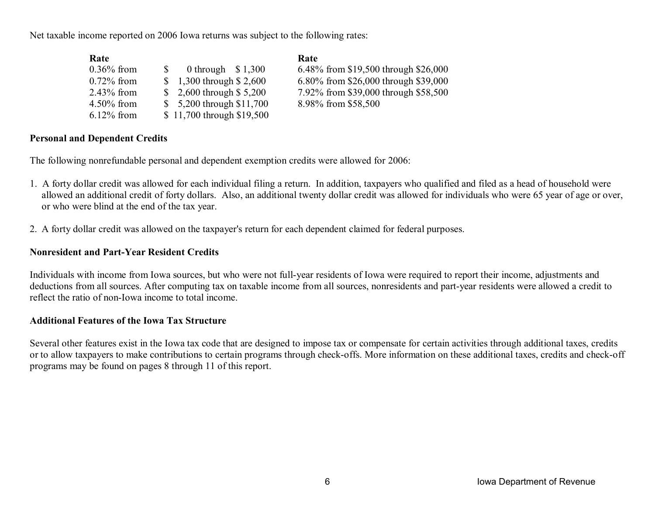Net taxable income reported on 2006 Iowa returns was subject to the following rates:

| Rate          |                            | Rate                                 |
|---------------|----------------------------|--------------------------------------|
| $0.36\%$ from | 0 through $$1,300$         | 6.48% from \$19,500 through \$26,000 |
| $0.72\%$ from | $$1,300$ through $$2,600$  | 6.80% from \$26,000 through \$39,000 |
| $2.43\%$ from | $$2,600$ through $$5,200$  | 7.92% from \$39,000 through \$58,500 |
| $4.50\%$ from | $$5,200$ through $$11,700$ | 8.98% from \$58,500                  |
| $6.12\%$ from | \$11,700 through \$19,500  |                                      |

#### **Personal and Dependent Credits**

The following nonrefundable personal and dependent exemption credits were allowed for 2006:

- 1. A forty dollar credit was allowed for each individual filing a return. In addition, taxpayers who qualified and filed as a head of household were allowed an additional credit of forty dollars. Also, an additional twenty dollar credit was allowed for individuals who were 65 year of age or over, or who were blind at the end of the tax year.
- 2. A forty dollar credit was allowed on the taxpayer's return for each dependent claimed for federal purposes.

#### **Nonresident and Part-Year Resident Credits**

Individuals with income from Iowa sources, but who were not full-year residents of Iowa were required to report their income, adjustments and deductions from all sources. After computing tax on taxable income from all sources, nonresidents and part-year residents were allowed a credit to reflect the ratio of non-Iowa income to total income.

#### **Additional Features of the Iowa Tax Structure**

Several other features exist in the Iowa tax code that are designed to impose tax or compensate for certain activities through additional taxes, credits or to allow taxpayers to make contributions to certain programs through check-offs. More information on these additional taxes, credits and check-off programs may be found on pages 8 through 11 of this report.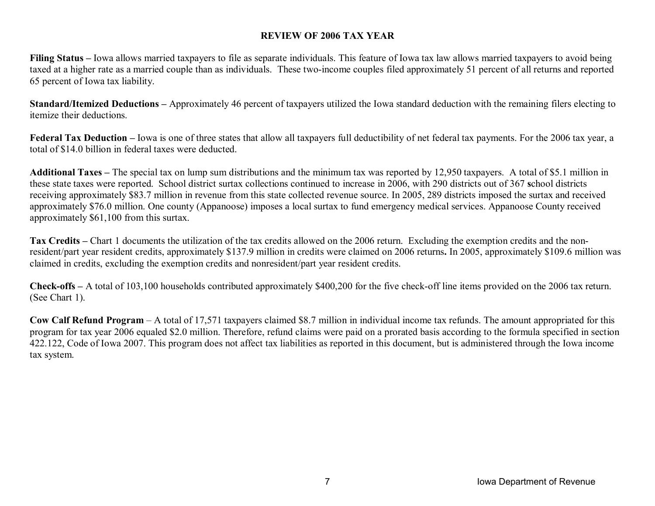#### **REVIEW OF 2006 TAX YEAR**

**Filing Status** – Iowa allows married taxpayers to file as separate individuals. This feature of Iowa tax law allows married taxpayers to avoid being taxed at a higher rate as a married couple than as individuals. These two-income couples filed approximately 51 percent of all returns and reported 65 percent of Iowa tax liability.

**Standard/Itemized Deductions –** Approximately 46 percent of taxpayers utilized the Iowa standard deduction with the remaining filers electing to itemize their deductions.

Federal Tax Deduction – Iowa is one of three states that allow all taxpayers full deductibility of net federal tax payments. For the 2006 tax year, a total of \$14.0 billion in federal taxes were deducted.

**Additional Taxes –** The special tax on lump sum distributions and the minimum tax was reported by 12,950 taxpayers. A total of \$5.1 million in these state taxes were reported. School district surtax collections continued to increase in 2006, with 290 districts out of 367 **s**chool districts receiving approximately \$83.7 million in revenue from this state collected revenue source. In 2005, 289 districts imposed the surtax and received approximately \$76.0 million. One county (Appanoose) imposes a local surtax to fund emergency medical services. Appanoose County received approximately \$61,100 from this surtax.

Tax Credits – Chart 1 documents the utilization of the tax credits allowed on the 2006 return. Excluding the exemption credits and the nonresident/part year resident credits, approximately \$137.9 million in credits were claimed on 2006 returns**.** In 2005, approximately \$109.6 million was claimed in credits, excluding the exemption credits and nonresident/part year resident credits.

**Check-offs –** A total of 103,100 households contributed approximately \$400,200 for the five check-off line items provided on the 2006 tax return. (See Chart 1).

**Cow Calf Refund Program** – A total of 17,571 taxpayers claimed \$8.7 million in individual income tax refunds. The amount appropriated for this program for tax year 2006 equaled \$2.0 million. Therefore, refund claims were paid on a prorated basis according to the formula specified in section 422.122, Code of Iowa 2007. This program does not affect tax liabilities as reported in this document, but is administered through the Iowa income tax system.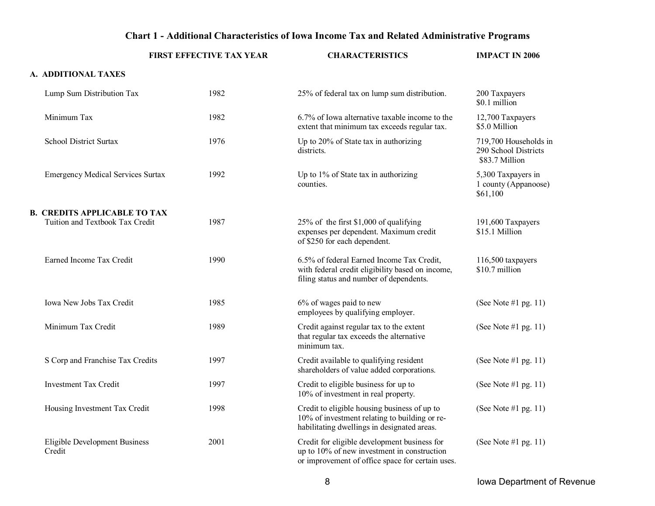#### **Chart 1 - Additional Characteristics of Iowa Income Tax and Related Administrative Programs**

|                                                | <b>FIRST EFFECTIVE TAX YEAR</b> | <b>CHARACTERISTICS</b>                                                                                                                          | <b>IMPACT IN 2006</b>                                           |
|------------------------------------------------|---------------------------------|-------------------------------------------------------------------------------------------------------------------------------------------------|-----------------------------------------------------------------|
| A. ADDITIONAL TAXES                            |                                 |                                                                                                                                                 |                                                                 |
| Lump Sum Distribution Tax                      | 1982                            | 25% of federal tax on lump sum distribution.                                                                                                    | 200 Taxpayers<br>\$0.1 million                                  |
| Minimum Tax                                    | 1982                            | 6.7% of Iowa alternative taxable income to the<br>extent that minimum tax exceeds regular tax.                                                  | 12,700 Taxpayers<br>\$5.0 Million                               |
| School District Surtax                         | 1976                            | Up to 20% of State tax in authorizing<br>districts.                                                                                             | 719,700 Households in<br>290 School Districts<br>\$83.7 Million |
| <b>Emergency Medical Services Surtax</b>       | 1992                            | Up to 1% of State tax in authorizing<br>counties.                                                                                               | 5,300 Taxpayers in<br>1 county (Appanoose)<br>\$61,100          |
| <b>B. CREDITS APPLICABLE TO TAX</b>            |                                 |                                                                                                                                                 |                                                                 |
| Tuition and Textbook Tax Credit                | 1987                            | 25% of the first \$1,000 of qualifying<br>expenses per dependent. Maximum credit<br>of \$250 for each dependent.                                | 191,600 Taxpayers<br>\$15.1 Million                             |
| Earned Income Tax Credit                       | 1990                            | 6.5% of federal Earned Income Tax Credit,<br>with federal credit eligibility based on income,<br>filing status and number of dependents.        | 116,500 taxpayers<br>$$10.7$ million                            |
| Iowa New Jobs Tax Credit                       | 1985                            | 6% of wages paid to new<br>employees by qualifying employer.                                                                                    | (See Note #1 pg. 11)                                            |
| Minimum Tax Credit                             | 1989                            | Credit against regular tax to the extent<br>that regular tax exceeds the alternative<br>minimum tax.                                            | (See Note #1 pg. 11)                                            |
| S Corp and Franchise Tax Credits               | 1997                            | Credit available to qualifying resident<br>shareholders of value added corporations.                                                            | (See Note #1 pg. 11)                                            |
| <b>Investment Tax Credit</b>                   | 1997                            | Credit to eligible business for up to<br>10% of investment in real property.                                                                    | (See Note #1 pg. $11$ )                                         |
| Housing Investment Tax Credit                  | 1998                            | Credit to eligible housing business of up to<br>10% of investment relating to building or re-<br>habilitating dwellings in designated areas.    | (See Note #1 pg. 11)                                            |
| <b>Eligible Development Business</b><br>Credit | 2001                            | Credit for eligible development business for<br>up to 10% of new investment in construction<br>or improvement of office space for certain uses. | (See Note #1 pg. 11)                                            |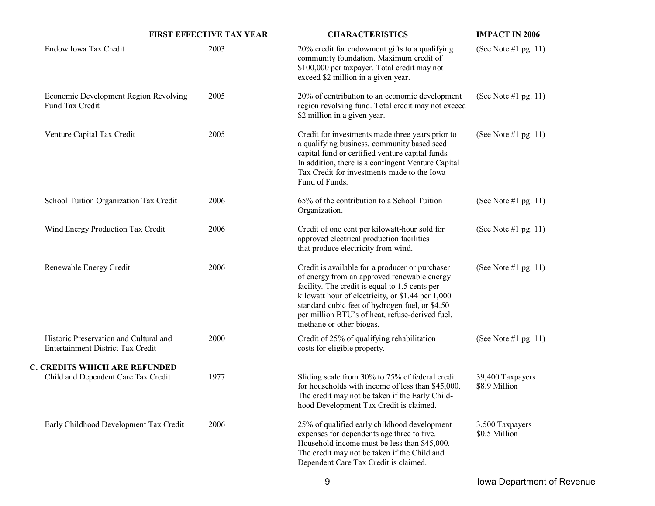| <b>FIRST EFFECTIVE TAX YEAR</b>                                             |      | <b>CHARACTERISTICS</b>                                                                                                                                                                                                                                                                                                                  | <b>IMPACT IN 2006</b>             |  |
|-----------------------------------------------------------------------------|------|-----------------------------------------------------------------------------------------------------------------------------------------------------------------------------------------------------------------------------------------------------------------------------------------------------------------------------------------|-----------------------------------|--|
| Endow Iowa Tax Credit                                                       | 2003 | 20% credit for endowment gifts to a qualifying<br>community foundation. Maximum credit of<br>\$100,000 per taxpayer. Total credit may not<br>exceed \$2 million in a given year.                                                                                                                                                        | (See Note #1 pg. 11)              |  |
| Economic Development Region Revolving<br>Fund Tax Credit                    | 2005 | 20% of contribution to an economic development<br>region revolving fund. Total credit may not exceed<br>\$2 million in a given year.                                                                                                                                                                                                    | (See Note #1 pg. 11)              |  |
| Venture Capital Tax Credit                                                  | 2005 | Credit for investments made three years prior to<br>a qualifying business, community based seed<br>capital fund or certified venture capital funds.<br>In addition, there is a contingent Venture Capital<br>Tax Credit for investments made to the Iowa<br>Fund of Funds.                                                              | (See Note #1 pg. 11)              |  |
| School Tuition Organization Tax Credit                                      | 2006 | 65% of the contribution to a School Tuition<br>Organization.                                                                                                                                                                                                                                                                            | (See Note #1 pg. 11)              |  |
| Wind Energy Production Tax Credit                                           | 2006 | Credit of one cent per kilowatt-hour sold for<br>approved electrical production facilities<br>that produce electricity from wind.                                                                                                                                                                                                       | (See Note #1 pg. 11)              |  |
| Renewable Energy Credit                                                     | 2006 | Credit is available for a producer or purchaser<br>of energy from an approved renewable energy<br>facility. The credit is equal to 1.5 cents per<br>kilowatt hour of electricity, or \$1.44 per 1,000<br>standard cubic feet of hydrogen fuel, or \$4.50<br>per million BTU's of heat, refuse-derived fuel,<br>methane or other biogas. | (See Note #1 pg. 11)              |  |
| Historic Preservation and Cultural and<br>Entertainment District Tax Credit | 2000 | Credit of 25% of qualifying rehabilitation<br>costs for eligible property.                                                                                                                                                                                                                                                              | (See Note #1 pg. 11)              |  |
| <b>C. CREDITS WHICH ARE REFUNDED</b><br>Child and Dependent Care Tax Credit | 1977 | Sliding scale from 30% to 75% of federal credit<br>for households with income of less than \$45,000.<br>The credit may not be taken if the Early Child-<br>hood Development Tax Credit is claimed.                                                                                                                                      | 39,400 Taxpayers<br>\$8.9 Million |  |
| Early Childhood Development Tax Credit                                      | 2006 | 25% of qualified early childhood development<br>expenses for dependents age three to five.<br>Household income must be less than \$45,000.<br>The credit may not be taken if the Child and<br>Dependent Care Tax Credit is claimed.                                                                                                     | 3,500 Taxpayers<br>\$0.5 Million  |  |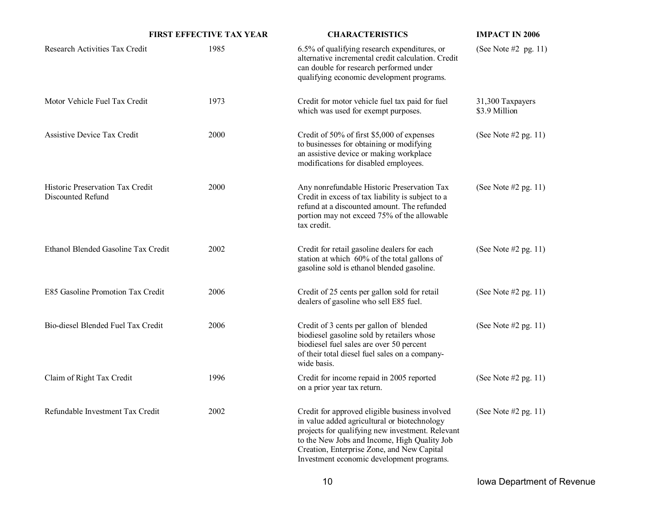|                                                       | <b>FIRST EFFECTIVE TAX YEAR</b> | <b>CHARACTERISTICS</b>                                                                                                                                                                                                                                                                        | <b>IMPACT IN 2006</b>             |
|-------------------------------------------------------|---------------------------------|-----------------------------------------------------------------------------------------------------------------------------------------------------------------------------------------------------------------------------------------------------------------------------------------------|-----------------------------------|
| Research Activities Tax Credit                        | 1985                            | 6.5% of qualifying research expenditures, or<br>alternative incremental credit calculation. Credit<br>can double for research performed under<br>qualifying economic development programs.                                                                                                    | (See Note $#2$ pg. 11)            |
| Motor Vehicle Fuel Tax Credit                         | 1973                            | Credit for motor vehicle fuel tax paid for fuel<br>which was used for exempt purposes.                                                                                                                                                                                                        | 31,300 Taxpayers<br>\$3.9 Million |
| Assistive Device Tax Credit                           | 2000                            | Credit of 50% of first \$5,000 of expenses<br>to businesses for obtaining or modifying<br>an assistive device or making workplace<br>modifications for disabled employees.                                                                                                                    | (See Note $#2$ pg. 11)            |
| Historic Preservation Tax Credit<br>Discounted Refund | 2000                            | Any nonrefundable Historic Preservation Tax<br>Credit in excess of tax liability is subject to a<br>refund at a discounted amount. The refunded<br>portion may not exceed 75% of the allowable<br>tax credit.                                                                                 | (See Note $#2$ pg. 11)            |
| Ethanol Blended Gasoline Tax Credit                   | 2002                            | Credit for retail gasoline dealers for each<br>station at which 60% of the total gallons of<br>gasoline sold is ethanol blended gasoline.                                                                                                                                                     | (See Note $#2$ pg. 11)            |
| E85 Gasoline Promotion Tax Credit                     | 2006                            | Credit of 25 cents per gallon sold for retail<br>dealers of gasoline who sell E85 fuel.                                                                                                                                                                                                       | (See Note $#2$ pg. 11)            |
| Bio-diesel Blended Fuel Tax Credit                    | 2006                            | Credit of 3 cents per gallon of blended<br>biodiesel gasoline sold by retailers whose<br>biodiesel fuel sales are over 50 percent<br>of their total diesel fuel sales on a company-<br>wide basis.                                                                                            | (See Note $#2$ pg. 11)            |
| Claim of Right Tax Credit                             | 1996                            | Credit for income repaid in 2005 reported<br>on a prior year tax return.                                                                                                                                                                                                                      | (See Note $#2$ pg. 11)            |
| Refundable Investment Tax Credit                      | 2002                            | Credit for approved eligible business involved<br>in value added agricultural or biotechnology<br>projects for qualifying new investment. Relevant<br>to the New Jobs and Income, High Quality Job<br>Creation, Enterprise Zone, and New Capital<br>Investment economic development programs. | (See Note $#2$ pg. 11)            |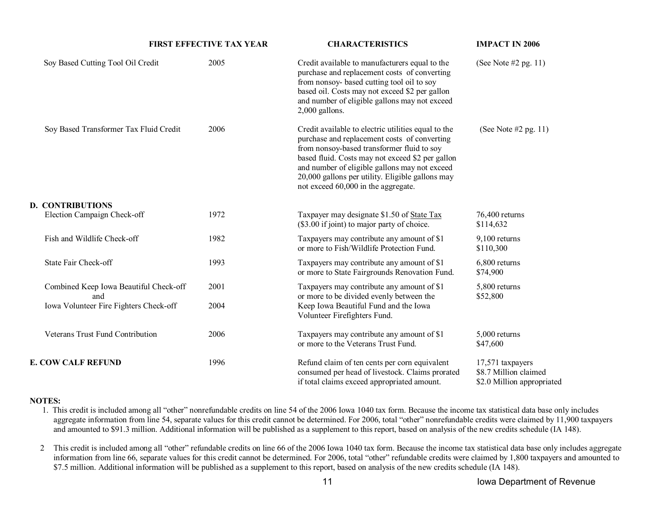| <b>FIRST EFFECTIVE TAX YEAR</b>               |      | <b>CHARACTERISTICS</b>                                                                                                                                                                                                                                                                                                                            |                                                                         |
|-----------------------------------------------|------|---------------------------------------------------------------------------------------------------------------------------------------------------------------------------------------------------------------------------------------------------------------------------------------------------------------------------------------------------|-------------------------------------------------------------------------|
| Soy Based Cutting Tool Oil Credit             | 2005 | Credit available to manufacturers equal to the<br>purchase and replacement costs of converting<br>from nonsoy- based cutting tool oil to soy<br>based oil. Costs may not exceed \$2 per gallon<br>and number of eligible gallons may not exceed<br>2,000 gallons.                                                                                 | (See Note $#2$ pg. 11)                                                  |
| Soy Based Transformer Tax Fluid Credit        | 2006 | Credit available to electric utilities equal to the<br>purchase and replacement costs of converting<br>from nonsoy-based transformer fluid to soy<br>based fluid. Costs may not exceed \$2 per gallon<br>and number of eligible gallons may not exceed<br>20,000 gallons per utility. Eligible gallons may<br>not exceed 60,000 in the aggregate. | (See Note $#2$ pg. 11)                                                  |
| <b>D. CONTRIBUTIONS</b>                       |      |                                                                                                                                                                                                                                                                                                                                                   |                                                                         |
| Election Campaign Check-off                   | 1972 | Taxpayer may designate \$1.50 of State Tax<br>(\$3.00 if joint) to major party of choice.                                                                                                                                                                                                                                                         | 76,400 returns<br>\$114,632                                             |
| Fish and Wildlife Check-off                   | 1982 | Taxpayers may contribute any amount of \$1<br>or more to Fish/Wildlife Protection Fund.                                                                                                                                                                                                                                                           | 9,100 returns<br>\$110,300                                              |
| State Fair Check-off                          | 1993 | Taxpayers may contribute any amount of \$1<br>or more to State Fairgrounds Renovation Fund.                                                                                                                                                                                                                                                       | 6,800 returns<br>\$74,900                                               |
| Combined Keep Iowa Beautiful Check-off<br>and | 2001 | Taxpayers may contribute any amount of \$1<br>or more to be divided evenly between the                                                                                                                                                                                                                                                            | 5,800 returns<br>\$52,800                                               |
| Iowa Volunteer Fire Fighters Check-off        | 2004 | Keep Iowa Beautiful Fund and the Iowa<br>Volunteer Firefighters Fund.                                                                                                                                                                                                                                                                             |                                                                         |
| Veterans Trust Fund Contribution              | 2006 | Taxpayers may contribute any amount of \$1<br>or more to the Veterans Trust Fund.                                                                                                                                                                                                                                                                 | 5,000 returns<br>\$47,600                                               |
| <b>E. COW CALF REFUND</b>                     | 1996 | Refund claim of ten cents per corn equivalent<br>consumed per head of livestock. Claims prorated<br>if total claims exceed appropriated amount.                                                                                                                                                                                                   | 17,571 taxpayers<br>\$8.7 Million claimed<br>\$2.0 Million appropriated |

#### **NOTES:**

- 1. This credit is included among all "other" nonrefundable credits on line 54 of the 2006 Iowa 1040 tax form. Because the income tax statistical data base only includes aggregate information from line 54, separate values for this credit cannot be determined. For 2006, total "other" nonrefundable credits were claimed by 11,900 taxpayers and amounted to \$91.3 million. Additional information will be published as a supplement to this report, based on analysis of the new credits schedule (IA 148).
- 2 This credit is included among all "other" refundable credits on line 66 of the 2006 Iowa 1040 tax form. Because the income tax statistical data base only includes aggregate information from line 66, separate values for this credit cannot be determined. For 2006, total "other" refundable credits were claimed by 1,800 taxpayers and amounted to \$7.5 million. Additional information will be published as a supplement to this report, based on analysis of the new credits schedule (IA 148).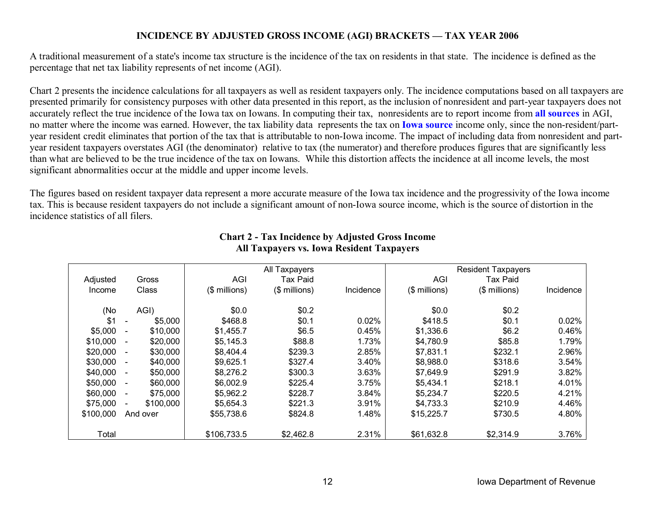#### **INCIDENCE BY ADJUSTED GROSS INCOME (AGI) BRACKETS — TAX YEAR 2006**

A traditional measurement of a state's income tax structure is the incidence of the tax on residents in that state. The incidence is defined as the percentage that net tax liability represents of net income (AGI).

Chart 2 presents the incidence calculations for all taxpayers as well as resident taxpayers only. The incidence computations based on all taxpayers are presented primarily for consistency purposes with other data presented in this report, as the inclusion of nonresident and part-year taxpayers does not accurately reflect the true incidence of the Iowa tax on Iowans. In computing their tax, nonresidents are to report income from **all sources** in AGI, no matter where the income was earned. However, the tax liability data represents the tax on **Iowa source** income only, since the non-resident/partyear resident credit eliminates that portion of the tax that is attributable to non-Iowa income. The impact of including data from nonresident and partyear resident taxpayers overstates AGI (the denominator) relative to tax (the numerator) and therefore produces figures that are significantly less than what are believed to be the true incidence of the tax on Iowans. While this distortion affects the incidence at all income levels, the most significant abnormalities occur at the middle and upper income levels.

The figures based on resident taxpayer data represent a more accurate measure of the Iowa tax incidence and the progressivity of the Iowa income tax. This is because resident taxpayers do not include a significant amount of non-Iowa source income, which is the source of distortion in the incidence statistics of all filers.

|           |                                       | All Taxpayers |               |           | <b>Resident Taxpayers</b> |               |           |  |
|-----------|---------------------------------------|---------------|---------------|-----------|---------------------------|---------------|-----------|--|
| Adjusted  | Gross                                 | AGI           | Tax Paid      |           | AGI                       | Tax Paid      |           |  |
| Income    | Class                                 | (\$ millions) | (\$ millions) | Incidence | (\$ millions)             | (\$ millions) | Incidence |  |
|           |                                       | \$0.0         |               |           |                           |               |           |  |
| (No       | AGI)                                  |               | \$0.2         |           | \$0.0                     | \$0.2         |           |  |
| \$1       | \$5,000<br>$\overline{\phantom{a}}$   | \$468.8       | \$0.1         | 0.02%     | \$418.5                   | \$0.1         | 0.02%     |  |
| \$5,000   | \$10,000<br>$\overline{\phantom{a}}$  | \$1,455.7     | \$6.5         | 0.45%     | \$1,336.6                 | \$6.2         | 0.46%     |  |
| \$10,000  | \$20,000<br>$\overline{\phantom{a}}$  | \$5,145.3     | \$88.8        | 1.73%     | \$4,780.9                 | \$85.8        | 1.79%     |  |
| \$20,000  | \$30,000<br>$\overline{\phantom{a}}$  | \$8,404.4     | \$239.3       | 2.85%     | \$7,831.1                 | \$232.1       | 2.96%     |  |
| \$30,000  | \$40,000<br>$\sim$                    | \$9,625.1     | \$327.4       | 3.40%     | \$8,988.0                 | \$318.6       | 3.54%     |  |
| \$40,000  | \$50,000<br>$\overline{\phantom{a}}$  | \$8,276.2     | \$300.3       | 3.63%     | \$7,649.9                 | \$291.9       | 3.82%     |  |
| \$50,000  | \$60,000<br>$\overline{\phantom{a}}$  | \$6,002.9     | \$225.4       | 3.75%     | \$5,434.1                 | \$218.1       | 4.01%     |  |
| \$60,000  | \$75,000<br>$\overline{\phantom{a}}$  | \$5,962.2     | \$228.7       | 3.84%     | \$5,234.7                 | \$220.5       | 4.21%     |  |
| \$75,000  | \$100,000<br>$\overline{\phantom{a}}$ | \$5,654.3     | \$221.3       | 3.91%     | \$4,733.3                 | \$210.9       | 4.46%     |  |
| \$100,000 | And over                              | \$55,738.6    | \$824.8       | 1.48%     | \$15,225.7                | \$730.5       | 4.80%     |  |
| Total     |                                       | \$106,733.5   | \$2,462.8     | 2.31%     | \$61,632.8                | \$2,314.9     | 3.76%     |  |

#### **Chart 2 - Tax Incidence by Adjusted Gross Income All Taxpayers vs. Iowa Resident Taxpayers**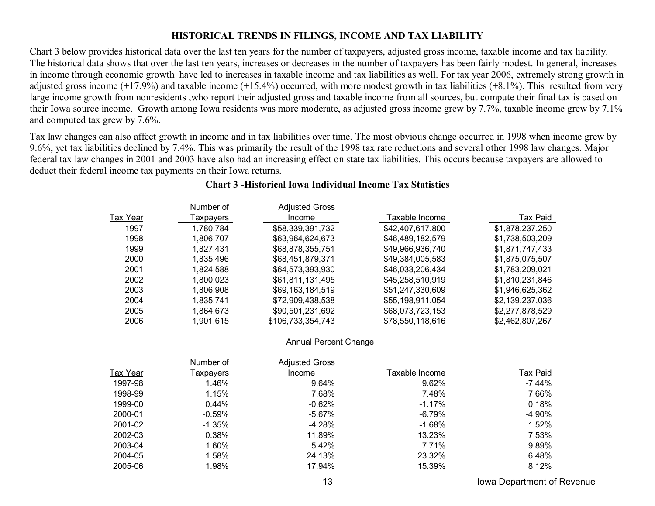#### **HISTORICAL TRENDS IN FILINGS, INCOME AND TAX LIABILITY**

Chart 3 below provides historical data over the last ten years for the number of taxpayers, adjusted gross income, taxable income and tax liability. The historical data shows that over the last ten years, increases or decreases in the number of taxpayers has been fairly modest. In general, increases in income through economic growth have led to increases in taxable income and tax liabilities as well. For tax year 2006, extremely strong growth in adjusted gross income  $(+17.9\%)$  and taxable income  $(+15.4\%)$  occurred, with more modest growth in tax liabilities  $(+8.1\%)$ . This resulted from very large income growth from nonresidents ,who report their adjusted gross and taxable income from all sources, but compute their final tax is based on their Iowa source income. Growth among Iowa residents was more moderate, as adjusted gross income grew by 7.7%, taxable income grew by 7.1% and computed tax grew by 7.6%.

Tax law changes can also affect growth in income and in tax liabilities over time. The most obvious change occurred in 1998 when income grew by 9.6%, yet tax liabilities declined by 7.4%. This was primarily the result of the 1998 tax rate reductions and several other 1998 law changes. Major federal tax law changes in 2001 and 2003 have also had an increasing effect on state tax liabilities. This occurs because taxpayers are allowed to deduct their federal income tax payments on their Iowa returns.

|          | Number of | <b>Adjusted Gross</b> |                  |                 |
|----------|-----------|-----------------------|------------------|-----------------|
| Tax Year | Taxpayers | Income                | Taxable Income   | Tax Paid        |
| 1997     | 1,780,784 | \$58,339,391,732      | \$42,407,617,800 | \$1,878,237,250 |
| 1998     | 1,806,707 | \$63,964,624,673      | \$46,489,182,579 | \$1,738,503,209 |
| 1999     | 1,827,431 | \$68,878,355,751      | \$49,966,936,740 | \$1,871,747,433 |
| 2000     | 1,835,496 | \$68,451,879,371      | \$49,384,005,583 | \$1,875,075,507 |
| 2001     | 1,824,588 | \$64,573,393,930      | \$46,033,206,434 | \$1,783,209,021 |
| 2002     | 1,800,023 | \$61,811,131,495      | \$45,258,510,919 | \$1,810,231,846 |
| 2003     | 1,806,908 | \$69,163,184,519      | \$51,247,330,609 | \$1,946,625,362 |
| 2004     | 1,835,741 | \$72,909,438,538      | \$55,198,911,054 | \$2,139,237,036 |
| 2005     | 1,864,673 | \$90,501,231,692      | \$68,073,723,153 | \$2,277,878,529 |
| 2006     | 1,901,615 | \$106,733,354,743     | \$78,550,118,616 | \$2,462,807,267 |

#### **Chart 3 -Historical Iowa Individual Income Tax Statistics**

Annual Percent Change

|                 | Number of | <b>Adjusted Gross</b> |                |           |
|-----------------|-----------|-----------------------|----------------|-----------|
| <b>Tax Year</b> | Taxpayers | Income                | Taxable Income | Tax Paid  |
| 1997-98         | 1.46%     | 9.64%                 | 9.62%          | $-7.44\%$ |
| 1998-99         | 1.15%     | 7.68%                 | 7.48%          | 7.66%     |
| 1999-00         | $0.44\%$  | $-0.62%$              | $-1.17\%$      | 0.18%     |
| 2000-01         | $-0.59\%$ | $-5.67\%$             | -6.79%         | -4.90%    |
| 2001-02         | $-1.35\%$ | $-4.28%$              | $-1.68%$       | 1.52%     |
| 2002-03         | 0.38%     | 11.89%                | 13.23%         | 7.53%     |
| 2003-04         | 1.60%     | 5.42%                 | 7.71%          | 9.89%     |
| 2004-05         | 1.58%     | 24.13%                | 23.32%         | 6.48%     |
| 2005-06         | 1.98%     | 17.94%                | 15.39%         | 8.12%     |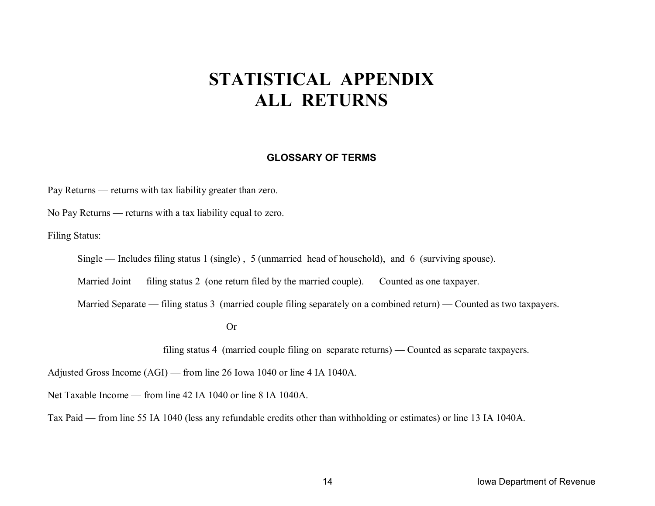# **STATISTICAL APPENDIX ALL RETURNS**

#### **GLOSSARY OF TERMS**

Pay Returns — returns with tax liability greater than zero.

No Pay Returns — returns with a tax liability equal to zero.

Filing Status:

Single — Includes filing status 1 (single) , 5 (unmarried head of household), and 6 (surviving spouse).

Married Joint — filing status 2 (one return filed by the married couple). — Counted as one taxpayer.

Married Separate — filing status 3 (married couple filing separately on a combined return) — Counted as two taxpayers.

Or

filing status 4 (married couple filing on separate returns) — Counted as separate taxpayers.

Adjusted Gross Income (AGI) — from line 26 Iowa 1040 or line 4 IA 1040A.

Net Taxable Income — from line 42 IA 1040 or line 8 IA 1040A.

Tax Paid — from line 55 IA 1040 (less any refundable credits other than withholding or estimates) or line 13 IA 1040A.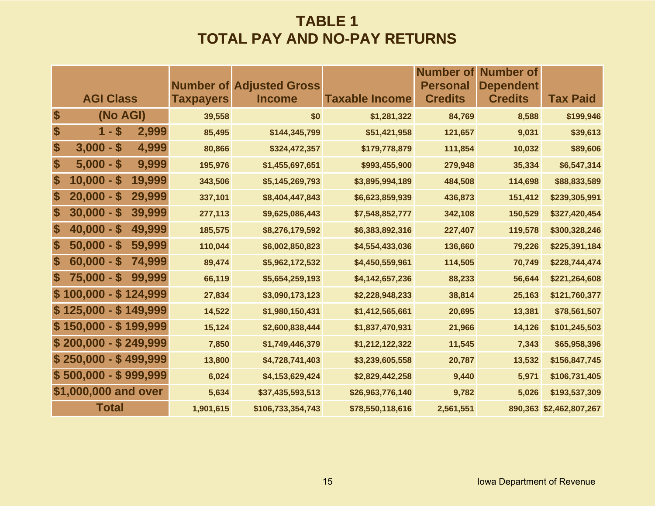### **TABLE 1 TOTAL PAY AND NO-PAY RETURNS**

|                           |                                  |                  |                                                  |                       | <b>Number of</b>                  | Number of                          |                         |
|---------------------------|----------------------------------|------------------|--------------------------------------------------|-----------------------|-----------------------------------|------------------------------------|-------------------------|
|                           | <b>AGI Class</b>                 | <b>Taxpayers</b> | <b>Number of Adjusted Gross</b><br><b>Income</b> | <b>Taxable Income</b> | <b>Personal</b><br><b>Credits</b> | <b>Dependent</b><br><b>Credits</b> | <b>Tax Paid</b>         |
| \$                        | (No AGI)                         | 39,558           | \$0                                              | \$1,281,322           | 84,769                            | 8,588                              | \$199,946               |
| \$                        | $1 - $$<br>2,999                 | 85,495           | \$144,345,799                                    | \$51,421,958          | 121,657                           | 9,031                              | \$39,613                |
| $\boldsymbol{\$}$         | $3,000 - $$<br>4,999             | 80,866           | \$324,472,357                                    | \$179,778,879         | 111,854                           | 10,032                             | \$89,606                |
| \$                        | $5,000 - $$<br>9,999             | 195,976          | \$1,455,697,651                                  | \$993,455,900         | 279,948                           | 35,334                             | \$6,547,314             |
| \$                        | $10,000 -$<br>19,999<br><b>S</b> | 343,506          | \$5,145,269,793                                  | \$3,895,994,189       | 484,508                           | 114,698                            | \$88,833,589            |
| \$                        | $20,000 -$<br>29,999<br>S        | 337,101          | \$8,404,447,843                                  | \$6,623,859,939       | 436,873                           | 151,412                            | \$239,305,991           |
| \$                        | $30,000 - $$<br>39,999           | 277,113          | \$9,625,086,443                                  | \$7,548,852,777       | 342,108                           | 150,529                            | \$327,420,454           |
| \$                        | 49,999<br>$40,000 - $$           | 185,575          | \$8,276,179,592                                  | \$6,383,892,316       | 227,407                           | 119,578                            | \$300,328,246           |
| \$                        | $50,000 - $$<br>59,999           | 110,044          | \$6,002,850,823                                  | \$4,554,433,036       | 136,660                           | 79,226                             | \$225,391,184           |
| \$                        | 74,999<br>$60,000 - $$           | 89,474           | \$5,962,172,532                                  | \$4,450,559,961       | 114,505                           | 70,749                             | \$228,744,474           |
| $\boldsymbol{\mathsf{s}}$ | $75,000 - $$<br>99,999           | 66,119           | \$5,654,259,193                                  | \$4,142,657,236       | 88,233                            | 56,644                             | \$221,264,608           |
|                           | $$100,000 - $124,999$            | 27,834           | \$3,090,173,123                                  | \$2,228,948,233       | 38,814                            | 25,163                             | \$121,760,377           |
|                           | $$125,000 - $149,999$            | 14,522           | \$1,980,150,431                                  | \$1,412,565,661       | 20,695                            | 13,381                             | \$78,561,507            |
|                           | $$150,000 - $199,999$            | 15,124           | \$2,600,838,444                                  | \$1,837,470,931       | 21,966                            | 14,126                             | \$101,245,503           |
|                           | $$200,000 - $249,999$            | 7,850            | \$1,749,446,379                                  | \$1,212,122,322       | 11,545                            | 7,343                              | \$65,958,396            |
|                           | $$250,000 - $499,999$            | 13,800           | \$4,728,741,403                                  | \$3,239,605,558       | 20,787                            | 13,532                             | \$156,847,745           |
|                           | $$500,000 - $999,999$            | 6,024            | \$4,153,629,424                                  | \$2,829,442,258       | 9,440                             | 5,971                              | \$106,731,405           |
|                           | \$1,000,000 and over             | 5,634            | \$37,435,593,513                                 | \$26,963,776,140      | 9,782                             | 5,026                              | \$193,537,309           |
|                           | <b>Total</b>                     | 1,901,615        | \$106,733,354,743                                | \$78,550,118,616      | 2,561,551                         |                                    | 890,363 \$2,462,807,267 |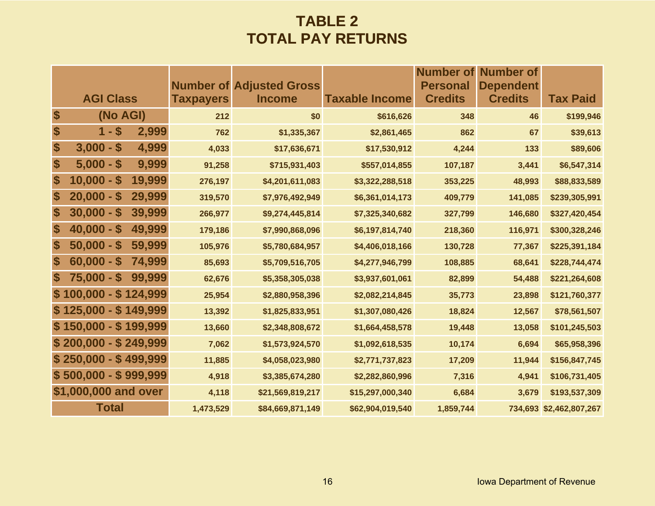### **TABLE 2 TOTAL PAY RETURNS**

|             |                       |        |                  |                                                  |                       | <b>Number of</b>                  | <b>Number of</b>                   |                         |
|-------------|-----------------------|--------|------------------|--------------------------------------------------|-----------------------|-----------------------------------|------------------------------------|-------------------------|
|             | <b>AGI Class</b>      |        | <b>Taxpayers</b> | <b>Number of Adjusted Gross</b><br><b>Income</b> | <b>Taxable Income</b> | <b>Personal</b><br><b>Credits</b> | <b>Dependent</b><br><b>Credits</b> | <b>Tax Paid</b>         |
| \$          | (No AGI)              |        | 212              | \$0                                              | \$616,626             | 348                               | 46                                 | \$199,946               |
| \$          | $1 - $$               | 2,999  | 762              | \$1,335,367                                      | \$2,861,465           | 862                               | 67                                 | \$39,613                |
| \$          | $3,000 - $$           | 4,999  | 4,033            | \$17,636,671                                     | \$17,530,912          | 4,244                             | 133                                | \$89,606                |
| \$          | $5,000 - $$           | 9,999  | 91,258           | \$715,931,403                                    | \$557,014,855         | 107,187                           | 3,441                              | \$6,547,314             |
| \$          | $10,000 - $$          | 19,999 | 276,197          | \$4,201,611,083                                  | \$3,322,288,518       | 353,225                           | 48,993                             | \$88,833,589            |
| \$          | $20,000 - $$          | 29,999 | 319,570          | \$7,976,492,949                                  | \$6,361,014,173       | 409,779                           | 141,085                            | \$239,305,991           |
| \$          | $30,000 - $$          | 39,999 | 266,977          | \$9,274,445,814                                  | \$7,325,340,682       | 327,799                           | 146,680                            | \$327,420,454           |
| \$          | $40,000 - $$          | 49,999 | 179,186          | \$7,990,868,096                                  | \$6,197,814,740       | 218,360                           | 116,971                            | \$300,328,246           |
| \$          | $50,000 - $$          | 59,999 | 105,976          | \$5,780,684,957                                  | \$4,406,018,166       | 130,728                           | 77,367                             | \$225,391,184           |
| \$          | $60,000 - $$          | 74,999 | 85,693           | \$5,709,516,705                                  | \$4,277,946,799       | 108,885                           | 68,641                             | \$228,744,474           |
| $\mathbf s$ | $75,000 - $$          | 99,999 | 62,676           | \$5,358,305,038                                  | \$3,937,601,061       | 82,899                            | 54,488                             | \$221,264,608           |
|             | $$100,000 - $124,999$ |        | 25,954           | \$2,880,958,396                                  | \$2,082,214,845       | 35,773                            | 23,898                             | \$121,760,377           |
|             | $$125,000 - $149,999$ |        | 13,392           | \$1,825,833,951                                  | \$1,307,080,426       | 18,824                            | 12,567                             | \$78,561,507            |
|             | $$150,000 - $199,999$ |        | 13,660           | \$2,348,808,672                                  | \$1,664,458,578       | 19,448                            | 13,058                             | \$101,245,503           |
|             | $$200,000 - $249,999$ |        | 7,062            | \$1,573,924,570                                  | \$1,092,618,535       | 10,174                            | 6,694                              | \$65,958,396            |
|             | $$250,000 - $499,999$ |        | 11,885           | \$4,058,023,980                                  | \$2,771,737,823       | 17,209                            | 11,944                             | \$156,847,745           |
|             | $$500,000 - $999,999$ |        | 4,918            | \$3,385,674,280                                  | \$2,282,860,996       | 7,316                             | 4,941                              | \$106,731,405           |
|             | \$1,000,000 and over  |        | 4,118            | \$21,569,819,217                                 | \$15,297,000,340      | 6,684                             | 3,679                              | \$193,537,309           |
|             | <b>Total</b>          |        | 1,473,529        | \$84,669,871,149                                 | \$62,904,019,540      | 1,859,744                         |                                    | 734,693 \$2,462,807,267 |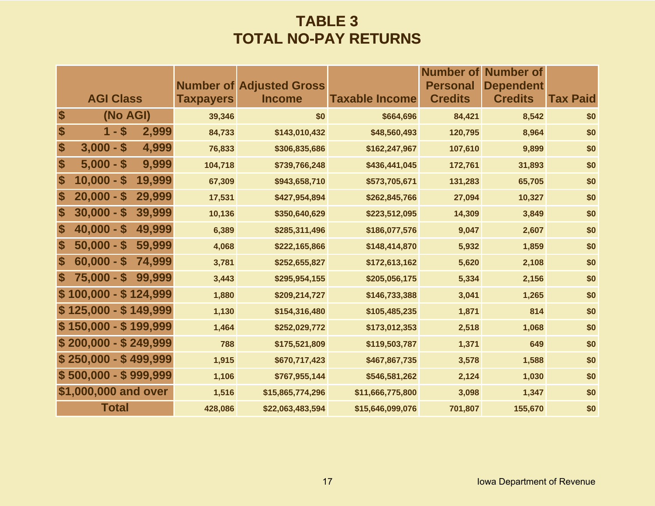### **TABLE 3 TOTAL NO-PAY RETURNS**

|                           |                       |        |                  |                                                  |                       | Number of                         | <b>Number of</b>                   |                 |
|---------------------------|-----------------------|--------|------------------|--------------------------------------------------|-----------------------|-----------------------------------|------------------------------------|-----------------|
|                           | <b>AGI Class</b>      |        | <b>Taxpayers</b> | <b>Number of Adjusted Gross</b><br><b>Income</b> | <b>Taxable Income</b> | <b>Personal</b><br><b>Credits</b> | <b>Dependent</b><br><b>Credits</b> | <b>Tax Paid</b> |
| \$                        | (No AGI)              |        | 39,346           | \$0                                              | \$664,696             | 84,421                            | 8,542                              | \$0             |
| \$                        | $1 - $$               | 2,999  | 84,733           | \$143,010,432                                    | \$48,560,493          | 120,795                           | 8,964                              | \$0             |
| \$                        | $3,000 - $$           | 4,999  | 76,833           | \$306,835,686                                    | \$162,247,967         | 107,610                           | 9,899                              | \$0             |
| \$                        | $5,000 - $$           | 9,999  | 104,718          | \$739,766,248                                    | \$436,441,045         | 172,761                           | 31,893                             | \$0             |
| \$                        | $10,000 - $$          | 19,999 | 67,309           | \$943,658,710                                    | \$573,705,671         | 131,283                           | 65,705                             | \$0             |
| \$                        | $20,000 - $$          | 29,999 | 17,531           | \$427,954,894                                    | \$262,845,766         | 27,094                            | 10,327                             | \$0             |
| \$                        | $30,000 - $$          | 39,999 | 10,136           | \$350,640,629                                    | \$223,512,095         | 14,309                            | 3,849                              | \$0             |
| \$                        | $40,000 - $$          | 49,999 | 6,389            | \$285,311,496                                    | \$186,077,576         | 9,047                             | 2,607                              | \$0             |
| \$                        | $50,000 - $$          | 59,999 | 4,068            | \$222,165,866                                    | \$148,414,870         | 5,932                             | 1,859                              | \$0             |
| $\boldsymbol{\$}$         | $60,000 - $$          | 74,999 | 3,781            | \$252,655,827                                    | \$172,613,162         | 5,620                             | 2,108                              | \$0             |
| $\boldsymbol{\mathsf{s}}$ | $75,000 - $$          | 99,999 | 3,443            | \$295,954,155                                    | \$205,056,175         | 5,334                             | 2,156                              | \$0             |
|                           | $$100,000 - $124,999$ |        | 1,880            | \$209,214,727                                    | \$146,733,388         | 3,041                             | 1,265                              | \$0             |
|                           | $$125,000 - $149,999$ |        | 1,130            | \$154,316,480                                    | \$105,485,235         | 1,871                             | 814                                | \$0             |
|                           | $$150,000 - $199,999$ |        | 1,464            | \$252,029,772                                    | \$173,012,353         | 2,518                             | 1,068                              | \$0             |
|                           | $$200,000 - $249,999$ |        | 788              | \$175,521,809                                    | \$119,503,787         | 1,371                             | 649                                | \$0             |
|                           | $$250,000 - $499,999$ |        | 1,915            | \$670,717,423                                    | \$467,867,735         | 3,578                             | 1,588                              | \$0             |
|                           | $$500,000 - $999,999$ |        | 1,106            | \$767,955,144                                    | \$546,581,262         | 2,124                             | 1,030                              | \$0             |
|                           | \$1,000,000 and over  |        | 1,516            | \$15,865,774,296                                 | \$11,666,775,800      | 3,098                             | 1,347                              | \$0             |
|                           | <b>Total</b>          |        | 428,086          | \$22,063,483,594                                 | \$15,646,099,076      | 701,807                           | 155,670                            | \$0             |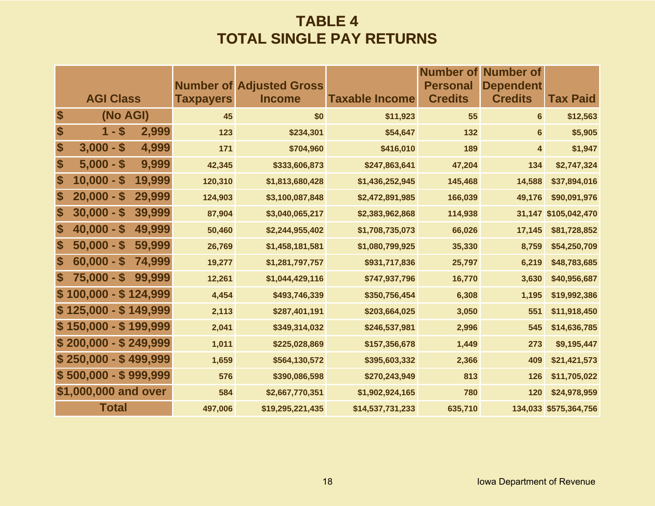### **TABLE 4 TOTAL SINGLE PAY RETURNS**

|                           |                       |        |                  | <b>Number of Adjusted Gross</b> |                       | <b>Number of</b><br><b>Personal</b> | <b>Number of</b><br><b>Dependent</b> |                       |
|---------------------------|-----------------------|--------|------------------|---------------------------------|-----------------------|-------------------------------------|--------------------------------------|-----------------------|
|                           | <b>AGI Class</b>      |        | <b>Taxpayers</b> | <b>Income</b>                   | <b>Taxable Income</b> | <b>Credits</b>                      | <b>Credits</b>                       | <b>Tax Paid</b>       |
| \$                        | (No AGI)              |        | 45               | \$0                             | \$11,923              | 55                                  | $6\phantom{a}$                       | \$12,563              |
| \$                        | $1 - $$               | 2,999  | 123              | \$234,301                       | \$54,647              | 132                                 | $6\phantom{a}$                       | \$5,905               |
| \$                        | $3,000 - $$           | 4,999  | 171              | \$704,960                       | \$416,010             | 189                                 | 4                                    | \$1,947               |
| \$                        | $5,000 - $$           | 9,999  | 42,345           | \$333,606,873                   | \$247,863,641         | 47,204                              | 134                                  | \$2,747,324           |
| \$                        | $10,000 - $$          | 19,999 | 120,310          | \$1,813,680,428                 | \$1,436,252,945       | 145,468                             | 14,588                               | \$37,894,016          |
| \$                        | $20,000 - $$          | 29,999 | 124,903          | \$3,100,087,848                 | \$2,472,891,985       | 166,039                             | 49,176                               | \$90,091,976          |
| \$                        | $30,000 - $$          | 39,999 | 87,904           | \$3,040,065,217                 | \$2,383,962,868       | 114,938                             |                                      | 31,147 \$105,042,470  |
| \$                        | $40,000 - $$          | 49,999 | 50,460           | \$2,244,955,402                 | \$1,708,735,073       | 66,026                              | 17,145                               | \$81,728,852          |
| \$                        | $50,000 - $$          | 59,999 | 26,769           | \$1,458,181,581                 | \$1,080,799,925       | 35,330                              | 8,759                                | \$54,250,709          |
| \$                        | $60,000 - $$          | 74,999 | 19,277           | \$1,281,797,757                 | \$931,717,836         | 25,797                              | 6,219                                | \$48,783,685          |
| $\boldsymbol{\mathsf{s}}$ | $75,000 - $$          | 99,999 | 12,261           | \$1,044,429,116                 | \$747,937,796         | 16,770                              | 3,630                                | \$40,956,687          |
|                           | $$100,000 - $124,999$ |        | 4,454            | \$493,746,339                   | \$350,756,454         | 6,308                               | 1,195                                | \$19,992,386          |
|                           | $$125,000 - $149,999$ |        | 2,113            | \$287,401,191                   | \$203,664,025         | 3,050                               | 551                                  | \$11,918,450          |
|                           | $$150,000 - $199,999$ |        | 2,041            | \$349,314,032                   | \$246,537,981         | 2,996                               | 545                                  | \$14,636,785          |
|                           | $$200,000 - $249,999$ |        | 1,011            | \$225,028,869                   | \$157,356,678         | 1,449                               | 273                                  | \$9,195,447           |
|                           | $$250,000 - $499,999$ |        | 1,659            | \$564,130,572                   | \$395,603,332         | 2,366                               | 409                                  | \$21,421,573          |
|                           | $$500,000 - $999,999$ |        | 576              | \$390,086,598                   | \$270,243,949         | 813                                 | 126                                  | \$11,705,022          |
|                           | \$1,000,000 and over  |        | 584              | \$2,667,770,351                 | \$1,902,924,165       | 780                                 | 120                                  | \$24,978,959          |
|                           | <b>Total</b>          |        | 497,006          | \$19,295,221,435                | \$14,537,731,233      | 635,710                             |                                      | 134,033 \$575,364,756 |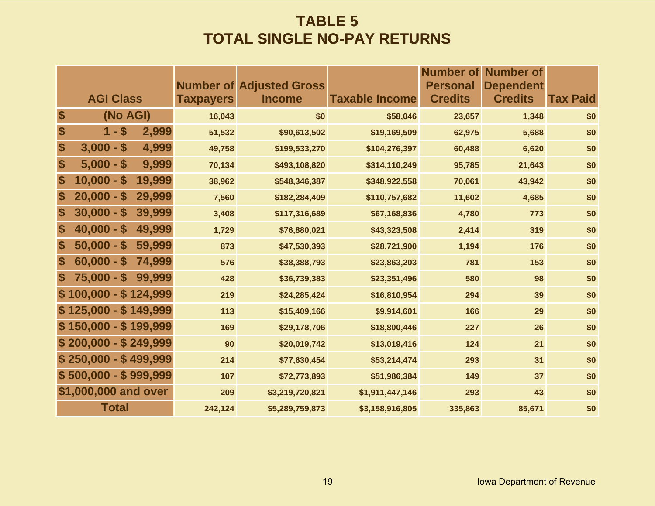### **TABLE 5 TOTAL SINGLE NO-PAY RETURNS**

|                           |                        |                  |                                                  |                       | <b>Personal</b> | <b>Number of Number of</b>         |                 |
|---------------------------|------------------------|------------------|--------------------------------------------------|-----------------------|-----------------|------------------------------------|-----------------|
|                           | <b>AGI Class</b>       | <b>Taxpayers</b> | <b>Number of Adjusted Gross</b><br><b>Income</b> | <b>Taxable Income</b> | <b>Credits</b>  | <b>Dependent</b><br><b>Credits</b> | <b>Tax Paid</b> |
| $\boldsymbol{\$}$         | (No AGI)               | 16,043           | \$0                                              | \$58,046              | 23,657          | 1,348                              | \$0             |
| $\boldsymbol{\$}$         | $1 - $$<br>2,999       | 51,532           | \$90,613,502                                     | \$19,169,509          | 62,975          | 5,688                              | \$0             |
| $\boldsymbol{\$}$         | $3,000 - $$<br>4,999   | 49,758           | \$199,533,270                                    | \$104,276,397         | 60,488          | 6,620                              | \$0             |
| \$                        | 9,999<br>$5,000 - $$   | 70,134           | \$493,108,820                                    | \$314,110,249         | 95,785          | 21,643                             | \$0             |
| \$                        | $10,000 - $$<br>19,999 | 38,962           | \$548,346,387                                    | \$348,922,558         | 70,061          | 43,942                             | \$0             |
| $\boldsymbol{\$}$         | 29,999<br>$20,000 - $$ | 7,560            | \$182,284,409                                    | \$110,757,682         | 11,602          | 4,685                              | \$0             |
| $\boldsymbol{\$}$         | $30,000 - $$<br>39,999 | 3,408            | \$117,316,689                                    | \$67,168,836          | 4,780           | 773                                | \$0             |
| $\boldsymbol{\mathsf{s}}$ | $40,000 - $$<br>49,999 | 1,729            | \$76,880,021                                     | \$43,323,508          | 2,414           | 319                                | \$0             |
| $\boldsymbol{\mathsf{s}}$ | $50,000 - $$<br>59,999 | 873              | \$47,530,393                                     | \$28,721,900          | 1,194           | 176                                | \$0             |
| S                         | $60,000 - $$<br>74,999 | 576              | \$38,388,793                                     | \$23,863,203          | 781             | 153                                | \$0             |
| S                         | $75,000 - $$<br>99,999 | 428              | \$36,739,383                                     | \$23,351,496          | 580             | 98                                 | \$0             |
|                           | $$100,000 - $124,999$  | 219              | \$24,285,424                                     | \$16,810,954          | 294             | 39                                 | \$0             |
|                           | $$125,000 - $149,999$  | 113              | \$15,409,166                                     | \$9,914,601           | 166             | 29                                 | \$0             |
|                           | $$150,000 - $199,999$  | 169              | \$29,178,706                                     | \$18,800,446          | 227             | 26                                 | \$0             |
|                           | $$200,000 - $249,999$  | 90               | \$20,019,742                                     | \$13,019,416          | 124             | 21                                 | \$0             |
|                           | $$250,000 - $499,999$  | 214              | \$77,630,454                                     | \$53,214,474          | 293             | 31                                 | \$0             |
|                           | $$500,000 - $999,999$  | 107              | \$72,773,893                                     | \$51,986,384          | 149             | 37                                 | \$0             |
|                           | \$1,000,000 and over   | 209              | \$3,219,720,821                                  | \$1,911,447,146       | 293             | 43                                 | \$0             |
|                           | <b>Total</b>           | 242,124          | \$5,289,759,873                                  | \$3,158,916,805       | 335,863         | 85,671                             | \$0             |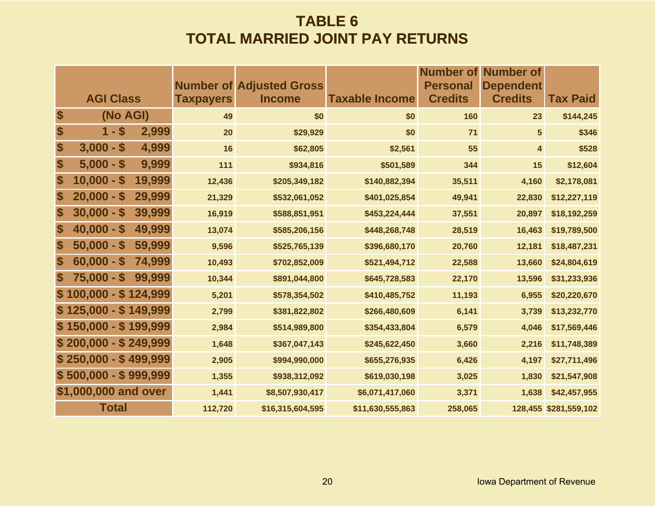### **TABLE 6 TOTAL MARRIED JOINT PAY RETURNS**

|                           |                       |        |                  |                                                  |                       | Number of                         | <b>Number of</b>                   |                       |
|---------------------------|-----------------------|--------|------------------|--------------------------------------------------|-----------------------|-----------------------------------|------------------------------------|-----------------------|
|                           | <b>AGI Class</b>      |        | <b>Taxpayers</b> | <b>Number of Adjusted Gross</b><br><b>Income</b> | <b>Taxable Income</b> | <b>Personal</b><br><b>Credits</b> | <b>Dependent</b><br><b>Credits</b> | <b>Tax Paid</b>       |
|                           |                       |        |                  |                                                  |                       |                                   |                                    |                       |
| \$                        | (No AGI)              |        | 49               | \$0                                              | \$0                   | 160                               | 23                                 | \$144,245             |
| \$                        | $1 - $$               | 2,999  | 20               | \$29,929                                         | \$0                   | 71                                | $5\overline{)}$                    | \$346                 |
| \$                        | $3,000 - $$           | 4,999  | 16               | \$62,805                                         | \$2,561               | 55                                | 4                                  | \$528                 |
| \$                        | $5,000 - $$           | 9,999  | 111              | \$934,816                                        | \$501,589             | 344                               | 15                                 | \$12,604              |
| $\boldsymbol{\$}$         | $10,000 - $$          | 19,999 | 12,436           | \$205,349,182                                    | \$140,882,394         | 35,511                            | 4,160                              | \$2,178,081           |
| \$                        | $20,000 - $$          | 29,999 | 21,329           | \$532,061,052                                    | \$401,025,854         | 49,941                            | 22,830                             | \$12,227,119          |
| $\boldsymbol{\$}$         | $30,000 - $$          | 39,999 | 16,919           | \$588,851,951                                    | \$453,224,444         | 37,551                            | 20,897                             | \$18,192,259          |
| \$                        | $40,000 - $$          | 49,999 | 13,074           | \$585,206,156                                    | \$448,268,748         | 28,519                            | 16,463                             | \$19,789,500          |
| $\boldsymbol{\$}$         | $50,000 - $$          | 59,999 | 9,596            | \$525,765,139                                    | \$396,680,170         | 20,760                            | 12,181                             | \$18,487,231          |
| $\boldsymbol{\$}$         | $60,000 - $$          | 74,999 | 10,493           | \$702,852,009                                    | \$521,494,712         | 22,588                            | 13,660                             | \$24,804,619          |
| $\boldsymbol{\mathsf{s}}$ | $75,000 - $$          | 99,999 | 10,344           | \$891,044,800                                    | \$645,728,583         | 22,170                            | 13,596                             | \$31,233,936          |
|                           | $$100,000 - $124,999$ |        | 5,201            | \$578,354,502                                    | \$410,485,752         | 11,193                            | 6,955                              | \$20,220,670          |
|                           | $$125,000 - $149,999$ |        | 2,799            | \$381,822,802                                    | \$266,480,609         | 6,141                             | 3,739                              | \$13,232,770          |
|                           | $$150,000 - $199,999$ |        | 2,984            | \$514,989,800                                    | \$354,433,804         | 6,579                             | 4,046                              | \$17,569,446          |
|                           | $$200,000 - $249,999$ |        | 1,648            | \$367,047,143                                    | \$245,622,450         | 3,660                             | 2,216                              | \$11,748,389          |
|                           | $$250,000 - $499,999$ |        | 2,905            | \$994,990,000                                    | \$655,276,935         | 6,426                             | 4,197                              | \$27,711,496          |
|                           | $$500,000 - $999,999$ |        | 1,355            | \$938,312,092                                    | \$619,030,198         | 3,025                             | 1,830                              | \$21,547,908          |
|                           | \$1,000,000 and over  |        | 1,441            | \$8,507,930,417                                  | \$6,071,417,060       | 3,371                             | 1,638                              | \$42,457,955          |
|                           | <b>Total</b>          |        | 112,720          | \$16,315,604,595                                 | \$11,630,555,863      | 258,065                           |                                    | 128,455 \$281,559,102 |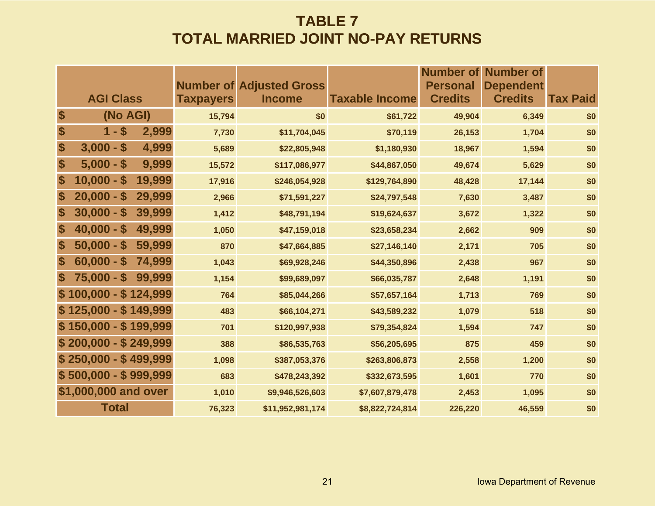### **TABLE 7 TOTAL MARRIED JOINT NO-PAY RETURNS**

|                   |                                                 |                  |                                                  |                       |                                   | <b>Number of Number of</b>         |                 |
|-------------------|-------------------------------------------------|------------------|--------------------------------------------------|-----------------------|-----------------------------------|------------------------------------|-----------------|
|                   | <b>AGI Class</b>                                | <b>Taxpayers</b> | <b>Number of Adjusted Gross</b><br><b>Income</b> | <b>Taxable Income</b> | <b>Personal</b><br><b>Credits</b> | <b>Dependent</b><br><b>Credits</b> | <b>Tax Paid</b> |
| \$                | (No AGI)                                        | 15,794           | \$0                                              | \$61,722              | 49,904                            | 6,349                              | \$0             |
| \$                | $1 - $$<br>2,999                                | 7,730            | \$11,704,045                                     | \$70,119              | 26,153                            | 1,704                              | \$0             |
| \$                | $3,000 -$<br>$\boldsymbol{\mathsf{s}}$<br>4,999 | 5,689            | \$22,805,948                                     | \$1,180,930           | 18,967                            | 1,594                              | \$0             |
| \$                | 9,999<br>$5,000 - $$                            | 15,572           | \$117,086,977                                    | \$44,867,050          | 49,674                            | 5,629                              | \$0             |
| \$                | $10,000 - $$<br>19,999                          | 17,916           | \$246,054,928                                    | \$129,764,890         | 48,428                            | 17,144                             | \$0             |
| \$                | $20,000 - $$<br>29,999                          | 2,966            | \$71,591,227                                     | \$24,797,548          | 7,630                             | 3,487                              | \$0             |
| $\boldsymbol{\$}$ | $30,000 - $$<br>39,999                          | 1,412            | \$48,791,194                                     | \$19,624,637          | 3,672                             | 1,322                              | \$0             |
| $\boldsymbol{\$}$ | 49,999<br>$40,000 - $$                          | 1,050            | \$47,159,018                                     | \$23,658,234          | 2,662                             | 909                                | \$0             |
| $\boldsymbol{\$}$ | $50,000 - $$<br>59,999                          | 870              | \$47,664,885                                     | \$27,146,140          | 2,171                             | 705                                | \$0             |
| $\boldsymbol{\$}$ | $60,000 - $$<br>74,999                          | 1,043            | \$69,928,246                                     | \$44,350,896          | 2,438                             | 967                                | \$0             |
| <b>S</b>          | $75,000 - $$<br>99,999                          | 1,154            | \$99,689,097                                     | \$66,035,787          | 2,648                             | 1,191                              | \$0             |
|                   | $$100,000 - $124,999$                           | 764              | \$85,044,266                                     | \$57,657,164          | 1,713                             | 769                                | \$0             |
|                   | $$125,000 - $149,999$                           | 483              | \$66,104,271                                     | \$43,589,232          | 1,079                             | 518                                | \$0             |
|                   | $$150,000 - $199,999$                           | 701              | \$120,997,938                                    | \$79,354,824          | 1,594                             | 747                                | \$0             |
|                   | $$200,000 - $249,999$                           | 388              | \$86,535,763                                     | \$56,205,695          | 875                               | 459                                | \$0             |
|                   | $$250,000 - $499,999$                           | 1,098            | \$387,053,376                                    | \$263,806,873         | 2,558                             | 1,200                              | \$0             |
|                   | $$500,000 - $999,999$                           | 683              | \$478,243,392                                    | \$332,673,595         | 1,601                             | 770                                | \$0             |
|                   | \$1,000,000 and over                            | 1,010            | \$9,946,526,603                                  | \$7,607,879,478       | 2,453                             | 1,095                              | \$0             |
|                   | <b>Total</b>                                    | 76,323           | \$11,952,981,174                                 | \$8,822,724,814       | 226,220                           | 46,559                             | \$0             |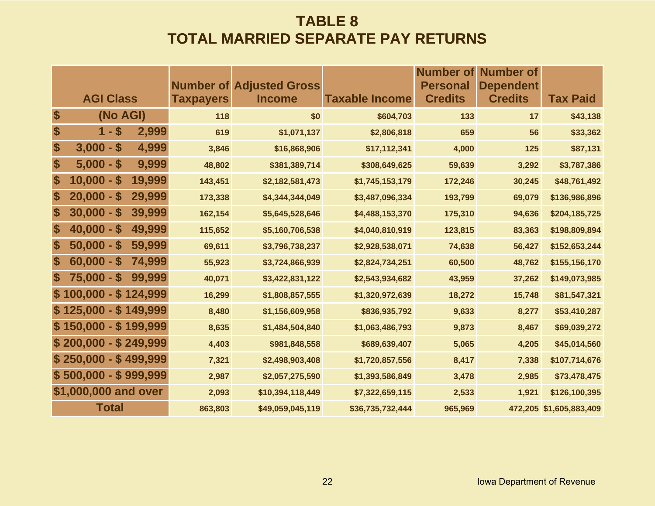### **TABLE 8 TOTAL MARRIED SEPARATE PAY RETURNS**

|                           |                                                   |                  |                                                  |                       | <b>Number of</b>                  | Number of                          |                         |
|---------------------------|---------------------------------------------------|------------------|--------------------------------------------------|-----------------------|-----------------------------------|------------------------------------|-------------------------|
|                           | <b>AGI Class</b>                                  | <b>Taxpayers</b> | <b>Number of Adjusted Gross</b><br><b>Income</b> | <b>Taxable Income</b> | <b>Personal</b><br><b>Credits</b> | <b>Dependent</b><br><b>Credits</b> | <b>Tax Paid</b>         |
| \$                        | (No AGI)                                          | 118              | \$0                                              | \$604,703             | 133                               | 17                                 | \$43,138                |
| \$                        | $1 - $$<br>2,999                                  | 619              | \$1,071,137                                      | \$2,806,818           | 659                               | 56                                 | \$33,362                |
| \$                        | $3,000 - $$<br>4,999                              | 3,846            | \$16,868,906                                     | \$17,112,341          | 4,000                             | 125                                | \$87,131                |
| \$                        | $5,000 - $$<br>9,999                              | 48,802           | \$381,389,714                                    | \$308,649,625         | 59,639                            | 3,292                              | \$3,787,386             |
| \$                        | $10,000 -$<br>19,999<br>$\mathbf S$               | 143,451          | \$2,182,581,473                                  | \$1,745,153,179       | 172,246                           | 30,245                             | \$48,761,492            |
| \$                        | 29,999<br>$20,000 -$<br>$\boldsymbol{\mathsf{s}}$ | 173,338          | \$4,344,344,049                                  | \$3,487,096,334       | 193,799                           | 69,079                             | \$136,986,896           |
| \$                        | $30,000 - $$<br>39,999                            | 162,154          | \$5,645,528,646                                  | \$4,488,153,370       | 175,310                           | 94,636                             | \$204,185,725           |
| \$                        | 49,999<br>$40,000 - $$                            | 115,652          | \$5,160,706,538                                  | \$4,040,810,919       | 123,815                           | 83,363                             | \$198,809,894           |
| \$                        | $50,000 - $$<br>59,999                            | 69,611           | \$3,796,738,237                                  | \$2,928,538,071       | 74,638                            | 56,427                             | \$152,653,244           |
| \$                        | 74,999<br>$60,000 -$<br>$\mathbf S$               | 55,923           | \$3,724,866,939                                  | \$2,824,734,251       | 60,500                            | 48,762                             | \$155,156,170           |
| $\boldsymbol{\mathsf{s}}$ | $75,000 - $$<br>99,999                            | 40,071           | \$3,422,831,122                                  | \$2,543,934,682       | 43,959                            | 37,262                             | \$149,073,985           |
|                           | $$100,000 - $124,999$                             | 16,299           | \$1,808,857,555                                  | \$1,320,972,639       | 18,272                            | 15,748                             | \$81,547,321            |
|                           | $$125,000 - $149,999$                             | 8,480            | \$1,156,609,958                                  | \$836,935,792         | 9,633                             | 8,277                              | \$53,410,287            |
|                           | $$150,000 - $199,999$                             | 8,635            | \$1,484,504,840                                  | \$1,063,486,793       | 9,873                             | 8,467                              | \$69,039,272            |
|                           | $$200,000 - $249,999$                             | 4,403            | \$981,848,558                                    | \$689,639,407         | 5,065                             | 4,205                              | \$45,014,560            |
|                           | $$250,000 - $499,999$                             | 7,321            | \$2,498,903,408                                  | \$1,720,857,556       | 8,417                             | 7,338                              | \$107,714,676           |
|                           | $$500,000 - $999,999$                             | 2,987            | \$2,057,275,590                                  | \$1,393,586,849       | 3,478                             | 2,985                              | \$73,478,475            |
|                           | \$1,000,000 and over                              | 2,093            | \$10,394,118,449                                 | \$7,322,659,115       | 2,533                             | 1,921                              | \$126,100,395           |
|                           | <b>Total</b>                                      | 863,803          | \$49,059,045,119                                 | \$36,735,732,444      | 965,969                           |                                    | 472,205 \$1,605,883,409 |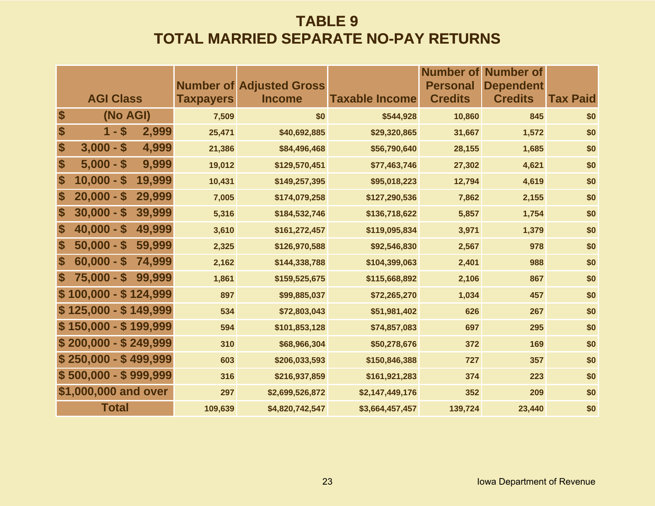### **TABLE 9 TOTAL MARRIED SEPARATE NO-PAY RETURNS**

|                           |                                        |        |                  | <b>Number of Adjusted Gross</b> |                       | Number of<br><b>Personal</b> | Number of<br><b>Dependent</b> |                 |
|---------------------------|----------------------------------------|--------|------------------|---------------------------------|-----------------------|------------------------------|-------------------------------|-----------------|
|                           | <b>AGI Class</b>                       |        | <b>Taxpayers</b> | <b>Income</b>                   | <b>Taxable Income</b> | <b>Credits</b>               | <b>Credits</b>                | <b>Tax Paid</b> |
| \$                        | (No AGI)                               |        | 7,509            | \$0                             | \$544,928             | 10,860                       | 845                           | \$0             |
| \$                        | $1 - $$                                | 2,999  | 25,471           | \$40,692,885                    | \$29,320,865          | 31,667                       | 1,572                         | \$0             |
| \$                        | $3,000 -$<br>$\boldsymbol{\mathsf{s}}$ | 4,999  | 21,386           | \$84,496,468                    | \$56,790,640          | 28,155                       | 1,685                         | \$0             |
| \$                        | $5,000 - $$                            | 9,999  | 19,012           | \$129,570,451                   | \$77,463,746          | 27,302                       | 4,621                         | \$0             |
| \$                        | $10,000 - $$                           | 19,999 | 10,431           | \$149,257,395                   | \$95,018,223          | 12,794                       | 4,619                         | \$0             |
| \$                        | $20,000 - $$                           | 29,999 | 7,005            | \$174,079,258                   | \$127,290,536         | 7,862                        | 2,155                         | \$0             |
| \$                        | $30,000 - $$                           | 39,999 | 5,316            | \$184,532,746                   | \$136,718,622         | 5,857                        | 1,754                         | \$0             |
| \$                        | $40,000 - $$                           | 49,999 | 3,610            | \$161,272,457                   | \$119,095,834         | 3,971                        | 1,379                         | \$0             |
| \$                        | $50,000 - $$                           | 59,999 | 2,325            | \$126,970,588                   | \$92,546,830          | 2,567                        | 978                           | \$0             |
| $\boldsymbol{\$}$         | $60,000 - $$                           | 74,999 | 2,162            | \$144,338,788                   | \$104,399,063         | 2,401                        | 988                           | \$0             |
| $\boldsymbol{\mathsf{s}}$ | $75,000 - $$                           | 99,999 | 1,861            | \$159,525,675                   | \$115,668,892         | 2,106                        | 867                           | \$0             |
|                           | $$100,000 - $124,999$                  |        | 897              | \$99,885,037                    | \$72,265,270          | 1,034                        | 457                           | \$0             |
|                           | $$125,000 - $149,999$                  |        | 534              | \$72,803,043                    | \$51,981,402          | 626                          | 267                           | \$0             |
|                           | $$150,000 - $199,999$                  |        | 594              | \$101,853,128                   | \$74,857,083          | 697                          | 295                           | \$0             |
|                           | $$200,000 - $249,999$                  |        | 310              | \$68,966,304                    | \$50,278,676          | 372                          | 169                           | \$0             |
|                           | $$250,000 - $499,999$                  |        | 603              | \$206,033,593                   | \$150,846,388         | 727                          | 357                           | \$0             |
|                           | $$500,000 - $999,999$                  |        | 316              | \$216,937,859                   | \$161,921,283         | 374                          | 223                           | \$0             |
|                           | \$1,000,000 and over                   |        | 297              | \$2,699,526,872                 | \$2,147,449,176       | 352                          | 209                           | \$0             |
|                           | <b>Total</b>                           |        | 109,639          | \$4,820,742,547                 | \$3,664,457,457       | 139,724                      | 23,440                        | \$0             |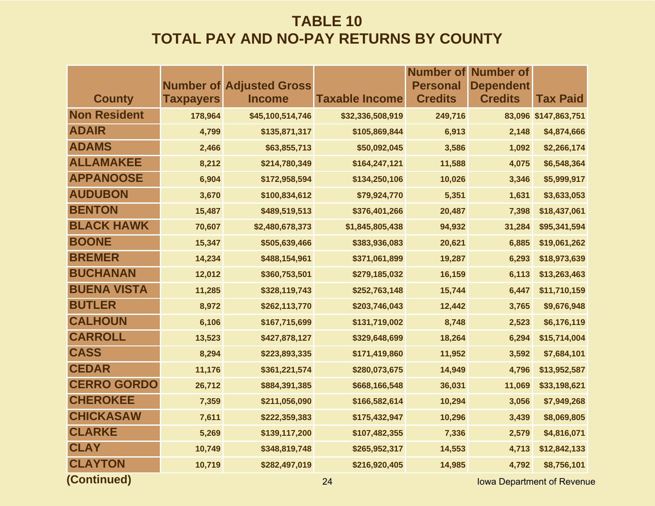|                     |                  |                                 |                       | <b>Number of</b> | <b>Number of</b>                 |                      |
|---------------------|------------------|---------------------------------|-----------------------|------------------|----------------------------------|----------------------|
|                     |                  | <b>Number of Adjusted Gross</b> |                       | <b>Personal</b>  | <b>Dependent</b>                 |                      |
| <b>County</b>       | <b>Taxpayers</b> | <b>Income</b>                   | <b>Taxable Income</b> | <b>Credits</b>   | <b>Credits</b>                   | <b>Tax Paid</b>      |
| <b>Non Resident</b> | 178,964          | \$45,100,514,746                | \$32,336,508,919      | 249,716          |                                  | 83,096 \$147,863,751 |
| <b>ADAIR</b>        | 4,799            | \$135,871,317                   | \$105,869,844         | 6,913            | 2,148                            | \$4,874,666          |
| <b>ADAMS</b>        | 2,466            | \$63,855,713                    | \$50,092,045          | 3,586            | 1,092                            | \$2,266,174          |
| <b>ALLAMAKEE</b>    | 8,212            | \$214,780,349                   | \$164,247,121         | 11,588           | 4,075                            | \$6,548,364          |
| <b>APPANOOSE</b>    | 6,904            | \$172,958,594                   | \$134,250,106         | 10,026           | 3,346                            | \$5,999,917          |
| <b>AUDUBON</b>      | 3,670            | \$100,834,612                   | \$79,924,770          | 5,351            | 1,631                            | \$3,633,053          |
| <b>BENTON</b>       | 15,487           | \$489,519,513                   | \$376,401,266         | 20,487           | 7,398                            | \$18,437,061         |
| <b>BLACK HAWK</b>   | 70,607           | \$2,480,678,373                 | \$1,845,805,438       | 94,932           | 31,284                           | \$95,341,594         |
| <b>BOONE</b>        | 15,347           | \$505,639,466                   | \$383,936,083         | 20,621           | 6,885                            | \$19,061,262         |
| <b>BREMER</b>       | 14,234           | \$488,154,961                   | \$371,061,899         | 19,287           | 6,293                            | \$18,973,639         |
| <b>BUCHANAN</b>     | 12,012           | \$360,753,501                   | \$279,185,032         | 16,159           | 6,113                            | \$13,263,463         |
| <b>BUENA VISTA</b>  | 11,285           | \$328,119,743                   | \$252,763,148         | 15,744           | 6,447                            | \$11,710,159         |
| <b>BUTLER</b>       | 8,972            | \$262,113,770                   | \$203,746,043         | 12,442           | 3,765                            | \$9,676,948          |
| <b>CALHOUN</b>      | 6,106            | \$167,715,699                   | \$131,719,002         | 8,748            | 2,523                            | \$6,176,119          |
| <b>CARROLL</b>      | 13,523           | \$427,878,127                   | \$329,648,699         | 18,264           | 6,294                            | \$15,714,004         |
| <b>CASS</b>         | 8,294            | \$223,893,335                   | \$171,419,860         | 11,952           | 3,592                            | \$7,684,101          |
| <b>CEDAR</b>        | 11,176           | \$361,221,574                   | \$280,073,675         | 14,949           | 4,796                            | \$13,952,587         |
| <b>CERRO GORDO</b>  | 26,712           | \$884,391,385                   | \$668,166,548         | 36,031           | 11,069                           | \$33,198,621         |
| <b>CHEROKEE</b>     | 7,359            | \$211,056,090                   | \$166,582,614         | 10,294           | 3,056                            | \$7,949,268          |
| <b>CHICKASAW</b>    | 7,611            | \$222,359,383                   | \$175,432,947         | 10,296           | 3,439                            | \$8,069,805          |
| <b>CLARKE</b>       | 5,269            | \$139,117,200                   | \$107,482,355         | 7,336            | 2,579                            | \$4,816,071          |
| <b>CLAY</b>         | 10,749           | \$348,819,748                   | \$265,952,317         | 14,553           | 4,713                            | \$12,842,133         |
| <b>CLAYTON</b>      | 10,719           | \$282,497,019                   | \$216,920,405         | 14,985           | 4,792                            | \$8,756,101          |
| (Continued)         |                  |                                 | 24                    |                  | <b>Iowa Department of Revenu</b> |                      |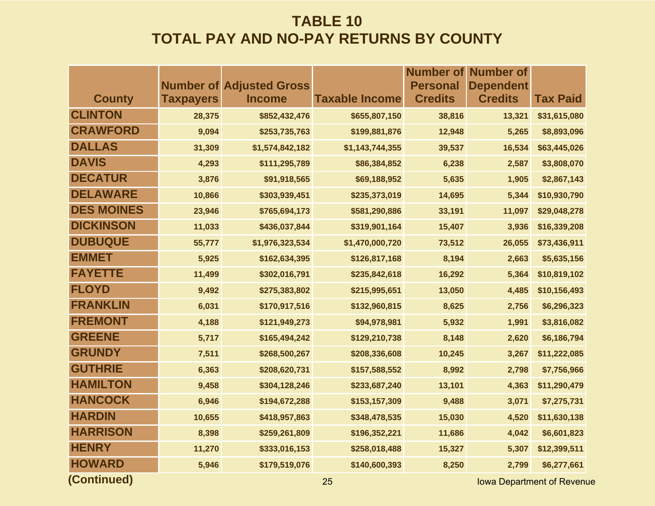|                   |                  |                                                  |                       | <b>Number of</b>                  | <b>Number of</b>                   |                 |
|-------------------|------------------|--------------------------------------------------|-----------------------|-----------------------------------|------------------------------------|-----------------|
| <b>County</b>     | <b>Taxpayers</b> | <b>Number of Adjusted Gross</b><br><b>Income</b> | <b>Taxable Income</b> | <b>Personal</b><br><b>Credits</b> | <b>Dependent</b><br><b>Credits</b> | <b>Tax Paid</b> |
| <b>CLINTON</b>    | 28,375           | \$852,432,476                                    | \$655,807,150         | 38,816                            | 13,321                             | \$31,615,080    |
| <b>CRAWFORD</b>   | 9,094            | \$253,735,763                                    | \$199,881,876         | 12,948                            | 5,265                              | \$8,893,096     |
| <b>DALLAS</b>     | 31,309           | \$1,574,842,182                                  | \$1,143,744,355       | 39,537                            | 16,534                             | \$63,445,026    |
| <b>DAVIS</b>      | 4,293            | \$111,295,789                                    | \$86,384,852          | 6,238                             | 2,587                              | \$3,808,070     |
| <b>DECATUR</b>    | 3,876            | \$91,918,565                                     | \$69,188,952          | 5,635                             | 1,905                              | \$2,867,143     |
| <b>DELAWARE</b>   | 10,866           | \$303,939,451                                    | \$235,373,019         | 14,695                            | 5,344                              | \$10,930,790    |
| <b>DES MOINES</b> | 23,946           | \$765,694,173                                    | \$581,290,886         | 33,191                            | 11,097                             | \$29,048,278    |
| <b>DICKINSON</b>  | 11,033           | \$436,037,844                                    | \$319,901,164         | 15,407                            | 3,936                              | \$16,339,208    |
| <b>DUBUQUE</b>    | 55,777           | \$1,976,323,534                                  | \$1,470,000,720       | 73,512                            | 26,055                             | \$73,436,911    |
| <b>EMMET</b>      | 5,925            | \$162,634,395                                    | \$126,817,168         | 8,194                             | 2,663                              | \$5,635,156     |
| <b>FAYETTE</b>    | 11,499           | \$302,016,791                                    | \$235,842,618         | 16,292                            | 5,364                              | \$10,819,102    |
| <b>FLOYD</b>      | 9,492            | \$275,383,802                                    | \$215,995,651         | 13,050                            | 4,485                              | \$10,156,493    |
| <b>FRANKLIN</b>   | 6,031            | \$170,917,516                                    | \$132,960,815         | 8,625                             | 2,756                              | \$6,296,323     |
| <b>FREMONT</b>    | 4,188            | \$121,949,273                                    | \$94,978,981          | 5,932                             | 1,991                              | \$3,816,082     |
| <b>GREENE</b>     | 5,717            | \$165,494,242                                    | \$129,210,738         | 8,148                             | 2,620                              | \$6,186,794     |
| <b>GRUNDY</b>     | 7,511            | \$268,500,267                                    | \$208,336,608         | 10,245                            | 3,267                              | \$11,222,085    |
| <b>GUTHRIE</b>    | 6,363            | \$208,620,731                                    | \$157,588,552         | 8,992                             | 2,798                              | \$7,756,966     |
| <b>HAMILTON</b>   | 9,458            | \$304,128,246                                    | \$233,687,240         | 13,101                            | 4,363                              | \$11,290,479    |
| <b>HANCOCK</b>    | 6,946            | \$194,672,288                                    | \$153,157,309         | 9,488                             | 3,071                              | \$7,275,731     |
| <b>HARDIN</b>     | 10,655           | \$418,957,863                                    | \$348,478,535         | 15,030                            | 4,520                              | \$11,630,138    |
| <b>HARRISON</b>   | 8,398            | \$259,261,809                                    | \$196,352,221         | 11,686                            | 4,042                              | \$6,601,823     |
| <b>HENRY</b>      | 11,270           | \$333,016,153                                    | \$258,018,488         | 15,327                            | 5,307                              | \$12,399,511    |
| <b>HOWARD</b>     | 5,946            | \$179,519,076                                    | \$140,600,393         | 8,250                             | 2,799                              | \$6,277,661     |
| (Continued)       |                  |                                                  | 25                    |                                   | <b>Iowa Department of Revent</b>   |                 |

**25 Iowa Department of Revenue**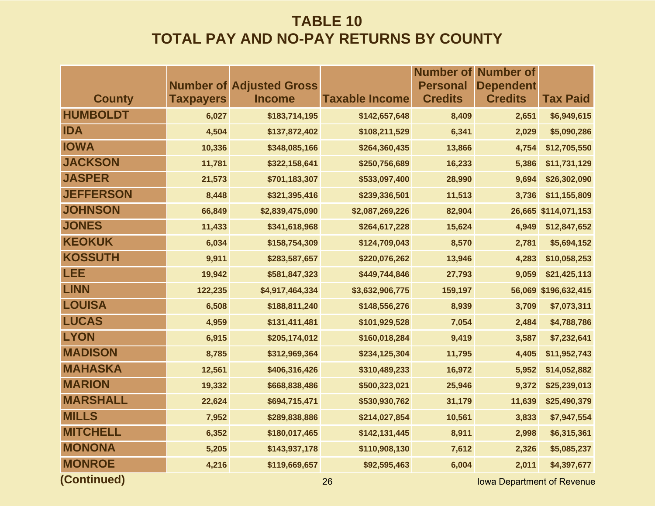|                  |                  |                                                  |                       |                                   | <b>Number of Number of</b>         |                      |
|------------------|------------------|--------------------------------------------------|-----------------------|-----------------------------------|------------------------------------|----------------------|
| <b>County</b>    | <b>Taxpayers</b> | <b>Number of Adjusted Gross</b><br><b>Income</b> | <b>Taxable Income</b> | <b>Personal</b><br><b>Credits</b> | <b>Dependent</b><br><b>Credits</b> | <b>Tax Paid</b>      |
| <b>HUMBOLDT</b>  | 6,027            | \$183,714,195                                    | \$142,657,648         | 8,409                             | 2,651                              | \$6,949,615          |
| <b>IDA</b>       | 4,504            | \$137,872,402                                    | \$108,211,529         | 6,341                             | 2,029                              | \$5,090,286          |
| <b>IOWA</b>      | 10,336           | \$348,085,166                                    | \$264,360,435         | 13,866                            | 4,754                              | \$12,705,550         |
| <b>JACKSON</b>   | 11,781           | \$322,158,641                                    | \$250,756,689         | 16,233                            | 5,386                              | \$11,731,129         |
| <b>JASPER</b>    | 21,573           | \$701,183,307                                    | \$533,097,400         | 28,990                            | 9,694                              | \$26,302,090         |
| <b>JEFFERSON</b> | 8,448            | \$321,395,416                                    | \$239,336,501         | 11,513                            | 3,736                              | \$11,155,809         |
| <b>JOHNSON</b>   | 66,849           | \$2,839,475,090                                  | \$2,087,269,226       | 82,904                            | 26,665                             | \$114,071,153        |
| <b>JONES</b>     | 11,433           | \$341,618,968                                    | \$264,617,228         | 15,624                            | 4,949                              | \$12,847,652         |
| <b>KEOKUK</b>    | 6,034            | \$158,754,309                                    | \$124,709,043         | 8,570                             | 2,781                              | \$5,694,152          |
| <b>KOSSUTH</b>   | 9,911            | \$283,587,657                                    | \$220,076,262         | 13,946                            | 4,283                              | \$10,058,253         |
| <b>LEE</b>       | 19,942           | \$581,847,323                                    | \$449,744,846         | 27,793                            | 9,059                              | \$21,425,113         |
| <b>LINN</b>      | 122,235          | \$4,917,464,334                                  | \$3,632,906,775       | 159,197                           |                                    | 56,069 \$196,632,415 |
| <b>LOUISA</b>    | 6,508            | \$188,811,240                                    | \$148,556,276         | 8,939                             | 3,709                              | \$7,073,311          |
| <b>LUCAS</b>     | 4,959            | \$131,411,481                                    | \$101,929,528         | 7,054                             | 2,484                              | \$4,788,786          |
| <b>LYON</b>      | 6,915            | \$205,174,012                                    | \$160,018,284         | 9,419                             | 3,587                              | \$7,232,641          |
| <b>MADISON</b>   | 8,785            | \$312,969,364                                    | \$234,125,304         | 11,795                            | 4,405                              | \$11,952,743         |
| <b>MAHASKA</b>   | 12,561           | \$406,316,426                                    | \$310,489,233         | 16,972                            | 5,952                              | \$14,052,882         |
| <b>MARION</b>    | 19,332           | \$668,838,486                                    | \$500,323,021         | 25,946                            | 9,372                              | \$25,239,013         |
| <b>MARSHALL</b>  | 22,624           | \$694,715,471                                    | \$530,930,762         | 31,179                            | 11,639                             | \$25,490,379         |
| <b>MILLS</b>     | 7,952            | \$289,838,886                                    | \$214,027,854         | 10,561                            | 3,833                              | \$7,947,554          |
| <b>MITCHELL</b>  | 6,352            | \$180,017,465                                    | \$142,131,445         | 8,911                             | 2,998                              | \$6,315,361          |
| <b>MONONA</b>    | 5,205            | \$143,937,178                                    | \$110,908,130         | 7,612                             | 2,326                              | \$5,085,237          |
| <b>MONROE</b>    | 4,216            | \$119,669,657                                    | \$92,595,463          | 6,004                             | 2,011                              | \$4,397,677          |
| (Continued)      |                  |                                                  | 26                    |                                   | <b>Iowa Department of Revenue</b>  |                      |

**26 Iowa Department of Revenue**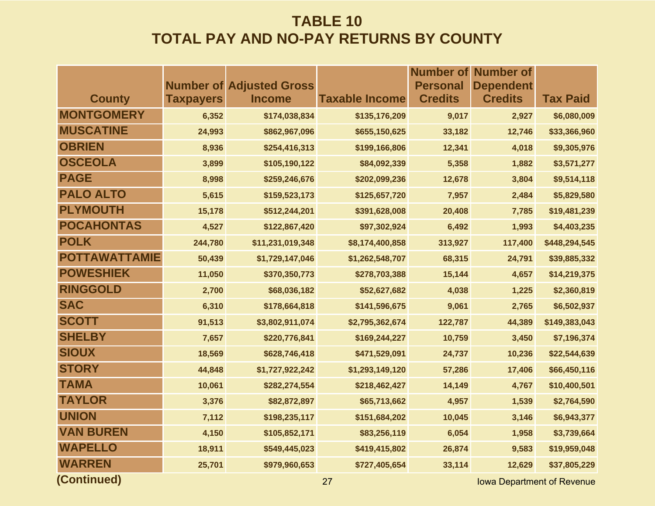|         |                  |                 | <b>Number of</b>                                         | <b>Number of</b>                  |                                    |
|---------|------------------|-----------------|----------------------------------------------------------|-----------------------------------|------------------------------------|
|         |                  |                 |                                                          |                                   |                                    |
|         |                  |                 |                                                          |                                   | <b>Tax Paid</b>                    |
| 6,352   | \$174,038,834    | \$135,176,209   | 9,017                                                    | 2,927                             | \$6,080,009                        |
| 24,993  | \$862,967,096    | \$655,150,625   | 33,182                                                   | 12,746                            | \$33,366,960                       |
| 8,936   | \$254,416,313    | \$199,166,806   | 12,341                                                   | 4,018                             | \$9,305,976                        |
| 3,899   | \$105,190,122    | \$84,092,339    | 5,358                                                    | 1,882                             | \$3,571,277                        |
| 8,998   | \$259,246,676    | \$202,099,236   | 12,678                                                   | 3,804                             | \$9,514,118                        |
| 5,615   | \$159,523,173    | \$125,657,720   | 7,957                                                    | 2,484                             | \$5,829,580                        |
| 15,178  | \$512,244,201    | \$391,628,008   | 20,408                                                   | 7,785                             | \$19,481,239                       |
| 4,527   | \$122,867,420    | \$97,302,924    | 6,492                                                    | 1,993                             | \$4,403,235                        |
| 244,780 | \$11,231,019,348 | \$8,174,400,858 | 313,927                                                  | 117,400                           | \$448,294,545                      |
| 50,439  | \$1,729,147,046  | \$1,262,548,707 | 68,315                                                   | 24,791                            | \$39,885,332                       |
| 11,050  | \$370,350,773    | \$278,703,388   | 15,144                                                   | 4,657                             | \$14,219,375                       |
| 2,700   | \$68,036,182     | \$52,627,682    | 4,038                                                    | 1,225                             | \$2,360,819                        |
| 6,310   | \$178,664,818    | \$141,596,675   | 9,061                                                    | 2,765                             | \$6,502,937                        |
| 91,513  | \$3,802,911,074  | \$2,795,362,674 | 122,787                                                  | 44,389                            | \$149,383,043                      |
| 7,657   | \$220,776,841    | \$169,244,227   | 10,759                                                   | 3,450                             | \$7,196,374                        |
| 18,569  | \$628,746,418    | \$471,529,091   | 24,737                                                   | 10,236                            | \$22,544,639                       |
| 44,848  | \$1,727,922,242  | \$1,293,149,120 | 57,286                                                   | 17,406                            | \$66,450,116                       |
| 10,061  | \$282,274,554    | \$218,462,427   | 14,149                                                   | 4,767                             | \$10,400,501                       |
| 3,376   | \$82,872,897     | \$65,713,662    | 4,957                                                    | 1,539                             | \$2,764,590                        |
| 7,112   | \$198,235,117    | \$151,684,202   | 10,045                                                   | 3,146                             | \$6,943,377                        |
| 4,150   | \$105,852,171    | \$83,256,119    | 6,054                                                    | 1,958                             | \$3,739,664                        |
| 18,911  | \$549,445,023    | \$419,415,802   | 26,874                                                   | 9,583                             | \$19,959,048                       |
| 25,701  | \$979,960,653    | \$727,405,654   | 33,114                                                   | 12,629                            | \$37,805,229                       |
|         | <b>Taxpayers</b> | <b>Income</b>   | <b>Number of Adjusted Gross</b><br><b>Taxable Income</b> | <b>Personal</b><br><b>Credits</b> | <b>Dependent</b><br><b>Credits</b> |

**(Continued)**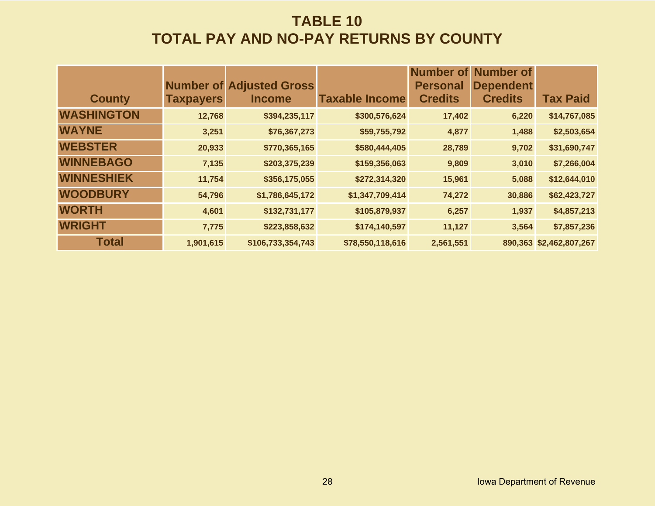|                   |                  | <b>Number of Adjusted Gross</b> |                       | Number of<br><b>Personal</b> | <b>Number of</b><br><b>Dependent</b> |                         |
|-------------------|------------------|---------------------------------|-----------------------|------------------------------|--------------------------------------|-------------------------|
| <b>County</b>     | <b>Taxpayers</b> | <b>Income</b>                   | <b>Taxable Income</b> | <b>Credits</b>               | <b>Credits</b>                       | <b>Tax Paid</b>         |
| <b>WASHINGTON</b> | 12,768           | \$394,235,117                   | \$300,576,624         | 17,402                       | 6,220                                | \$14,767,085            |
| <b>WAYNE</b>      | 3,251            | \$76,367,273                    | \$59,755,792          | 4,877                        | 1,488                                | \$2,503,654             |
| <b>WEBSTER</b>    | 20,933           | \$770,365,165                   | \$580,444,405         | 28,789                       | 9,702                                | \$31,690,747            |
| <b>WINNEBAGO</b>  | 7,135            | \$203,375,239                   | \$159,356,063         | 9,809                        | 3,010                                | \$7,266,004             |
| <b>WINNESHIEK</b> | 11,754           | \$356,175,055                   | \$272,314,320         | 15,961                       | 5,088                                | \$12,644,010            |
| <b>WOODBURY</b>   | 54,796           | \$1,786,645,172                 | \$1,347,709,414       | 74,272                       | 30,886                               | \$62,423,727            |
| <b>WORTH</b>      | 4,601            | \$132,731,177                   | \$105,879,937         | 6,257                        | 1,937                                | \$4,857,213             |
| <b>WRIGHT</b>     | 7,775            | \$223,858,632                   | \$174,140,597         | 11,127                       | 3,564                                | \$7,857,236             |
| <b>Total</b>      | 1,901,615        | \$106,733,354,743               | \$78,550,118,616      | 2,561,551                    |                                      | 890,363 \$2,462,807,267 |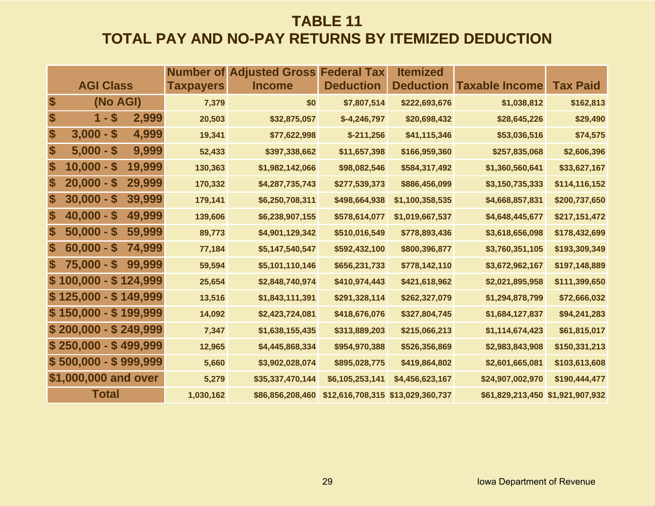## **TABLE 11 TOTAL PAY AND NO-PAY RETURNS BY ITEMIZED DEDUCTION**

|    |                       |        | Number of        | <b>Adjusted Gross</b> | <b>Federal Tax</b> | <b>Itemized</b>                   |                                  |                 |
|----|-----------------------|--------|------------------|-----------------------|--------------------|-----------------------------------|----------------------------------|-----------------|
|    | <b>AGI Class</b>      |        | <b>Taxpayers</b> | <b>Income</b>         | <b>Deduction</b>   | <b>Deduction</b>                  | <b>Taxable Income</b>            | <b>Tax Paid</b> |
| \$ | (No AGI)              |        | 7,379            | \$0                   | \$7,807,514        | \$222,693,676                     | \$1,038,812                      | \$162,813       |
| \$ | $1 - $$               | 2,999  | 20,503           | \$32,875,057          | $$-4,246,797$      | \$20,698,432                      | \$28,645,226                     | \$29,490        |
| \$ | $3,000 - $$           | 4,999  | 19,341           | \$77,622,998          | $$-211,256$        | \$41,115,346                      | \$53,036,516                     | \$74,575        |
| \$ | $5,000 - $$           | 9,999  | 52,433           | \$397,338,662         | \$11,657,398       | \$166,959,360                     | \$257,835,068                    | \$2,606,396     |
| \$ | $10,000 - $$          | 19,999 | 130,363          | \$1,982,142,066       | \$98,082,546       | \$584,317,492                     | \$1,360,560,641                  | \$33,627,167    |
| \$ | $20,000 - $$          | 29,999 | 170,332          | \$4,287,735,743       | \$277,539,373      | \$886,456,099                     | \$3,150,735,333                  | \$114,116,152   |
| \$ | $30,000 - $$          | 39,999 | 179,141          | \$6,250,708,311       | \$498,664,938      | \$1,100,358,535                   | \$4,668,857,831                  | \$200,737,650   |
| \$ | $40,000 - $$          | 49,999 | 139,606          | \$6,238,907,155       | \$578,614,077      | \$1,019,667,537                   | \$4,648,445,677                  | \$217,151,472   |
| \$ | $50,000 - $$          | 59,999 | 89,773           | \$4,901,129,342       | \$510,016,549      | \$778,893,436                     | \$3,618,656,098                  | \$178,432,699   |
| \$ | $60,000 - $$          | 74,999 | 77,184           | \$5,147,540,547       | \$592,432,100      | \$800,396,877                     | \$3,760,351,105                  | \$193,309,349   |
| \$ | $75,000 - $$          | 99,999 | 59,594           | \$5,101,110,146       | \$656,231,733      | \$778,142,110                     | \$3,672,962,167                  | \$197,148,889   |
|    | $$100,000 - $124,999$ |        | 25,654           | \$2,848,740,974       | \$410,974,443      | \$421,618,962                     | \$2,021,895,958                  | \$111,399,650   |
|    | $$125,000 - $149,999$ |        | 13,516           | \$1,843,111,391       | \$291,328,114      | \$262,327,079                     | \$1,294,878,799                  | \$72,666,032    |
|    | $$150,000 - $199,999$ |        | 14,092           | \$2,423,724,081       | \$418,676,076      | \$327,804,745                     | \$1,684,127,837                  | \$94,241,283    |
|    | $$200,000 - $249,999$ |        | 7,347            | \$1,638,155,435       | \$313,889,203      | \$215,066,213                     | \$1,114,674,423                  | \$61,815,017    |
|    | $$250,000 - $499,999$ |        | 12,965           | \$4,445,868,334       | \$954,970,388      | \$526,356,869                     | \$2,983,843,908                  | \$150,331,213   |
|    | $$500,000 - $999,999$ |        | 5,660            | \$3,902,028,074       | \$895,028,775      | \$419,864,802                     | \$2,601,665,081                  | \$103,613,608   |
|    | \$1,000,000 and over  |        | 5,279            | \$35,337,470,144      | \$6,105,253,141    | \$4,456,623,167                   | \$24,907,002,970                 | \$190,444,477   |
|    | <b>Total</b>          |        | 1,030,162        | \$86,856,208,460      |                    | \$12,616,708,315 \$13,029,360,737 | \$61,829,213,450 \$1,921,907,932 |                 |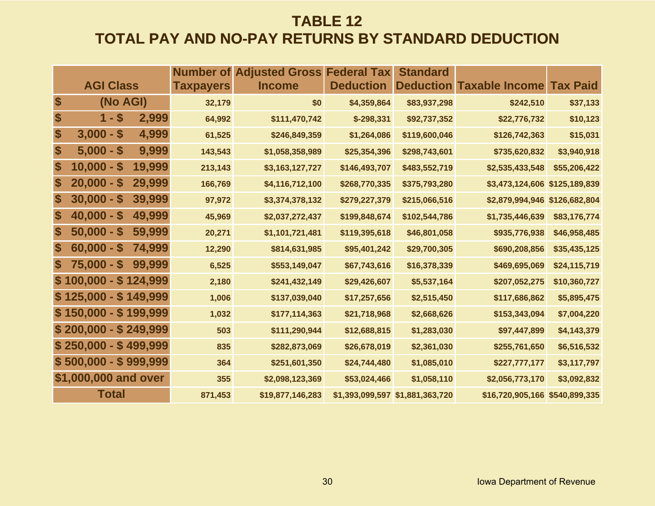## **TABLE 12 TOTAL PAY AND NO-PAY RETURNS BY STANDARD DEDUCTION**

|                             |                       |        | Number of        | <b>Adjusted Gross Federal Tax</b> |                  | <b>Standard</b>                 |                                |                 |
|-----------------------------|-----------------------|--------|------------------|-----------------------------------|------------------|---------------------------------|--------------------------------|-----------------|
|                             | <b>AGI Class</b>      |        | <b>Taxpayers</b> | <b>Income</b>                     | <b>Deduction</b> | <b>Deduction</b>                | <b>Taxable Income</b>          | <b>Tax Paid</b> |
| $\boldsymbol{\hat{\theta}}$ | (No AGI)              |        | 32,179           | \$0                               | \$4,359,864      | \$83,937,298                    | \$242,510                      | \$37,133        |
| \$                          | $1 - $$               | 2,999  | 64,992           | \$111,470,742                     | $$-298,331$      | \$92,737,352                    | \$22,776,732                   | \$10,123        |
| \$                          | $3,000 - $$           | 4,999  | 61,525           | \$246,849,359                     | \$1,264,086      | \$119,600,046                   | \$126,742,363                  | \$15,031        |
| \$                          | $5,000 - $$           | 9,999  | 143,543          | \$1,058,358,989                   | \$25,354,396     | \$298,743,601                   | \$735,620,832                  | \$3,940,918     |
| \$                          | $10,000 - $$          | 19,999 | 213,143          | \$3,163,127,727                   | \$146,493,707    | \$483,552,719                   | \$2,535,433,548                | \$55,206,422    |
| \$                          | $20,000 - $$          | 29,999 | 166,769          | \$4,116,712,100                   | \$268,770,335    | \$375,793,280                   | \$3,473,124,606 \$125,189,839  |                 |
| \$                          | $30,000 - $$          | 39,999 | 97,972           | \$3,374,378,132                   | \$279,227,379    | \$215,066,516                   | \$2,879,994,946 \$126,682,804  |                 |
| \$                          | $40,000 - $$          | 49,999 | 45,969           | \$2,037,272,437                   | \$199,848,674    | \$102,544,786                   | \$1,735,446,639                | \$83,176,774    |
| \$                          | $50,000 - $$          | 59,999 | 20,271           | \$1,101,721,481                   | \$119,395,618    | \$46,801,058                    | \$935,776,938                  | \$46,958,485    |
| \$                          | $60,000 - $$          | 74,999 | 12,290           | \$814,631,985                     | \$95,401,242     | \$29,700,305                    | \$690,208,856                  | \$35,435,125    |
| $\boldsymbol{\mathsf{s}}$   | $75,000 - $$          | 99,999 | 6,525            | \$553,149,047                     | \$67,743,616     | \$16,378,339                    | \$469,695,069                  | \$24,115,719    |
|                             | $$100,000 - $124,999$ |        | 2,180            | \$241,432,149                     | \$29,426,607     | \$5,537,164                     | \$207,052,275                  | \$10,360,727    |
|                             | $$125,000 - $149,999$ |        | 1,006            | \$137,039,040                     | \$17,257,656     | \$2,515,450                     | \$117,686,862                  | \$5,895,475     |
|                             | $$150,000 - $199,999$ |        | 1,032            | \$177,114,363                     | \$21,718,968     | \$2,668,626                     | \$153,343,094                  | \$7,004,220     |
|                             | $$200,000 - $249,999$ |        | 503              | \$111,290,944                     | \$12,688,815     | \$1,283,030                     | \$97,447,899                   | \$4,143,379     |
|                             | $$250,000 - $499,999$ |        | 835              | \$282,873,069                     | \$26,678,019     | \$2,361,030                     | \$255,761,650                  | \$6,516,532     |
|                             | $$500,000 - $999,999$ |        | 364              | \$251,601,350                     | \$24,744,480     | \$1,085,010                     | \$227,777,177                  | \$3,117,797     |
|                             | \$1,000,000 and over  |        | 355              | \$2,098,123,369                   | \$53,024,466     | \$1,058,110                     | \$2,056,773,170                | \$3,092,832     |
|                             | <b>Total</b>          |        | 871,453          | \$19,877,146,283                  |                  | \$1,393,099,597 \$1,881,363,720 | \$16,720,905,166 \$540,899,335 |                 |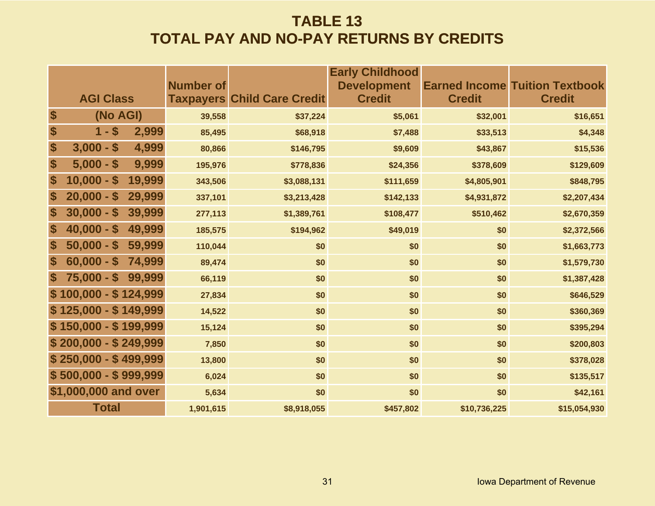### **TABLE 13 TOTAL PAY AND NO-PAY RETURNS BY CREDITS**

|                              | <b>Number of</b> |                                    | <b>Early Childhood</b><br><b>Development</b> |               | <b>Earned Income Tuition Textbook</b> |
|------------------------------|------------------|------------------------------------|----------------------------------------------|---------------|---------------------------------------|
| <b>AGI Class</b>             |                  | <b>Taxpayers Child Care Credit</b> | <b>Credit</b>                                | <b>Credit</b> | <b>Credit</b>                         |
| \$<br>(No AGI)               | 39,558           | \$37,224                           | \$5,061                                      | \$32,001      | \$16,651                              |
| \$<br>$1 - $$<br>2,999       | 85,495           | \$68,918                           | \$7,488                                      | \$33,513      | \$4,348                               |
| \$<br>$3,000 - $$<br>4,999   | 80,866           | \$146,795                          | \$9,609                                      | \$43,867      | \$15,536                              |
| \$<br>$5,000 - $$<br>9,999   | 195,976          | \$778,836                          | \$24,356                                     | \$378,609     | \$129,609                             |
| \$<br>$10,000 - $$<br>19,999 | 343,506          | \$3,088,131                        | \$111,659                                    | \$4,805,901   | \$848,795                             |
| \$<br>$20,000 - $$<br>29,999 | 337,101          | \$3,213,428                        | \$142,133                                    | \$4,931,872   | \$2,207,434                           |
| \$<br>$30,000 - $$<br>39,999 | 277,113          | \$1,389,761                        | \$108,477                                    | \$510,462     | \$2,670,359                           |
| \$<br>49,999<br>$40,000 - $$ | 185,575          | \$194,962                          | \$49,019                                     | \$0           | \$2,372,566                           |
| \$<br>$50,000 - $$<br>59,999 | 110,044          | \$0                                | \$0                                          | \$0           | \$1,663,773                           |
| \$<br>$60,000 - $$<br>74,999 | 89,474           | \$0                                | \$0                                          | \$0           | \$1,579,730                           |
| \$<br>$75,000 - $$<br>99,999 | 66,119           | \$0                                | \$0                                          | \$0           | \$1,387,428                           |
| $$100,000 - $124,999$        | 27,834           | \$0                                | \$0                                          | \$0           | \$646,529                             |
| $$125,000 - $149,999$        | 14,522           | \$0                                | \$0                                          | \$0           | \$360,369                             |
| $$150,000 - $199,999$        | 15,124           | \$0                                | \$0                                          | \$0           | \$395,294                             |
| $$200,000 - $249,999$        | 7,850            | \$0                                | \$0                                          | \$0           | \$200,803                             |
| $$250,000 - $499,999$        | 13,800           | \$0                                | \$0                                          | \$0           | \$378,028                             |
| $$500,000 - $999,999$        | 6,024            | \$0                                | \$0                                          | \$0           | \$135,517                             |
| \$1,000,000 and over         | 5,634            | \$0                                | \$0                                          | \$0           | \$42,161                              |
| <b>Total</b>                 | 1,901,615        | \$8,918,055                        | \$457,802                                    | \$10,736,225  | \$15,054,930                          |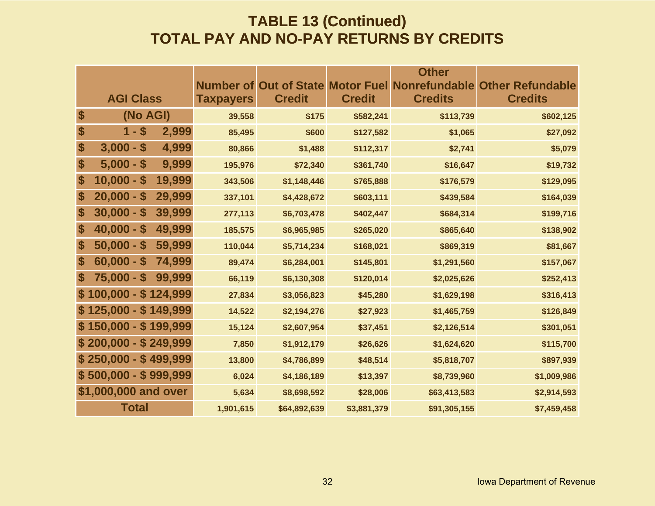### **TABLE 13 (Continued) TOTAL PAY AND NO-PAY RETURNS BY CREDITS**

|                   |                                       |                  |               |               | <b>Other</b>                                           |                         |
|-------------------|---------------------------------------|------------------|---------------|---------------|--------------------------------------------------------|-------------------------|
|                   |                                       |                  |               |               | <b>Number of Out of State Motor Fuel Nonrefundable</b> | <b>Other Refundable</b> |
|                   | <b>AGI Class</b>                      | <b>Taxpayers</b> | <b>Credit</b> | <b>Credit</b> | <b>Credits</b>                                         | <b>Credits</b>          |
| \$                | (No AGI)                              | 39,558           | \$175         | \$582,241     | \$113,739                                              | \$602,125               |
| \$                | $1 - $$<br>2,999                      | 85,495           | \$600         | \$127,582     | \$1,065                                                | \$27,092                |
| \$                | $3,000 - $$<br>4,999                  | 80,866           | \$1,488       | \$112,317     | \$2,741                                                | \$5,079                 |
| \$                | 9,999<br>$5,000 - $$                  | 195,976          | \$72,340      | \$361,740     | \$16,647                                               | \$19,732                |
| \$                | 19,999<br>$10,000 -$<br>$\mathbf{\$}$ | 343,506          | \$1,148,446   | \$765,888     | \$176,579                                              | \$129,095               |
| \$                | 29,999<br>$20,000 - $$                | 337,101          | \$4,428,672   | \$603,111     | \$439,584                                              | \$164,039               |
| \$                | $30,000 - $$<br>39,999                | 277,113          | \$6,703,478   | \$402,447     | \$684,314                                              | \$199,716               |
| \$                | $40,000 - $$<br>49,999                | 185,575          | \$6,965,985   | \$265,020     | \$865,640                                              | \$138,902               |
| \$                | $50,000 - $$<br>59,999                | 110,044          | \$5,714,234   | \$168,021     | \$869,319                                              | \$81,667                |
| \$                | $60,000 - $$<br>74,999                | 89,474           | \$6,284,001   | \$145,801     | \$1,291,560                                            | \$157,067               |
| $\boldsymbol{\$}$ | 99,999<br>$75,000 - $$                | 66,119           | \$6,130,308   | \$120,014     | \$2,025,626                                            | \$252,413               |
|                   | $100,000 - $124,999$                  | 27,834           | \$3,056,823   | \$45,280      | \$1,629,198                                            | \$316,413               |
|                   | $$125,000 - $149,999$                 | 14,522           | \$2,194,276   | \$27,923      | \$1,465,759                                            | \$126,849               |
|                   | $$150,000 - $199,999$                 | 15,124           | \$2,607,954   | \$37,451      | \$2,126,514                                            | \$301,051               |
|                   | $$200,000 - $249,999$                 | 7,850            | \$1,912,179   | \$26,626      | \$1,624,620                                            | \$115,700               |
|                   | $$250,000 - $499,999$                 | 13,800           | \$4,786,899   | \$48,514      | \$5,818,707                                            | \$897,939               |
|                   | $$500,000 - $999,999$                 | 6,024            | \$4,186,189   | \$13,397      | \$8,739,960                                            | \$1,009,986             |
|                   | \$1,000,000 and over                  | 5,634            | \$8,698,592   | \$28,006      | \$63,413,583                                           | \$2,914,593             |
|                   | <b>Total</b>                          | 1,901,615        | \$64,892,639  | \$3,881,379   | \$91,305,155                                           | \$7,459,458             |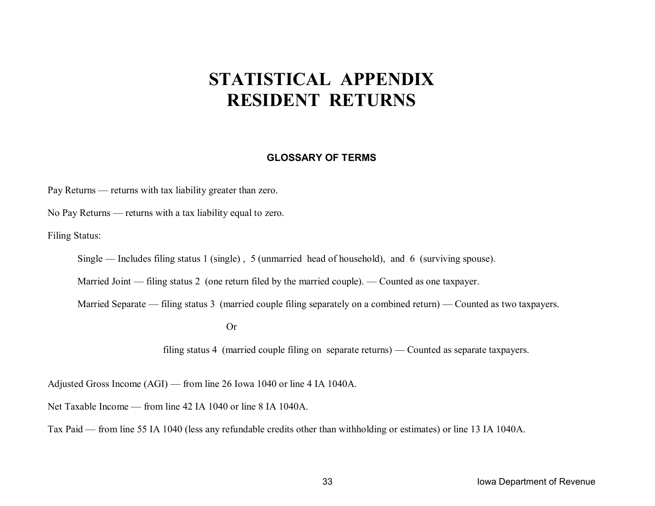# **STATISTICAL APPENDIX RESIDENT RETURNS**

#### **GLOSSARY OF TERMS**

Pay Returns — returns with tax liability greater than zero.

No Pay Returns — returns with a tax liability equal to zero.

Filing Status:

Single — Includes filing status 1 (single) , 5 (unmarried head of household), and 6 (surviving spouse).

Married Joint — filing status 2 (one return filed by the married couple). — Counted as one taxpayer.

Married Separate — filing status 3 (married couple filing separately on a combined return) — Counted as two taxpayers.

Or

filing status 4 (married couple filing on separate returns) — Counted as separate taxpayers.

Adjusted Gross Income (AGI) — from line 26 Iowa 1040 or line 4 IA 1040A.

Net Taxable Income — from line 42 IA 1040 or line 8 IA 1040A.

Tax Paid — from line 55 IA 1040 (less any refundable credits other than withholding or estimates) or line 13 IA 1040A.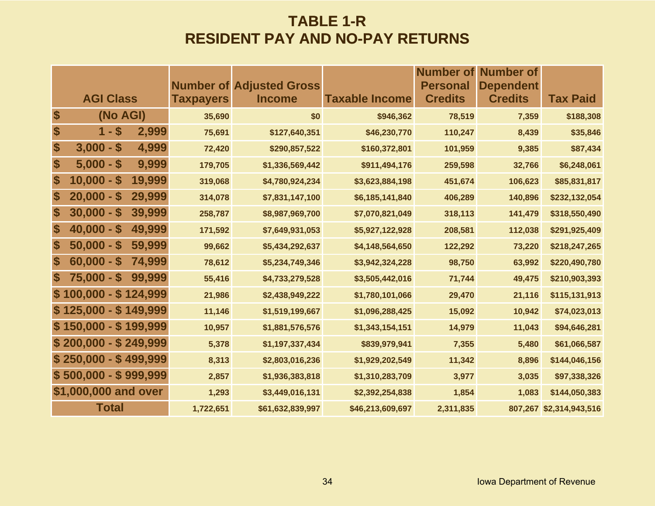### **TABLE 1-R RESIDENT PAY AND NO-PAY RETURNS**

|                           |                                         |        |                  |                                                  |                       | <b>Number of</b>                  | Number of                          |                         |
|---------------------------|-----------------------------------------|--------|------------------|--------------------------------------------------|-----------------------|-----------------------------------|------------------------------------|-------------------------|
|                           | <b>AGI Class</b>                        |        | <b>Taxpayers</b> | <b>Number of Adjusted Gross</b><br><b>Income</b> | <b>Taxable Income</b> | <b>Personal</b><br><b>Credits</b> | <b>Dependent</b><br><b>Credits</b> | <b>Tax Paid</b>         |
| \$                        | (No AGI)                                |        | 35,690           | \$0                                              | \$946,362             | 78,519                            | 7,359                              | \$188,308               |
| $\boldsymbol{\$}$         | $1 - $$                                 | 2,999  | 75,691           | \$127,640,351                                    | \$46,230,770          | 110,247                           | 8,439                              | \$35,846                |
| $\boldsymbol{\$}$         | $3,000 - $$                             | 4,999  | 72,420           | \$290,857,522                                    | \$160,372,801         | 101,959                           | 9,385                              | \$87,434                |
| \$                        | $5,000 - $$                             | 9,999  |                  |                                                  |                       |                                   |                                    |                         |
|                           |                                         |        | 179,705          | \$1,336,569,442                                  | \$911,494,176         | 259,598                           | 32,766                             | \$6,248,061             |
| \$                        | $10,000 -$<br>S                         | 19,999 | 319,068          | \$4,780,924,234                                  | \$3,623,884,198       | 451,674                           | 106,623                            | \$85,831,817            |
| \$                        | $20,000 -$<br>$\boldsymbol{\mathsf{s}}$ | 29,999 | 314,078          | \$7,831,147,100                                  | \$6,185,141,840       | 406,289                           | 140,896                            | \$232,132,054           |
| \$                        | $30,000 - $$                            | 39,999 | 258,787          | \$8,987,969,700                                  | \$7,070,821,049       | 318,113                           | 141,479                            | \$318,550,490           |
| \$                        | $40,000 - $$                            | 49,999 | 171,592          | \$7,649,931,053                                  | \$5,927,122,928       | 208,581                           | 112,038                            | \$291,925,409           |
| \$                        | $50,000 - $$                            | 59,999 | 99,662           | \$5,434,292,637                                  | \$4,148,564,650       | 122,292                           | 73,220                             | \$218,247,265           |
| \$                        | $60,000 - $$                            | 74,999 | 78,612           | \$5,234,749,346                                  | \$3,942,324,228       | 98,750                            | 63,992                             | \$220,490,780           |
| $\boldsymbol{\mathsf{s}}$ | $75,000 - $$                            | 99,999 | 55,416           | \$4,733,279,528                                  | \$3,505,442,016       | 71,744                            | 49,475                             | \$210,903,393           |
|                           | $$100,000 - $124,999$                   |        | 21,986           | \$2,438,949,222                                  | \$1,780,101,066       | 29,470                            | 21,116                             | \$115,131,913           |
|                           | $$125,000 - $149,999$                   |        | 11,146           | \$1,519,199,667                                  | \$1,096,288,425       | 15,092                            | 10,942                             | \$74,023,013            |
|                           | $$150,000 - $199,999$                   |        | 10,957           | \$1,881,576,576                                  | \$1,343,154,151       | 14,979                            | 11,043                             | \$94,646,281            |
|                           | $$200,000 - $249,999$                   |        | 5,378            | \$1,197,337,434                                  | \$839,979,941         | 7,355                             | 5,480                              | \$61,066,587            |
|                           | $$250,000 - $499,999$                   |        | 8,313            | \$2,803,016,236                                  | \$1,929,202,549       | 11,342                            | 8,896                              | \$144,046,156           |
|                           | $$500,000 - $999,999$                   |        | 2,857            | \$1,936,383,818                                  | \$1,310,283,709       | 3,977                             | 3,035                              | \$97,338,326            |
|                           | \$1,000,000 and over                    |        | 1,293            | \$3,449,016,131                                  | \$2,392,254,838       | 1,854                             | 1,083                              | \$144,050,383           |
|                           | <b>Total</b>                            |        | 1,722,651        | \$61,632,839,997                                 | \$46,213,609,697      | 2,311,835                         |                                    | 807,267 \$2,314,943,516 |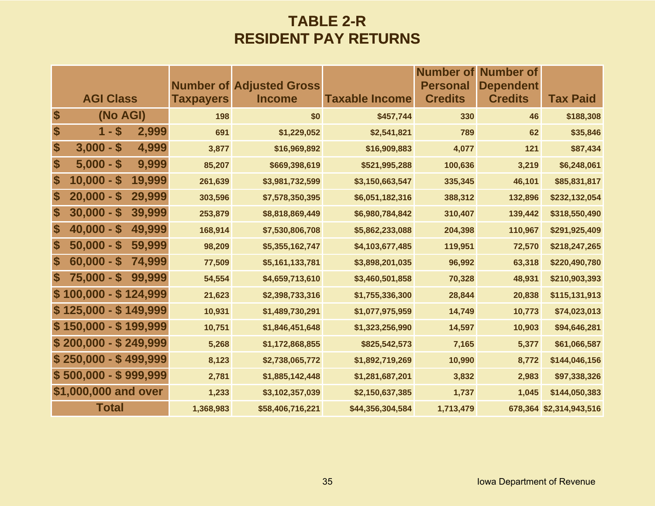### **TABLE 2-R RESIDENT PAY RETURNS**

|                   |                                         |        |                  |                                                  |                       | <b>Number of</b>                  | Number of                          |                         |
|-------------------|-----------------------------------------|--------|------------------|--------------------------------------------------|-----------------------|-----------------------------------|------------------------------------|-------------------------|
|                   | <b>AGI Class</b>                        |        | <b>Taxpayers</b> | <b>Number of Adjusted Gross</b><br><b>Income</b> | <b>Taxable Income</b> | <b>Personal</b><br><b>Credits</b> | <b>Dependent</b><br><b>Credits</b> | <b>Tax Paid</b>         |
| $\boldsymbol{\$}$ | (No AGI)                                |        | 198              | \$0                                              | \$457,744             | 330                               | 46                                 | \$188,308               |
| \$                | $1 - $$                                 | 2,999  | 691              | \$1,229,052                                      | \$2,541,821           | 789                               | 62                                 | \$35,846                |
| \$                | $3,000 - $$                             | 4,999  | 3,877            | \$16,969,892                                     | \$16,909,883          | 4,077                             | 121                                | \$87,434                |
| \$                | $5,000 - $$                             | 9,999  | 85,207           | \$669,398,619                                    | \$521,995,288         | 100,636                           | 3,219                              | \$6,248,061             |
| \$                | $10,000 -$<br>$\boldsymbol{\mathsf{s}}$ | 19,999 | 261,639          | \$3,981,732,599                                  | \$3,150,663,547       | 335,345                           | 46,101                             | \$85,831,817            |
| \$                | $20,000 -$<br>$\mathbf{\$}$             | 29,999 | 303,596          | \$7,578,350,395                                  | \$6,051,182,316       | 388,312                           | 132,896                            | \$232,132,054           |
| \$                | $30,000 - $$                            | 39,999 | 253,879          | \$8,818,869,449                                  | \$6,980,784,842       | 310,407                           | 139,442                            | \$318,550,490           |
| S                 | $40,000 - $$                            | 49,999 | 168,914          | \$7,530,806,708                                  | \$5,862,233,088       | 204,398                           | 110,967                            | \$291,925,409           |
| \$                | $50,000 - $$                            | 59,999 | 98,209           | \$5,355,162,747                                  | \$4,103,677,485       | 119,951                           | 72,570                             | \$218,247,265           |
| \$                | $60,000 - $$                            | 74,999 | 77,509           | \$5,161,133,781                                  | \$3,898,201,035       | 96,992                            | 63,318                             | \$220,490,780           |
| $\mathbf s$       | $75,000 - $$                            | 99,999 | 54,554           | \$4,659,713,610                                  | \$3,460,501,858       | 70,328                            | 48,931                             | \$210,903,393           |
|                   | $$100,000 - $124,999$                   |        | 21,623           | \$2,398,733,316                                  | \$1,755,336,300       | 28,844                            | 20,838                             | \$115,131,913           |
|                   | $$125,000 - $149,999$                   |        | 10,931           | \$1,489,730,291                                  | \$1,077,975,959       | 14,749                            | 10,773                             | \$74,023,013            |
|                   | $$150,000 - $199,999$                   |        | 10,751           | \$1,846,451,648                                  | \$1,323,256,990       | 14,597                            | 10,903                             | \$94,646,281            |
|                   | $$200,000 - $249,999$                   |        | 5,268            | \$1,172,868,855                                  | \$825,542,573         | 7,165                             | 5,377                              | \$61,066,587            |
|                   | $$250,000 - $499,999$                   |        | 8,123            | \$2,738,065,772                                  | \$1,892,719,269       | 10,990                            | 8,772                              | \$144,046,156           |
|                   | $$500,000 - $999,999$                   |        | 2,781            | \$1,885,142,448                                  | \$1,281,687,201       | 3,832                             | 2,983                              | \$97,338,326            |
|                   | \$1,000,000 and over                    |        | 1,233            | \$3,102,357,039                                  | \$2,150,637,385       | 1,737                             | 1,045                              | \$144,050,383           |
|                   | <b>Total</b>                            |        | 1,368,983        | \$58,406,716,221                                 | \$44,356,304,584      | 1,713,479                         |                                    | 678,364 \$2,314,943,516 |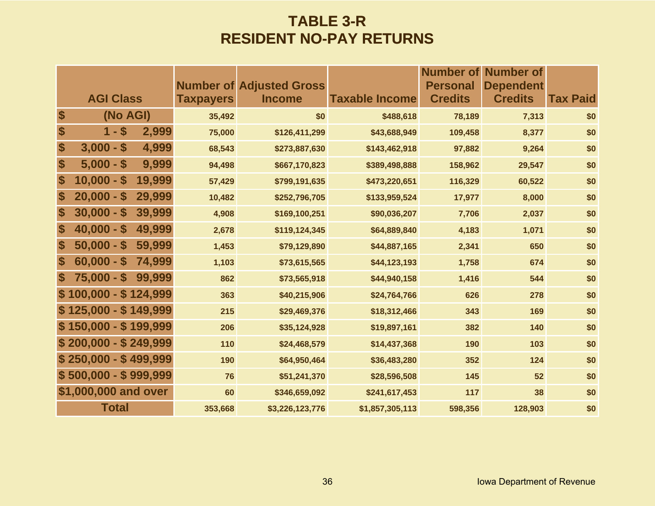### **TABLE 3-R RESIDENT NO-PAY RETURNS**

|                   |                        |                  |                                                  |                       |                                   | <b>Number of Number of</b>         |                 |
|-------------------|------------------------|------------------|--------------------------------------------------|-----------------------|-----------------------------------|------------------------------------|-----------------|
|                   | <b>AGI Class</b>       | <b>Taxpayers</b> | <b>Number of Adjusted Gross</b><br><b>Income</b> | <b>Taxable Income</b> | <b>Personal</b><br><b>Credits</b> | <b>Dependent</b><br><b>Credits</b> | <b>Tax Paid</b> |
| \$                | (No AGI)               | 35,492           | \$0                                              | \$488,618             | 78,189                            | 7,313                              | \$0             |
| \$                | $1 - $$<br>2,999       | 75,000           | \$126,411,299                                    | \$43,688,949          | 109,458                           | 8,377                              | \$0             |
| \$                | $3,000 - $$<br>4,999   | 68,543           | \$273,887,630                                    | \$143,462,918         | 97,882                            | 9,264                              | \$0             |
| \$                | 9,999<br>$5,000 - $$   | 94,498           | \$667,170,823                                    | \$389,498,888         | 158,962                           | 29,547                             | \$0             |
| \$                | $10,000 - $$<br>19,999 | 57,429           | \$799,191,635                                    | \$473,220,651         | 116,329                           | 60,522                             | \$0             |
| \$                | 29,999<br>$20,000 - $$ | 10,482           | \$252,796,705                                    | \$133,959,524         | 17,977                            | 8,000                              | \$0             |
| \$                | $30,000 - $$<br>39,999 | 4,908            | \$169,100,251                                    | \$90,036,207          | 7,706                             | 2,037                              | \$0             |
| $\boldsymbol{\$}$ | $40,000 - $$<br>49,999 | 2,678            | \$119,124,345                                    | \$64,889,840          | 4,183                             | 1,071                              | \$0             |
| $\boldsymbol{\$}$ | $50,000 - $$<br>59,999 | 1,453            | \$79,129,890                                     | \$44,887,165          | 2,341                             | 650                                | \$0             |
| $\boldsymbol{\$}$ | $60,000 - $$<br>74,999 | 1,103            | \$73,615,565                                     | \$44,123,193          | 1,758                             | 674                                | \$0             |
| S                 | $75,000 - $$<br>99,999 | 862              | \$73,565,918                                     | \$44,940,158          | 1,416                             | 544                                | \$0             |
|                   | $$100,000 - $124,999$  | 363              | \$40,215,906                                     | \$24,764,766          | 626                               | 278                                | \$0             |
|                   | $$125,000 - $149,999$  | 215              | \$29,469,376                                     | \$18,312,466          | 343                               | 169                                | \$0             |
|                   | $$150,000 - $199,999$  | 206              | \$35,124,928                                     | \$19,897,161          | 382                               | 140                                | \$0             |
|                   | $$200,000 - $249,999$  | 110              | \$24,468,579                                     | \$14,437,368          | 190                               | 103                                | \$0             |
|                   | $$250,000 - $499,999$  | 190              | \$64,950,464                                     | \$36,483,280          | 352                               | 124                                | \$0             |
|                   | $$500,000 - $999,999$  | 76               | \$51,241,370                                     | \$28,596,508          | 145                               | 52                                 | \$0             |
|                   | \$1,000,000 and over   | 60               | \$346,659,092                                    | \$241,617,453         | 117                               | 38                                 | \$0             |
|                   | <b>Total</b>           | 353,668          | \$3,226,123,776                                  | \$1,857,305,113       | 598,356                           | 128,903                            | \$0             |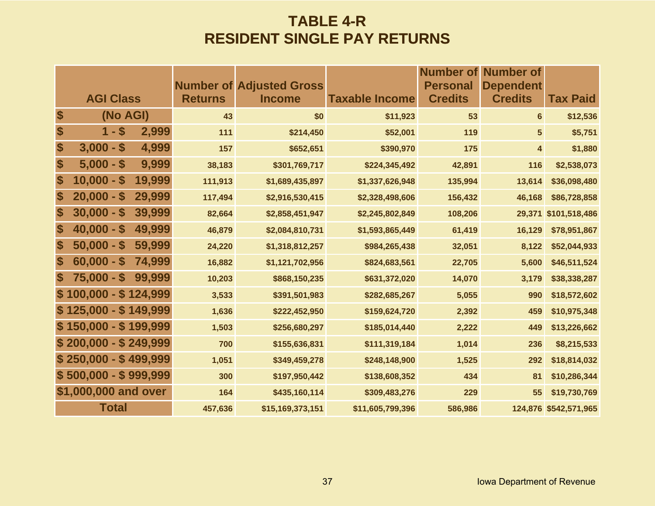### **TABLE 4-R RESIDENT SINGLE PAY RETURNS**

|                           |                       |        |                | <b>Number of Adjusted Gross</b> |                       | <b>Number of</b><br><b>Personal</b> | <b>Number of</b><br><b>Dependent</b> |                       |
|---------------------------|-----------------------|--------|----------------|---------------------------------|-----------------------|-------------------------------------|--------------------------------------|-----------------------|
|                           | <b>AGI Class</b>      |        | <b>Returns</b> | <b>Income</b>                   | <b>Taxable Income</b> | <b>Credits</b>                      | <b>Credits</b>                       | <b>Tax Paid</b>       |
| \$                        | (No AGI)              |        | 43             | \$0                             | \$11,923              | 53                                  | $6\phantom{a}$                       | \$12,536              |
| \$                        | $1 - $$               | 2,999  | 111            | \$214,450                       | \$52,001              | 119                                 | $5\overline{)}$                      | \$5,751               |
| \$                        | $3,000 - $$           | 4,999  | 157            | \$652,651                       | \$390,970             | 175                                 | $\overline{\mathbf{4}}$              | \$1,880               |
| \$                        | $5,000 - $$           | 9,999  | 38,183         | \$301,769,717                   | \$224,345,492         | 42,891                              | 116                                  | \$2,538,073           |
| \$                        | $10,000 - $$          | 19,999 | 111,913        | \$1,689,435,897                 | \$1,337,626,948       | 135,994                             | 13,614                               | \$36,098,480          |
| \$                        | $20,000 - $$          | 29,999 | 117,494        | \$2,916,530,415                 | \$2,328,498,606       | 156,432                             | 46,168                               | \$86,728,858          |
| \$                        | $30,000 - $$          | 39,999 | 82,664         | \$2,858,451,947                 | \$2,245,802,849       | 108,206                             | 29,371                               | \$101,518,486         |
| $\boldsymbol{\$}$         | $40,000 - $$          | 49,999 | 46,879         | \$2,084,810,731                 | \$1,593,865,449       | 61,419                              | 16,129                               | \$78,951,867          |
| $\boldsymbol{\$}$         | $50,000 - $$          | 59,999 | 24,220         | \$1,318,812,257                 | \$984,265,438         | 32,051                              | 8,122                                | \$52,044,933          |
| $\boldsymbol{\$}$         | $60,000 - $$          | 74,999 | 16,882         | \$1,121,702,956                 | \$824,683,561         | 22,705                              | 5,600                                | \$46,511,524          |
| $\boldsymbol{\mathsf{s}}$ | $75,000 - $$          | 99,999 | 10,203         | \$868,150,235                   | \$631,372,020         | 14,070                              | 3,179                                | \$38,338,287          |
|                           | $$100,000 - $124,999$ |        | 3,533          | \$391,501,983                   | \$282,685,267         | 5,055                               | 990                                  | \$18,572,602          |
|                           | $$125,000 - $149,999$ |        | 1,636          | \$222,452,950                   | \$159,624,720         | 2,392                               | 459                                  | \$10,975,348          |
|                           | $$150,000 - $199,999$ |        | 1,503          | \$256,680,297                   | \$185,014,440         | 2,222                               | 449                                  | \$13,226,662          |
|                           | $$200,000 - $249,999$ |        | 700            | \$155,636,831                   | \$111,319,184         | 1,014                               | 236                                  | \$8,215,533           |
|                           | $$250,000 - $499,999$ |        | 1,051          | \$349,459,278                   | \$248,148,900         | 1,525                               | 292                                  | \$18,814,032          |
|                           | $$500,000 - $999,999$ |        | 300            | \$197,950,442                   | \$138,608,352         | 434                                 | 81                                   | \$10,286,344          |
|                           | \$1,000,000 and over  |        | 164            | \$435,160,114                   | \$309,483,276         | 229                                 | 55                                   | \$19,730,769          |
|                           | <b>Total</b>          |        | 457,636        | \$15,169,373,151                | \$11,605,799,396      | 586,986                             |                                      | 124,876 \$542,571,965 |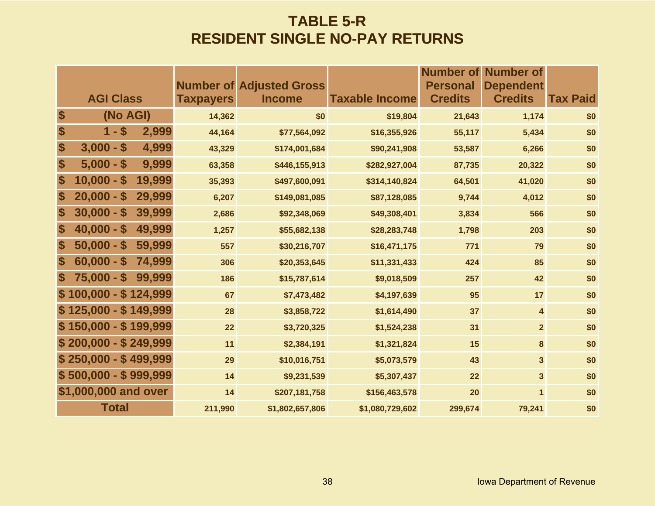### **TABLE 5-R RESIDENT SINGLE NO-PAY RETURNS**

|                           |                        |                  | <b>Number of Adjusted Gross</b> |                       | <b>Number of</b><br><b>Personal</b> | Number of<br><b>Dependent</b> |                 |
|---------------------------|------------------------|------------------|---------------------------------|-----------------------|-------------------------------------|-------------------------------|-----------------|
|                           | <b>AGI Class</b>       | <b>Taxpayers</b> | <b>Income</b>                   | <b>Taxable Income</b> | <b>Credits</b>                      | <b>Credits</b>                | <b>Tax Paid</b> |
| $\boldsymbol{\$}$         | (No AGI)               | 14,362           | \$0                             | \$19,804              | 21,643                              | 1,174                         | \$0             |
| $\boldsymbol{\$}$         | $1 - $$<br>2,999       | 44,164           | \$77,564,092                    | \$16,355,926          | 55,117                              | 5,434                         | \$0             |
| $\boldsymbol{\$}$         | $3,000 - $$<br>4,999   | 43,329           | \$174,001,684                   | \$90,241,908          | 53,587                              | 6,266                         | \$0             |
| \$                        | $5,000 - $$<br>9,999   | 63,358           | \$446,155,913                   | \$282,927,004         | 87,735                              | 20,322                        | \$0             |
| \$                        | $10,000 - $$<br>19,999 | 35,393           | \$497,600,091                   | \$314,140,824         | 64,501                              | 41,020                        | \$0             |
| $\boldsymbol{\$}$         | 29,999<br>$20,000 - $$ | 6,207            | \$149,081,085                   | \$87,128,085          | 9,744                               | 4,012                         | \$0             |
| $\boldsymbol{\$}$         | $30,000 - $$<br>39,999 | 2,686            | \$92,348,069                    | \$49,308,401          | 3,834                               | 566                           | \$0             |
| $\boldsymbol{\mathsf{s}}$ | $40,000 - $$<br>49,999 | 1,257            | \$55,682,138                    | \$28,283,748          | 1,798                               | 203                           | \$0             |
| $\boldsymbol{\mathsf{s}}$ | $50,000 - $$<br>59,999 | 557              | \$30,216,707                    | \$16,471,175          | 771                                 | 79                            | \$0             |
| $\boldsymbol{\mathsf{s}}$ | $60,000 - $$<br>74,999 | 306              | \$20,353,645                    | \$11,331,433          | 424                                 | 85                            | \$0             |
| S                         | $75,000 - $$<br>99,999 | 186              | \$15,787,614                    | \$9,018,509           | 257                                 | 42                            | \$0             |
|                           | $$100,000 - $124,999$  | 67               | \$7,473,482                     | \$4,197,639           | 95                                  | 17                            | \$0             |
|                           | $$125,000 - $149,999$  | 28               | \$3,858,722                     | \$1,614,490           | 37                                  | 4                             | \$0             |
|                           | $$150,000 - $199,999$  | 22               | \$3,720,325                     | \$1,524,238           | 31                                  | $\overline{2}$                | \$0             |
|                           | $$200,000 - $249,999$  | 11               | \$2,384,191                     | \$1,321,824           | 15                                  | 8                             | \$0             |
|                           | $$250,000 - $499,999$  | 29               | \$10,016,751                    | \$5,073,579           | 43                                  | $\overline{\mathbf{3}}$       | \$0             |
|                           | $$500,000 - $999,999$  | 14               | \$9,231,539                     | \$5,307,437           | 22                                  | $\overline{\mathbf{3}}$       | \$0             |
|                           | \$1,000,000 and over   | 14               | \$207,181,758                   | \$156,463,578         | 20                                  | $\mathbf{1}$                  | \$0             |
|                           | <b>Total</b>           | 211,990          | \$1,802,657,806                 | \$1,080,729,602       | 299,674                             | 79,241                        | \$0             |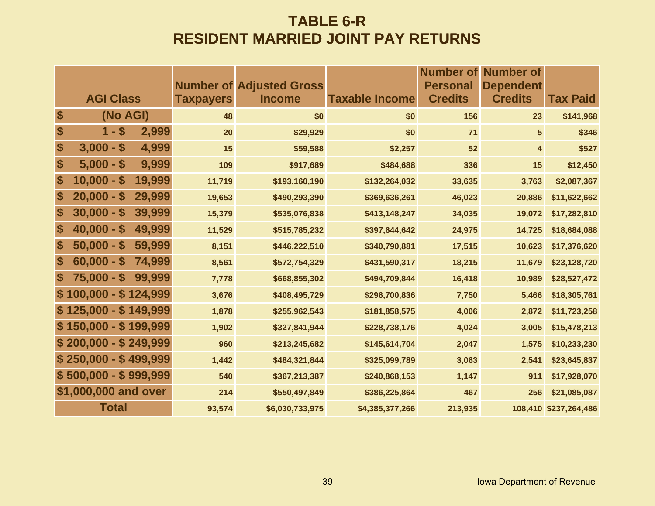### **TABLE 6-R RESIDENT MARRIED JOINT PAY RETURNS**

|                   |                       |        |                  | <b>Number of Adjusted Gross</b> |                       | <b>Number of</b><br><b>Personal</b> | <b>Number of</b><br><b>Dependent</b> |                       |
|-------------------|-----------------------|--------|------------------|---------------------------------|-----------------------|-------------------------------------|--------------------------------------|-----------------------|
|                   | <b>AGI Class</b>      |        | <b>Taxpayers</b> | <b>Income</b>                   | <b>Taxable Income</b> | <b>Credits</b>                      | <b>Credits</b>                       | <b>Tax Paid</b>       |
| \$                | (No AGI)              |        | 48               | \$0                             | \$0                   | 156                                 | 23                                   | \$141,968             |
| \$                | $1 - $$               | 2,999  | 20               | \$29,929                        | \$0                   | 71                                  | $5\phantom{.0}$                      | \$346                 |
| \$                | $3,000 - $$           | 4,999  | 15               | \$59,588                        | \$2,257               | 52                                  | 4                                    | \$527                 |
| \$                | $5,000 - $$           | 9,999  | 109              | \$917,689                       | \$484,688             | 336                                 | 15                                   | \$12,450              |
| \$                | $10,000 - $$          | 19,999 | 11,719           | \$193,160,190                   | \$132,264,032         | 33,635                              | 3,763                                | \$2,087,367           |
| \$                | $20,000 - $$          | 29,999 | 19,653           | \$490,293,390                   | \$369,636,261         | 46,023                              | 20,886                               | \$11,622,662          |
| \$                | $30,000 - $$          | 39,999 | 15,379           | \$535,076,838                   | \$413,148,247         | 34,035                              | 19,072                               | \$17,282,810          |
| $\boldsymbol{\$}$ | $40,000 - $$          | 49,999 | 11,529           | \$515,785,232                   | \$397,644,642         | 24,975                              | 14,725                               | \$18,684,088          |
| $\boldsymbol{\$}$ | $50,000 - $$          | 59,999 | 8,151            | \$446,222,510                   | \$340,790,881         | 17,515                              | 10,623                               | \$17,376,620          |
| $\boldsymbol{\$}$ | $60,000 - $$          | 74,999 | 8,561            | \$572,754,329                   | \$431,590,317         | 18,215                              | 11,679                               | \$23,128,720          |
| $\boldsymbol{\$}$ | $75,000 - $$          | 99,999 | 7,778            | \$668,855,302                   | \$494,709,844         | 16,418                              | 10,989                               | \$28,527,472          |
|                   | $$100,000 - $124,999$ |        | 3,676            | \$408,495,729                   | \$296,700,836         | 7,750                               | 5,466                                | \$18,305,761          |
|                   | $$125,000 - $149,999$ |        | 1,878            | \$255,962,543                   | \$181,858,575         | 4,006                               | 2,872                                | \$11,723,258          |
|                   | $$150,000 - $199,999$ |        | 1,902            | \$327,841,944                   | \$228,738,176         | 4,024                               | 3,005                                | \$15,478,213          |
|                   | $$200,000 - $249,999$ |        | 960              | \$213,245,682                   | \$145,614,704         | 2,047                               | 1,575                                | \$10,233,230          |
|                   | $$250,000 - $499,999$ |        | 1,442            | \$484,321,844                   | \$325,099,789         | 3,063                               | 2,541                                | \$23,645,837          |
|                   | $$500,000 - $999,999$ |        | 540              | \$367,213,387                   | \$240,868,153         | 1,147                               | 911                                  | \$17,928,070          |
|                   | \$1,000,000 and over  |        | 214              | \$550,497,849                   | \$386,225,864         | 467                                 | 256                                  | \$21,085,087          |
|                   | <b>Total</b>          |        | 93,574           | \$6,030,733,975                 | \$4,385,377,266       | 213,935                             |                                      | 108,410 \$237,264,486 |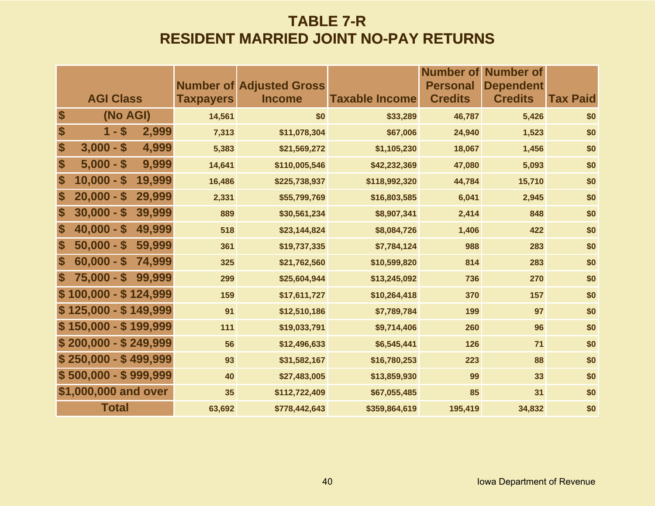### **TABLE 7-R RESIDENT MARRIED JOINT NO-PAY RETURNS**

|                   |                       |        |                  | <b>Number of Adjusted Gross</b> |                       | <b>Personal</b> | <b>Number of Number of</b><br><b>Dependent</b> |          |
|-------------------|-----------------------|--------|------------------|---------------------------------|-----------------------|-----------------|------------------------------------------------|----------|
|                   | <b>AGI Class</b>      |        | <b>Taxpayers</b> | <b>Income</b>                   | <b>Taxable Income</b> | <b>Credits</b>  | <b>Credits</b>                                 | Tax Paid |
| \$                | (No AGI)              |        | 14,561           | \$0                             | \$33,289              | 46,787          | 5,426                                          | \$0      |
| \$                | $1 - $$               | 2,999  | 7,313            | \$11,078,304                    | \$67,006              | 24,940          | 1,523                                          | \$0      |
| \$                | $3,000 - $$           | 4,999  | 5,383            | \$21,569,272                    | \$1,105,230           | 18,067          | 1,456                                          | \$0      |
| \$                | $5,000 - $$           | 9,999  | 14,641           | \$110,005,546                   | \$42,232,369          | 47,080          | 5,093                                          | \$0      |
| \$                | $10,000 - $$          | 19,999 | 16,486           | \$225,738,937                   | \$118,992,320         | 44,784          | 15,710                                         | \$0      |
| $\boldsymbol{\$}$ | $20,000 - $$          | 29,999 | 2,331            | \$55,799,769                    | \$16,803,585          | 6,041           | 2,945                                          | \$0      |
| \$                | $30,000 - $$          | 39,999 | 889              | \$30,561,234                    | \$8,907,341           | 2,414           | 848                                            | \$0      |
| \$                | $40,000 - $$          | 49,999 | 518              | \$23,144,824                    | \$8,084,726           | 1,406           | 422                                            | \$0      |
| \$                | $50,000 - $$          | 59,999 | 361              | \$19,737,335                    | \$7,784,124           | 988             | 283                                            | \$0      |
| \$                | $60,000 - $$          | 74,999 | 325              | \$21,762,560                    | \$10,599,820          | 814             | 283                                            | \$0      |
| S                 | $75,000 - $$          | 99,999 | 299              | \$25,604,944                    | \$13,245,092          | 736             | 270                                            | \$0      |
|                   | $$100,000 - $124,999$ |        | 159              | \$17,611,727                    | \$10,264,418          | 370             | 157                                            | \$0      |
|                   | $$125,000 - $149,999$ |        | 91               | \$12,510,186                    | \$7,789,784           | 199             | 97                                             | \$0      |
|                   | $$150,000 - $199,999$ |        | 111              | \$19,033,791                    | \$9,714,406           | 260             | 96                                             | \$0      |
|                   | $$200,000 - $249,999$ |        | 56               | \$12,496,633                    | \$6,545,441           | 126             | 71                                             | \$0      |
|                   | $$250,000 - $499,999$ |        | 93               | \$31,582,167                    | \$16,780,253          | 223             | 88                                             | \$0      |
|                   | $$500,000 - $999,999$ |        | 40               | \$27,483,005                    | \$13,859,930          | 99              | 33                                             | \$0      |
|                   | \$1,000,000 and over  |        | 35               | \$112,722,409                   | \$67,055,485          | 85              | 31                                             | \$0      |
|                   | <b>Total</b>          |        | 63,692           | \$778,442,643                   | \$359,864,619         | 195,419         | 34,832                                         | \$0      |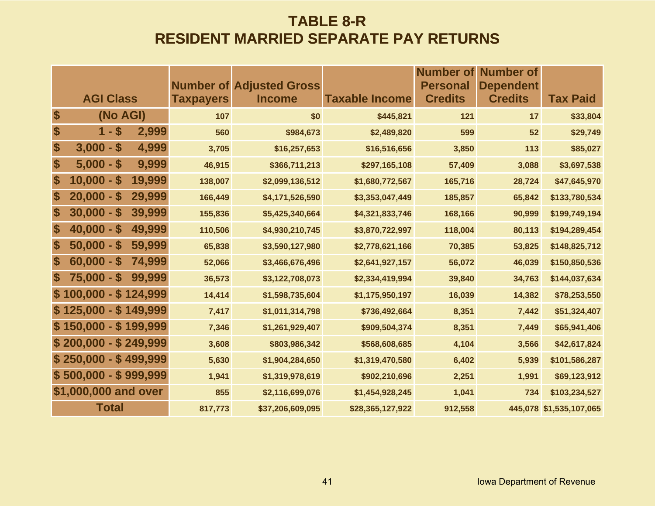#### **TABLE 8-R RESIDENT MARRIED SEPARATE PAY RETURNS**

|                           |                                         |        |                  |                                                  |                       | <b>Number of</b>                  | Number of                          |                         |
|---------------------------|-----------------------------------------|--------|------------------|--------------------------------------------------|-----------------------|-----------------------------------|------------------------------------|-------------------------|
|                           | <b>AGI Class</b>                        |        | <b>Taxpayers</b> | <b>Number of Adjusted Gross</b><br><b>Income</b> | <b>Taxable Income</b> | <b>Personal</b><br><b>Credits</b> | <b>Dependent</b><br><b>Credits</b> | <b>Tax Paid</b>         |
| \$                        | (No AGI)                                |        | 107              | \$0                                              | \$445,821             | 121                               | 17                                 | \$33,804                |
| $\boldsymbol{\$}$         | $1 - $$                                 | 2,999  | 560              | \$984,673                                        | \$2,489,820           | 599                               | 52                                 | \$29,749                |
| $\boldsymbol{\$}$         | $3,000 - $$                             | 4,999  | 3,705            | \$16,257,653                                     | \$16,516,656          | 3,850                             | 113                                | \$85,027                |
| \$                        | $5,000 - $$                             | 9,999  | 46,915           | \$366,711,213                                    | \$297,165,108         | 57,409                            | 3,088                              | \$3,697,538             |
| \$                        | $10,000 -$<br><b>S</b>                  | 19,999 | 138,007          | \$2,099,136,512                                  | \$1,680,772,567       | 165,716                           | 28,724                             | \$47,645,970            |
| \$                        | $20,000 -$<br>S                         | 29,999 | 166,449          | \$4,171,526,590                                  | \$3,353,047,449       | 185,857                           | 65,842                             | \$133,780,534           |
| \$                        | $30,000 - $$                            | 39,999 | 155,836          | \$5,425,340,664                                  | \$4,321,833,746       | 168,166                           | 90,999                             | \$199,749,194           |
| \$                        | $40,000 - $$                            | 49,999 | 110,506          | \$4,930,210,745                                  | \$3,870,722,997       | 118,004                           | 80,113                             | \$194,289,454           |
| $\boldsymbol{\$}$         | $50,000 - $$                            | 59,999 | 65,838           | \$3,590,127,980                                  | \$2,778,621,166       | 70,385                            | 53,825                             | \$148,825,712           |
| $\boldsymbol{\$}$         | $60,000 -$<br>$\boldsymbol{\mathsf{s}}$ | 74,999 | 52,066           | \$3,466,676,496                                  | \$2,641,927,157       | 56,072                            | 46,039                             | \$150,850,536           |
| $\boldsymbol{\mathsf{s}}$ | $75,000 - $$                            | 99,999 | 36,573           | \$3,122,708,073                                  | \$2,334,419,994       | 39,840                            | 34,763                             | \$144,037,634           |
|                           | $$100,000 - $124,999$                   |        | 14,414           | \$1,598,735,604                                  | \$1,175,950,197       | 16,039                            | 14,382                             | \$78,253,550            |
|                           | $$125,000 - $149,999$                   |        | 7,417            | \$1,011,314,798                                  | \$736,492,664         | 8,351                             | 7,442                              | \$51,324,407            |
|                           | $$150,000 - $199,999$                   |        | 7,346            | \$1,261,929,407                                  | \$909,504,374         | 8,351                             | 7,449                              | \$65,941,406            |
|                           | $$200,000 - $249,999$                   |        | 3,608            | \$803,986,342                                    | \$568,608,685         | 4,104                             | 3,566                              | \$42,617,824            |
|                           | $$250,000 - $499,999$                   |        | 5,630            | \$1,904,284,650                                  | \$1,319,470,580       | 6,402                             | 5,939                              | \$101,586,287           |
|                           | $$500,000 - $999,999$                   |        | 1,941            | \$1,319,978,619                                  | \$902,210,696         | 2,251                             | 1,991                              | \$69,123,912            |
|                           | \$1,000,000 and over                    |        | 855              | \$2,116,699,076                                  | \$1,454,928,245       | 1,041                             | 734                                | \$103,234,527           |
|                           | <b>Total</b>                            |        | 817,773          | \$37,206,609,095                                 | \$28,365,127,922      | 912,558                           |                                    | 445,078 \$1,535,107,065 |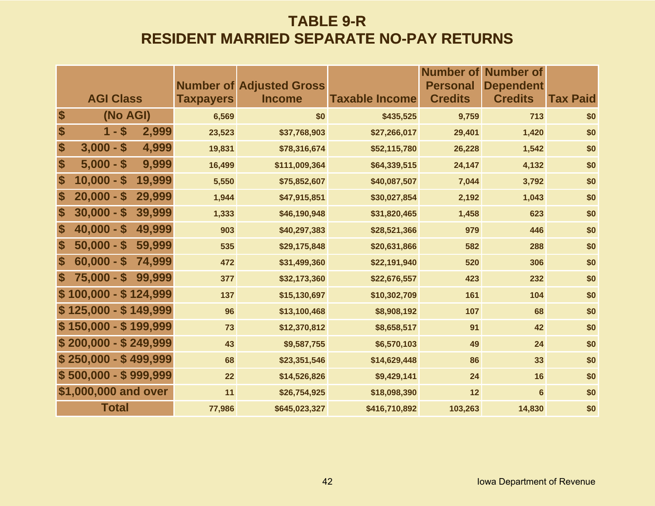### **TABLE 9-R RESIDENT MARRIED SEPARATE NO-PAY RETURNS**

|                   |                        |                  |                                                  |                       |                                   | <b>Number of Number of</b>         |          |
|-------------------|------------------------|------------------|--------------------------------------------------|-----------------------|-----------------------------------|------------------------------------|----------|
|                   | <b>AGI Class</b>       | <b>Taxpayers</b> | <b>Number of Adjusted Gross</b><br><b>Income</b> | <b>Taxable Income</b> | <b>Personal</b><br><b>Credits</b> | <b>Dependent</b><br><b>Credits</b> | Tax Paid |
| $\boldsymbol{\$}$ | (No AGI)               | 6,569            | \$0                                              | \$435,525             | 9,759                             | 713                                | \$0      |
| \$                | $1 - $$<br>2,999       | 23,523           | \$37,768,903                                     | \$27,266,017          | 29,401                            | 1,420                              | \$0      |
| \$                | $3,000 - $$<br>4,999   | 19,831           | \$78,316,674                                     | \$52,115,780          | 26,228                            | 1,542                              | \$0      |
| \$                | 9,999<br>$5,000 - $$   | 16,499           | \$111,009,364                                    | \$64,339,515          | 24,147                            | 4,132                              | \$0      |
| \$                | $10,000 - $$<br>19,999 | 5,550            | \$75,852,607                                     | \$40,087,507          | 7,044                             | 3,792                              | \$0      |
| \$                | $20,000 - $$<br>29,999 | 1,944            | \$47,915,851                                     | \$30,027,854          | 2,192                             | 1,043                              | \$0      |
| \$                | $30,000 - $$<br>39,999 | 1,333            | \$46,190,948                                     | \$31,820,465          | 1,458                             | 623                                | \$0      |
| \$                | $40,000 - $$<br>49,999 | 903              | \$40,297,383                                     | \$28,521,366          | 979                               | 446                                | \$0      |
| \$                | $50,000 - $$<br>59,999 | 535              | \$29,175,848                                     | \$20,631,866          | 582                               | 288                                | \$0      |
| $\boldsymbol{\$}$ | $60,000 - $$<br>74,999 | 472              | \$31,499,360                                     | \$22,191,940          | 520                               | 306                                | \$0      |
| \$                | $75,000 - $$<br>99,999 | 377              | \$32,173,360                                     | \$22,676,557          | 423                               | 232                                | \$0      |
|                   | 100,000 - \$124,999    | 137              | \$15,130,697                                     | \$10,302,709          | 161                               | 104                                | \$0      |
|                   | $$125,000 - $149,999$  | 96               | \$13,100,468                                     | \$8,908,192           | 107                               | 68                                 | \$0      |
|                   | $$150,000 - $199,999$  | 73               | \$12,370,812                                     | \$8,658,517           | 91                                | 42                                 | \$0      |
|                   | $$200,000 - $249,999$  | 43               | \$9,587,755                                      | \$6,570,103           | 49                                | 24                                 | \$0      |
|                   | $$250,000 - $499,999$  | 68               | \$23,351,546                                     | \$14,629,448          | 86                                | 33                                 | \$0      |
|                   | $$500,000 - $999,999$  | 22               | \$14,526,826                                     | \$9,429,141           | 24                                | 16                                 | \$0      |
|                   | \$1,000,000 and over   | 11               | \$26,754,925                                     | \$18,098,390          | 12                                | $6\phantom{a}$                     | \$0      |
|                   | <b>Total</b>           | 77,986           | \$645,023,327                                    | \$416,710,892         | 103,263                           | 14,830                             | \$0      |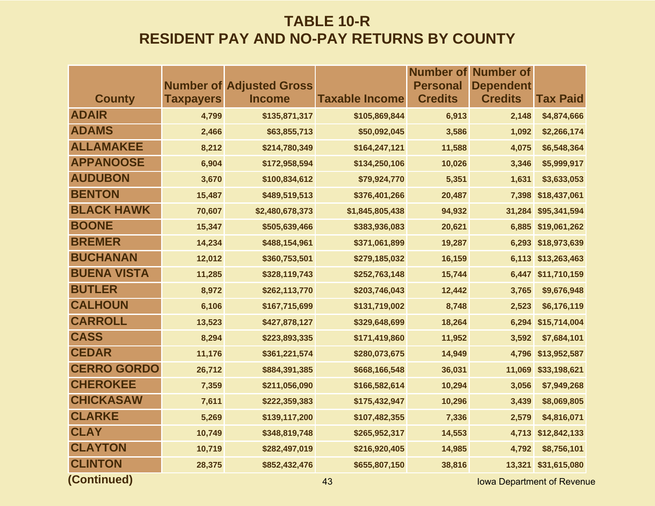|                    |                  |                                 |                       |                 | <b>Number of Number of</b> |                 |
|--------------------|------------------|---------------------------------|-----------------------|-----------------|----------------------------|-----------------|
|                    |                  | <b>Number of Adjusted Gross</b> |                       | <b>Personal</b> | <b>Dependent</b>           |                 |
| <b>County</b>      | <b>Taxpayers</b> | <b>Income</b>                   | <b>Taxable Income</b> | <b>Credits</b>  | <b>Credits</b>             | <b>Tax Paid</b> |
| <b>ADAIR</b>       | 4,799            | \$135,871,317                   | \$105,869,844         | 6,913           | 2,148                      | \$4,874,666     |
| <b>ADAMS</b>       | 2,466            | \$63,855,713                    | \$50,092,045          | 3,586           | 1,092                      | \$2,266,174     |
| <b>ALLAMAKEE</b>   | 8,212            | \$214,780,349                   | \$164,247,121         | 11,588          | 4,075                      | \$6,548,364     |
| <b>APPANOOSE</b>   | 6,904            | \$172,958,594                   | \$134,250,106         | 10,026          | 3,346                      | \$5,999,917     |
| <b>AUDUBON</b>     | 3,670            | \$100,834,612                   | \$79,924,770          | 5,351           | 1,631                      | \$3,633,053     |
| <b>BENTON</b>      | 15,487           | \$489,519,513                   | \$376,401,266         | 20,487          | 7,398                      | \$18,437,061    |
| <b>BLACK HAWK</b>  | 70,607           | \$2,480,678,373                 | \$1,845,805,438       | 94,932          | 31,284                     | \$95,341,594    |
| <b>BOONE</b>       | 15,347           | \$505,639,466                   | \$383,936,083         | 20,621          | 6,885                      | \$19,061,262    |
| <b>BREMER</b>      | 14,234           | \$488,154,961                   | \$371,061,899         | 19,287          | 6,293                      | \$18,973,639    |
| <b>BUCHANAN</b>    | 12,012           | \$360,753,501                   | \$279,185,032         | 16,159          | 6,113                      | \$13,263,463    |
| <b>BUENA VISTA</b> | 11,285           | \$328,119,743                   | \$252,763,148         | 15,744          | 6,447                      | \$11,710,159    |
| <b>BUTLER</b>      | 8,972            | \$262,113,770                   | \$203,746,043         | 12,442          | 3,765                      | \$9,676,948     |
| <b>CALHOUN</b>     | 6,106            | \$167,715,699                   | \$131,719,002         | 8,748           | 2,523                      | \$6,176,119     |
| <b>CARROLL</b>     | 13,523           | \$427,878,127                   | \$329,648,699         | 18,264          | 6,294                      | \$15,714,004    |
| <b>CASS</b>        | 8,294            | \$223,893,335                   | \$171,419,860         | 11,952          | 3,592                      | \$7,684,101     |
| <b>CEDAR</b>       | 11,176           | \$361,221,574                   | \$280,073,675         | 14,949          | 4,796                      | \$13,952,587    |
| <b>CERRO GORDO</b> | 26,712           | \$884,391,385                   | \$668,166,548         | 36,031          | 11,069                     | \$33,198,621    |
| <b>CHEROKEE</b>    | 7,359            | \$211,056,090                   | \$166,582,614         | 10,294          | 3,056                      | \$7,949,268     |
| <b>CHICKASAW</b>   | 7,611            | \$222,359,383                   | \$175,432,947         | 10,296          | 3,439                      | \$8,069,805     |
| <b>CLARKE</b>      | 5,269            | \$139,117,200                   | \$107,482,355         | 7,336           | 2,579                      | \$4,816,071     |
| <b>CLAY</b>        | 10,749           | \$348,819,748                   | \$265,952,317         | 14,553          | 4,713                      | \$12,842,133    |
| <b>CLAYTON</b>     | 10,719           | \$282,497,019                   | \$216,920,405         | 14,985          | 4,792                      | \$8,756,101     |
| <b>CLINTON</b>     | 28,375           | \$852,432,476                   | \$655,807,150         | 38,816          | 13,321                     | \$31,615,080    |
|                    |                  |                                 |                       |                 |                            |                 |

**(Continued)**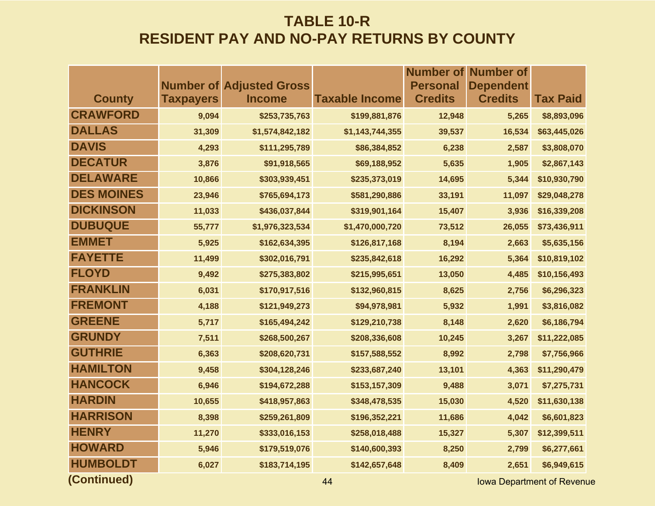|                   |                  |                                 |                       | <b>Number of</b> | <b>Number of</b>                 |                 |
|-------------------|------------------|---------------------------------|-----------------------|------------------|----------------------------------|-----------------|
|                   |                  | <b>Number of Adjusted Gross</b> |                       | <b>Personal</b>  | <b>Dependent</b>                 |                 |
| <b>County</b>     | <b>Taxpayers</b> | <b>Income</b>                   | <b>Taxable Income</b> | <b>Credits</b>   | <b>Credits</b>                   | <b>Tax Paid</b> |
| <b>CRAWFORD</b>   | 9,094            | \$253,735,763                   | \$199,881,876         | 12,948           | 5,265                            | \$8,893,096     |
| <b>DALLAS</b>     | 31,309           | \$1,574,842,182                 | \$1,143,744,355       | 39,537           | 16,534                           | \$63,445,026    |
| <b>DAVIS</b>      | 4,293            | \$111,295,789                   | \$86,384,852          | 6,238            | 2,587                            | \$3,808,070     |
| <b>DECATUR</b>    | 3,876            | \$91,918,565                    | \$69,188,952          | 5,635            | 1,905                            | \$2,867,143     |
| <b>DELAWARE</b>   | 10,866           | \$303,939,451                   | \$235,373,019         | 14,695           | 5,344                            | \$10,930,790    |
| <b>DES MOINES</b> | 23,946           | \$765,694,173                   | \$581,290,886         | 33,191           | 11,097                           | \$29,048,278    |
| <b>DICKINSON</b>  | 11,033           | \$436,037,844                   | \$319,901,164         | 15,407           | 3,936                            | \$16,339,208    |
| <b>DUBUQUE</b>    | 55,777           | \$1,976,323,534                 | \$1,470,000,720       | 73,512           | 26,055                           | \$73,436,911    |
| <b>EMMET</b>      | 5,925            | \$162,634,395                   | \$126,817,168         | 8,194            | 2,663                            | \$5,635,156     |
| <b>FAYETTE</b>    | 11,499           | \$302,016,791                   | \$235,842,618         | 16,292           | 5,364                            | \$10,819,102    |
| <b>FLOYD</b>      | 9,492            | \$275,383,802                   | \$215,995,651         | 13,050           | 4,485                            | \$10,156,493    |
| <b>FRANKLIN</b>   | 6,031            | \$170,917,516                   | \$132,960,815         | 8,625            | 2,756                            | \$6,296,323     |
| <b>FREMONT</b>    | 4,188            | \$121,949,273                   | \$94,978,981          | 5,932            | 1,991                            | \$3,816,082     |
| <b>GREENE</b>     | 5,717            | \$165,494,242                   | \$129,210,738         | 8,148            | 2,620                            | \$6,186,794     |
| <b>GRUNDY</b>     | 7,511            | \$268,500,267                   | \$208,336,608         | 10,245           | 3,267                            | \$11,222,085    |
| <b>GUTHRIE</b>    | 6,363            | \$208,620,731                   | \$157,588,552         | 8,992            | 2,798                            | \$7,756,966     |
| <b>HAMILTON</b>   | 9,458            | \$304,128,246                   | \$233,687,240         | 13,101           | 4,363                            | \$11,290,479    |
| <b>HANCOCK</b>    | 6,946            | \$194,672,288                   | \$153,157,309         | 9,488            | 3,071                            | \$7,275,731     |
| <b>HARDIN</b>     | 10,655           | \$418,957,863                   | \$348,478,535         | 15,030           | 4,520                            | \$11,630,138    |
| <b>HARRISON</b>   | 8,398            | \$259,261,809                   | \$196,352,221         | 11,686           | 4,042                            | \$6,601,823     |
| <b>HENRY</b>      | 11,270           | \$333,016,153                   | \$258,018,488         | 15,327           | 5,307                            | \$12,399,511    |
| <b>HOWARD</b>     | 5,946            | \$179,519,076                   | \$140,600,393         | 8,250            | 2,799                            | \$6,277,661     |
| <b>HUMBOLDT</b>   | 6,027            | \$183,714,195                   | \$142,657,648         | 8,409            | 2,651                            | \$6,949,615     |
| (Continued)       |                  |                                 | 44                    |                  | <b>Iowa Department of Revent</b> |                 |

**44** Iowa Department of Revenue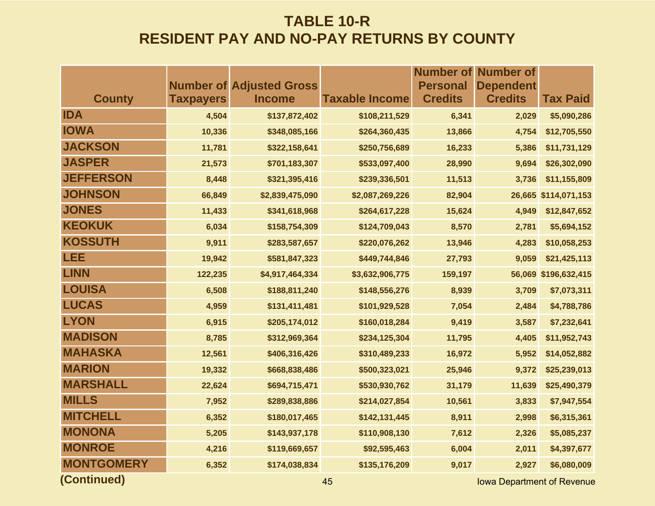|                   |                  |                                 |                       |                 | <b>Number of Number of</b>        |                      |
|-------------------|------------------|---------------------------------|-----------------------|-----------------|-----------------------------------|----------------------|
|                   |                  | <b>Number of Adjusted Gross</b> |                       | <b>Personal</b> | <b>Dependent</b>                  |                      |
| <b>County</b>     | <b>Taxpayers</b> | <b>Income</b>                   | <b>Taxable Income</b> | <b>Credits</b>  | <b>Credits</b>                    | <b>Tax Paid</b>      |
| <b>IDA</b>        | 4,504            | \$137,872,402                   | \$108,211,529         | 6,341           | 2,029                             | \$5,090,286          |
| <b>IOWA</b>       | 10,336           | \$348,085,166                   | \$264,360,435         | 13,866          | 4,754                             | \$12,705,550         |
| <b>JACKSON</b>    | 11,781           | \$322,158,641                   | \$250,756,689         | 16,233          | 5,386                             | \$11,731,129         |
| <b>JASPER</b>     | 21,573           | \$701,183,307                   | \$533,097,400         | 28,990          | 9,694                             | \$26,302,090         |
| <b>JEFFERSON</b>  | 8,448            | \$321,395,416                   | \$239,336,501         | 11,513          | 3,736                             | \$11,155,809         |
| <b>JOHNSON</b>    | 66,849           | \$2,839,475,090                 | \$2,087,269,226       | 82,904          |                                   | 26,665 \$114,071,153 |
| <b>JONES</b>      | 11,433           | \$341,618,968                   | \$264,617,228         | 15,624          | 4,949                             | \$12,847,652         |
| <b>KEOKUK</b>     | 6,034            | \$158,754,309                   | \$124,709,043         | 8,570           | 2,781                             | \$5,694,152          |
| <b>KOSSUTH</b>    | 9,911            | \$283,587,657                   | \$220,076,262         | 13,946          | 4,283                             | \$10,058,253         |
| <b>LEE</b>        | 19,942           | \$581,847,323                   | \$449,744,846         | 27,793          | 9,059                             | \$21,425,113         |
| <b>LINN</b>       | 122,235          | \$4,917,464,334                 | \$3,632,906,775       | 159,197         |                                   | 56,069 \$196,632,415 |
| <b>LOUISA</b>     | 6,508            | \$188,811,240                   | \$148,556,276         | 8,939           | 3,709                             | \$7,073,311          |
| <b>LUCAS</b>      | 4,959            | \$131,411,481                   | \$101,929,528         | 7,054           | 2,484                             | \$4,788,786          |
| <b>LYON</b>       | 6,915            | \$205,174,012                   | \$160,018,284         | 9,419           | 3,587                             | \$7,232,641          |
| <b>MADISON</b>    | 8,785            | \$312,969,364                   | \$234,125,304         | 11,795          | 4,405                             | \$11,952,743         |
| <b>MAHASKA</b>    | 12,561           | \$406,316,426                   | \$310,489,233         | 16,972          | 5,952                             | \$14,052,882         |
| <b>MARION</b>     | 19,332           | \$668,838,486                   | \$500,323,021         | 25,946          | 9,372                             | \$25,239,013         |
| <b>MARSHALL</b>   | 22,624           | \$694,715,471                   | \$530,930,762         | 31,179          | 11,639                            | \$25,490,379         |
| <b>MILLS</b>      | 7,952            | \$289,838,886                   | \$214,027,854         | 10,561          | 3,833                             | \$7,947,554          |
| <b>MITCHELL</b>   | 6,352            | \$180,017,465                   | \$142,131,445         | 8,911           | 2,998                             | \$6,315,361          |
| <b>MONONA</b>     | 5,205            | \$143,937,178                   | \$110,908,130         | 7,612           | 2,326                             | \$5,085,237          |
| <b>MONROE</b>     | 4,216            | \$119,669,657                   | \$92,595,463          | 6,004           | 2,011                             | \$4,397,677          |
| <b>MONTGOMERY</b> | 6,352            | \$174,038,834                   | \$135,176,209         | 9,017           | 2,927                             | \$6,080,009          |
| (Continued)       |                  |                                 | 45                    |                 | <b>Iowa Department of Revenue</b> |                      |

45 Iowa Department of Revenue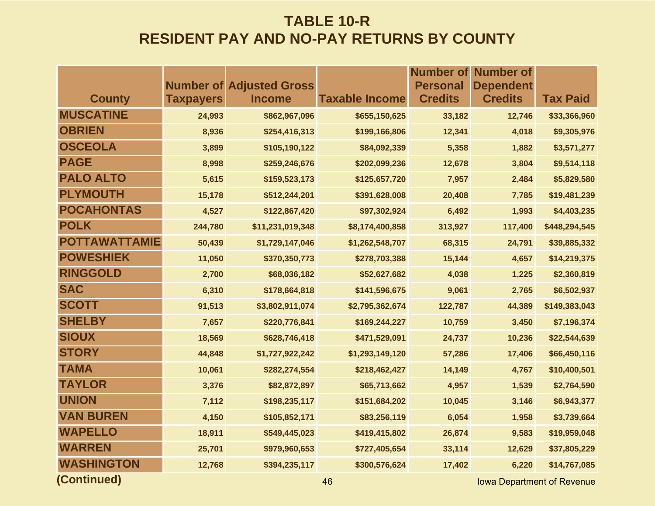|                      |                  |                                 |                       | <b>Number of</b> | <b>Number of</b> |                 |
|----------------------|------------------|---------------------------------|-----------------------|------------------|------------------|-----------------|
|                      |                  | <b>Number of Adjusted Gross</b> |                       | <b>Personal</b>  | <b>Dependent</b> |                 |
| <b>County</b>        | <b>Taxpayers</b> | <b>Income</b>                   | <b>Taxable Income</b> | <b>Credits</b>   | <b>Credits</b>   | <b>Tax Paid</b> |
| <b>MUSCATINE</b>     | 24,993           | \$862,967,096                   | \$655,150,625         | 33,182           | 12,746           | \$33,366,960    |
| <b>OBRIEN</b>        | 8,936            | \$254,416,313                   | \$199,166,806         | 12,341           | 4,018            | \$9,305,976     |
| <b>OSCEOLA</b>       | 3,899            | \$105,190,122                   | \$84,092,339          | 5,358            | 1,882            | \$3,571,277     |
| <b>PAGE</b>          | 8,998            | \$259,246,676                   | \$202,099,236         | 12,678           | 3,804            | \$9,514,118     |
| <b>PALO ALTO</b>     | 5,615            | \$159,523,173                   | \$125,657,720         | 7,957            | 2,484            | \$5,829,580     |
| <b>PLYMOUTH</b>      | 15,178           | \$512,244,201                   | \$391,628,008         | 20,408           | 7,785            | \$19,481,239    |
| <b>POCAHONTAS</b>    | 4,527            | \$122,867,420                   | \$97,302,924          | 6,492            | 1,993            | \$4,403,235     |
| <b>POLK</b>          | 244,780          | \$11,231,019,348                | \$8,174,400,858       | 313,927          | 117,400          | \$448,294,545   |
| <b>POTTAWATTAMIE</b> | 50,439           | \$1,729,147,046                 | \$1,262,548,707       | 68,315           | 24,791           | \$39,885,332    |
| <b>POWESHIEK</b>     | 11,050           | \$370,350,773                   | \$278,703,388         | 15,144           | 4,657            | \$14,219,375    |
| <b>RINGGOLD</b>      | 2,700            | \$68,036,182                    | \$52,627,682          | 4,038            | 1,225            | \$2,360,819     |
| <b>SAC</b>           | 6,310            | \$178,664,818                   | \$141,596,675         | 9,061            | 2,765            | \$6,502,937     |
| <b>SCOTT</b>         | 91,513           | \$3,802,911,074                 | \$2,795,362,674       | 122,787          | 44,389           | \$149,383,043   |
| <b>SHELBY</b>        | 7,657            | \$220,776,841                   | \$169,244,227         | 10,759           | 3,450            | \$7,196,374     |
| <b>SIOUX</b>         | 18,569           | \$628,746,418                   | \$471,529,091         | 24,737           | 10,236           | \$22,544,639    |
| <b>STORY</b>         | 44,848           | \$1,727,922,242                 | \$1,293,149,120       | 57,286           | 17,406           | \$66,450,116    |
| <b>TAMA</b>          | 10,061           | \$282,274,554                   | \$218,462,427         | 14,149           | 4,767            | \$10,400,501    |
| <b>TAYLOR</b>        | 3,376            | \$82,872,897                    | \$65,713,662          | 4,957            | 1,539            | \$2,764,590     |
| <b>UNION</b>         | 7,112            | \$198,235,117                   | \$151,684,202         | 10,045           | 3,146            | \$6,943,377     |
| <b>VAN BUREN</b>     | 4,150            | \$105,852,171                   | \$83,256,119          | 6,054            | 1,958            | \$3,739,664     |
| <b>WAPELLO</b>       | 18,911           | \$549,445,023                   | \$419,415,802         | 26,874           | 9,583            | \$19,959,048    |
| <b>WARREN</b>        | 25,701           | \$979,960,653                   | \$727,405,654         | 33,114           | 12,629           | \$37,805,229    |
| <b>WASHINGTON</b>    | 12,768           | \$394,235,117                   | \$300,576,624         | 17,402           | 6,220            | \$14,767,085    |
|                      |                  |                                 |                       |                  |                  |                 |

**(Continued)**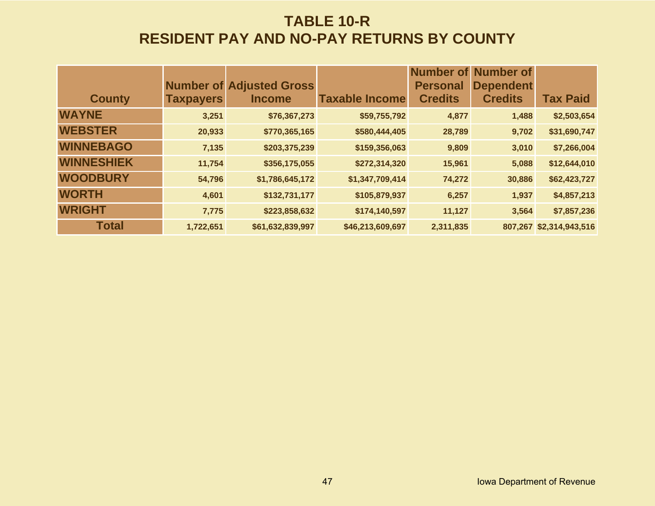|                   |                  |                                                  |                       |                                   | <b>Number of Number of</b>         |                         |
|-------------------|------------------|--------------------------------------------------|-----------------------|-----------------------------------|------------------------------------|-------------------------|
| <b>County</b>     | <b>Taxpayers</b> | <b>Number of Adjusted Gross</b><br><b>Income</b> | <b>Taxable Income</b> | <b>Personal</b><br><b>Credits</b> | <b>Dependent</b><br><b>Credits</b> | <b>Tax Paid</b>         |
| <b>WAYNE</b>      | 3,251            | \$76,367,273                                     | \$59,755,792          | 4,877                             | 1,488                              | \$2,503,654             |
|                   |                  |                                                  |                       |                                   |                                    |                         |
| <b>WEBSTER</b>    | 20,933           | \$770,365,165                                    | \$580,444,405         | 28,789                            | 9,702                              | \$31,690,747            |
| <b>WINNEBAGO</b>  | 7,135            | \$203,375,239                                    | \$159,356,063         | 9,809                             | 3,010                              | \$7,266,004             |
| <b>WINNESHIEK</b> | 11,754           | \$356,175,055                                    | \$272,314,320         | 15,961                            | 5,088                              | \$12,644,010            |
| <b>WOODBURY</b>   | 54,796           | \$1,786,645,172                                  | \$1,347,709,414       | 74,272                            | 30,886                             | \$62,423,727            |
| <b>WORTH</b>      | 4,601            | \$132,731,177                                    | \$105,879,937         | 6,257                             | 1,937                              | \$4,857,213             |
| <b>WRIGHT</b>     | 7,775            | \$223,858,632                                    | \$174,140,597         | 11,127                            | 3,564                              | \$7,857,236             |
| <b>Total</b>      | 1,722,651        | \$61,632,839,997                                 | \$46,213,609,697      | 2,311,835                         |                                    | 807,267 \$2,314,943,516 |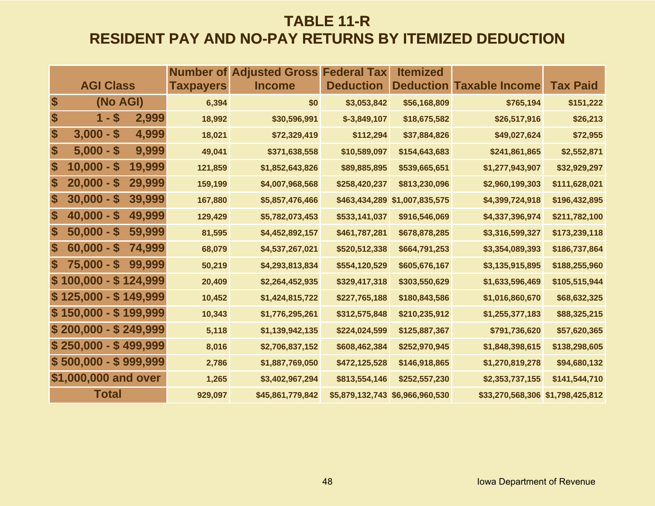### **TABLE 11-R RESIDENT PAY AND NO-PAY RETURNS BY ITEMIZED DEDUCTION**

|                   |                                           | <b>Number of</b> | <b>Adjusted Gross Federal Tax</b> |                  | <b>Itemized</b>  |                                  |                 |
|-------------------|-------------------------------------------|------------------|-----------------------------------|------------------|------------------|----------------------------------|-----------------|
|                   | <b>AGI Class</b>                          | <b>Taxpayers</b> | <b>Income</b>                     | <b>Deduction</b> | <b>Deduction</b> | <b>Taxable Income</b>            | <b>Tax Paid</b> |
| \$                | (No AGI)                                  | 6,394            | \$0                               | \$3,053,842      | \$56,168,809     | \$765,194                        | \$151,222       |
| \$                | $1 - $$<br>2,999                          | 18,992           | \$30,596,991                      | $$-3,849,107$    | \$18,675,582     | \$26,517,916                     | \$26,213        |
| \$                | $3,000 - $$<br>4,999                      | 18,021           | \$72,329,419                      | \$112,294        | \$37,884,826     | \$49,027,624                     | \$72,955        |
| \$                | 9,999<br>$5,000 - $$                      | 49,041           | \$371,638,558                     | \$10,589,097     | \$154,643,683    | \$241,861,865                    | \$2,552,871     |
| \$                | $10,000 - $$<br>19,999                    | 121,859          | \$1,852,643,826                   | \$89,885,895     | \$539,665,651    | \$1,277,943,907                  | \$32,929,297    |
| \$                | $20,000 - $$<br>29,999                    | 159,199          | \$4,007,968,568                   | \$258,420,237    | \$813,230,096    | \$2,960,199,303                  | \$111,628,021   |
| $\boldsymbol{\$}$ | $30,000 - $$<br>39,999                    | 167,880          | \$5,857,476,466                   | \$463,434,289    | \$1,007,835,575  | \$4,399,724,918                  | \$196,432,895   |
| \$                | $40,000 - $$<br>49,999                    | 129,429          | \$5,782,073,453                   | \$533,141,037    | \$916,546,069    | \$4,337,396,974                  | \$211,782,100   |
| \$                | $50,000 - $$<br>59,999                    | 81,595           | \$4,452,892,157                   | \$461,787,281    | \$678,878,285    | \$3,316,599,327                  | \$173,239,118   |
| \$                | $60,000 - $$<br>74,999                    | 68,079           | \$4,537,267,021                   | \$520,512,338    | \$664,791,253    | \$3,354,089,393                  | \$186,737,864   |
| \$                | $\boldsymbol{\$}$<br>$75,000 -$<br>99,999 | 50,219           | \$4,293,813,834                   | \$554,120,529    | \$605,676,167    | \$3,135,915,895                  | \$188,255,960   |
|                   | $$100,000 - $124,999$                     | 20,409           | \$2,264,452,935                   | \$329,417,318    | \$303,550,629    | \$1,633,596,469                  | \$105,515,944   |
|                   | $$125,000 - $149,999$                     | 10,452           | \$1,424,815,722                   | \$227,765,188    | \$180,843,586    | \$1,016,860,670                  | \$68,632,325    |
|                   | $$150,000 - $199,999$                     | 10,343           | \$1,776,295,261                   | \$312,575,848    | \$210,235,912    | \$1,255,377,183                  | \$88,325,215    |
|                   | $$200,000 - $249,999$                     | 5,118            | \$1,139,942,135                   | \$224,024,599    | \$125,887,367    | \$791,736,620                    | \$57,620,365    |
|                   | $$250,000 - $499,999$                     | 8,016            | \$2,706,837,152                   | \$608,462,384    | \$252,970,945    | \$1,848,398,615                  | \$138,298,605   |
|                   | $$500,000 - $999,999$                     | 2,786            | \$1,887,769,050                   | \$472,125,528    | \$146,918,865    | \$1,270,819,278                  | \$94,680,132    |
|                   | \$1,000,000 and over                      | 1,265            | \$3,402,967,294                   | \$813,554,146    | \$252,557,230    | \$2,353,737,155                  | \$141,544,710   |
|                   | <b>Total</b>                              | 929,097          | \$45,861,779,842                  | \$5,879,132,743  | \$6,966,960,530  | \$33,270,568,306 \$1,798,425,812 |                 |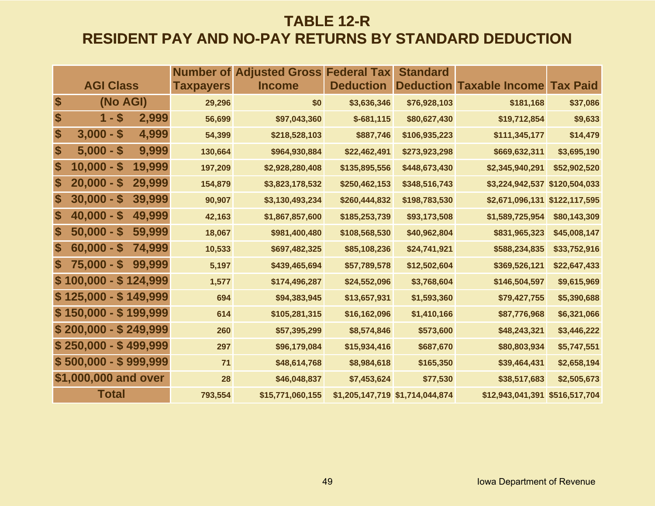### **TABLE 12-R RESIDENT PAY AND NO-PAY RETURNS BY STANDARD DEDUCTION**

|                           |                        |                  | <b>Number of Adjusted Gross Federal Tax</b> |                  | <b>Standard</b>                 |                                 |                 |
|---------------------------|------------------------|------------------|---------------------------------------------|------------------|---------------------------------|---------------------------------|-----------------|
|                           | <b>AGI Class</b>       | <b>Taxpayers</b> | <b>Income</b>                               | <b>Deduction</b> |                                 | <b>Deduction Taxable Income</b> | <b>Tax Paid</b> |
| $\boldsymbol{\$}$         | (No AGI)               | 29,296           | \$0                                         | \$3,636,346      | \$76,928,103                    | \$181,168                       | \$37,086        |
| $\boldsymbol{\$}$         | $1 - $$<br>2,999       | 56,699           | \$97,043,360                                | $$-681,115$      | \$80,627,430                    | \$19,712,854                    | \$9,633         |
| $\boldsymbol{\$}$         | $3,000 - $$<br>4,999   | 54,399           | \$218,528,103                               | \$887,746        | \$106,935,223                   | \$111,345,177                   | \$14,479        |
| \$                        | $5,000 - $$<br>9,999   | 130,664          | \$964,930,884                               | \$22,462,491     | \$273,923,298                   | \$669,632,311                   | \$3,695,190     |
| \$                        | $10,000 - $$<br>19,999 | 197,209          | \$2,928,280,408                             | \$135,895,556    | \$448,673,430                   | \$2,345,940,291                 | \$52,902,520    |
| \$                        | $20,000 - $$<br>29,999 | 154,879          | \$3,823,178,532                             | \$250,462,153    | \$348,516,743                   | \$3,224,942,537 \$120,504,033   |                 |
| $\boldsymbol{\$}$         | $30,000 - $$<br>39,999 | 90,907           | \$3,130,493,234                             | \$260,444,832    | \$198,783,530                   | \$2,671,096,131 \$122,117,595   |                 |
| $\boldsymbol{\$}$         | $40,000 - $$<br>49,999 | 42,163           | \$1,867,857,600                             | \$185,253,739    | \$93,173,508                    | \$1,589,725,954                 | \$80,143,309    |
| \$                        | $50,000 - $$<br>59,999 | 18,067           | \$981,400,480                               | \$108,568,530    | \$40,962,804                    | \$831,965,323                   | \$45,008,147    |
| \$                        | $60,000 - $$<br>74,999 | 10,533           | \$697,482,325                               | \$85,108,236     | \$24,741,921                    | \$588,234,835                   | \$33,752,916    |
| $\boldsymbol{\mathsf{s}}$ | $75,000 - $$<br>99,999 | 5,197            | \$439,465,694                               | \$57,789,578     | \$12,502,604                    | \$369,526,121                   | \$22,647,433    |
|                           | $$100,000 - $124,999$  | 1,577            | \$174,496,287                               | \$24,552,096     | \$3,768,604                     | \$146,504,597                   | \$9,615,969     |
|                           | $$125,000 - $149,999$  | 694              | \$94,383,945                                | \$13,657,931     | \$1,593,360                     | \$79,427,755                    | \$5,390,688     |
|                           | $$150,000 - $199,999$  | 614              | \$105,281,315                               | \$16,162,096     | \$1,410,166                     | \$87,776,968                    | \$6,321,066     |
|                           | $$200,000 - $249,999$  | 260              | \$57,395,299                                | \$8,574,846      | \$573,600                       | \$48,243,321                    | \$3,446,222     |
|                           | $$250,000 - $499,999$  | 297              | \$96,179,084                                | \$15,934,416     | \$687,670                       | \$80,803,934                    | \$5,747,551     |
|                           | $$500,000 - $999,999$  | 71               | \$48,614,768                                | \$8,984,618      | \$165,350                       | \$39,464,431                    | \$2,658,194     |
|                           | \$1,000,000 and over   | 28               | \$46,048,837                                | \$7,453,624      | \$77,530                        | \$38,517,683                    | \$2,505,673     |
|                           | <b>Total</b>           | 793,554          | \$15,771,060,155                            |                  | \$1,205,147,719 \$1,714,044,874 | \$12,943,041,391 \$516,517,704  |                 |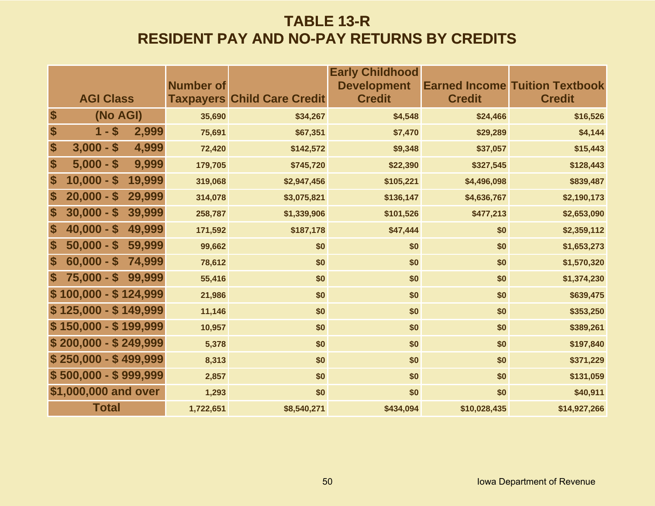### **TABLE 13-R RESIDENT PAY AND NO-PAY RETURNS BY CREDITS**

|                       |        | <b>Number of</b> |                                    | <b>Early Childhood</b><br><b>Development</b> |               | <b>Earned Income Tuition Textbook</b> |
|-----------------------|--------|------------------|------------------------------------|----------------------------------------------|---------------|---------------------------------------|
| <b>AGI Class</b>      |        |                  | <b>Taxpayers Child Care Credit</b> | <b>Credit</b>                                | <b>Credit</b> | <b>Credit</b>                         |
| \$<br>(No AGI)        |        | 35,690           | \$34,267                           | \$4,548                                      | \$24,466      | \$16,526                              |
| \$<br>$1 - $$         | 2,999  | 75,691           | \$67,351                           | \$7,470                                      | \$29,289      | \$4,144                               |
| \$<br>$3,000 - $$     | 4,999  | 72,420           | \$142,572                          | \$9,348                                      | \$37,057      | \$15,443                              |
| \$<br>$5,000 - $$     | 9,999  | 179,705          | \$745,720                          | \$22,390                                     | \$327,545     | \$128,443                             |
| \$<br>$10,000 - $$    | 19,999 | 319,068          | \$2,947,456                        | \$105,221                                    | \$4,496,098   | \$839,487                             |
| \$<br>$20,000 - $$    | 29,999 | 314,078          | \$3,075,821                        | \$136,147                                    | \$4,636,767   | \$2,190,173                           |
| \$<br>$30,000 - $$    | 39,999 | 258,787          | \$1,339,906                        | \$101,526                                    | \$477,213     | \$2,653,090                           |
| \$<br>$40,000 - $$    | 49,999 | 171,592          | \$187,178                          | \$47,444                                     | \$0           | \$2,359,112                           |
| \$<br>$50,000 - $$    | 59,999 | 99,662           | \$0                                | \$0                                          | \$0           | \$1,653,273                           |
| \$<br>$60,000 - $$    | 74,999 | 78,612           | \$0                                | \$0                                          | \$0           | \$1,570,320                           |
| \$<br>$75,000 - $$    | 99,999 | 55,416           | \$0                                | \$0                                          | \$0           | \$1,374,230                           |
| $$100,000 - $124,999$ |        | 21,986           | \$0                                | \$0                                          | \$0           | \$639,475                             |
| $$125,000 - $149,999$ |        | 11,146           | \$0                                | \$0                                          | \$0           | \$353,250                             |
| $$150,000 - $199,999$ |        | 10,957           | \$0                                | \$0                                          | \$0           | \$389,261                             |
| $$200,000 - $249,999$ |        | 5,378            | \$0                                | \$0                                          | \$0           | \$197,840                             |
| $$250,000 - $499,999$ |        | 8,313            | \$0                                | \$0                                          | \$0           | \$371,229                             |
| $$500,000 - $999,999$ |        | 2,857            | \$0                                | \$0                                          | \$0           | \$131,059                             |
| \$1,000,000 and over  |        | 1,293            | \$0                                | \$0                                          | \$0           | \$40,911                              |
| <b>Total</b>          |        | 1,722,651        | \$8,540,271                        | \$434,094                                    | \$10,028,435  | \$14,927,266                          |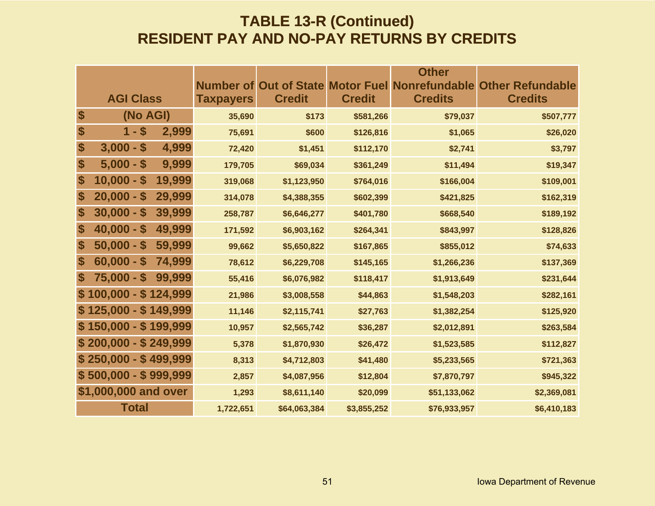#### **TABLE 13-R (Continued) RESIDENT PAY AND NO-PAY RETURNS BY CREDITS**

|                       |                        |                  |               |               | <b>Other</b>                                           |                         |
|-----------------------|------------------------|------------------|---------------|---------------|--------------------------------------------------------|-------------------------|
|                       |                        |                  |               |               | <b>Number of Out of State Motor Fuel Nonrefundable</b> | <b>Other Refundable</b> |
|                       | <b>AGI Class</b>       | <b>Taxpayers</b> | <b>Credit</b> | <b>Credit</b> | <b>Credits</b>                                         | <b>Credits</b>          |
| $\boldsymbol{\theta}$ | (No AGI)               | 35,690           | \$173         | \$581,266     | \$79,037                                               | \$507,777               |
| \$                    | $1 - $$<br>2,999       | 75,691           | \$600         | \$126,816     | \$1,065                                                | \$26,020                |
| \$                    | $3,000 - $$<br>4,999   | 72,420           | \$1,451       | \$112,170     | \$2,741                                                | \$3,797                 |
| \$                    | 9,999<br>$5,000 - $$   | 179,705          | \$69,034      | \$361,249     | \$11,494                                               | \$19,347                |
| \$                    | 19,999<br>$10,000 - $$ | 319,068          | \$1,123,950   | \$764,016     | \$166,004                                              | \$109,001               |
| \$                    | 29,999<br>$20,000 - $$ | 314,078          | \$4,388,355   | \$602,399     | \$421,825                                              | \$162,319               |
| \$                    | $30,000 - $$<br>39,999 | 258,787          | \$6,646,277   | \$401,780     | \$668,540                                              | \$189,192               |
| \$                    | $40,000 - $$<br>49,999 | 171,592          | \$6,903,162   | \$264,341     | \$843,997                                              | \$128,826               |
| \$                    | 59,999<br>$50,000 - $$ | 99,662           | \$5,650,822   | \$167,865     | \$855,012                                              | \$74,633                |
| \$                    | $60,000 - $$<br>74,999 | 78,612           | \$6,229,708   | \$145,165     | \$1,266,236                                            | \$137,369               |
| \$                    | $75,000 - $$<br>99,999 | 55,416           | \$6,076,982   | \$118,417     | \$1,913,649                                            | \$231,644               |
|                       | $100,000 - $124,999$   | 21,986           | \$3,008,558   | \$44,863      | \$1,548,203                                            | \$282,161               |
|                       | $$125,000 - $149,999$  | 11,146           | \$2,115,741   | \$27,763      | \$1,382,254                                            | \$125,920               |
|                       | $$150,000 - $199,999$  | 10,957           | \$2,565,742   | \$36,287      | \$2,012,891                                            | \$263,584               |
|                       | $$200,000 - $249,999$  | 5,378            | \$1,870,930   | \$26,472      | \$1,523,585                                            | \$112,827               |
|                       | $$250,000 - $499,999$  | 8,313            | \$4,712,803   | \$41,480      | \$5,233,565                                            | \$721,363               |
|                       | $$500,000 - $999,999$  | 2,857            | \$4,087,956   | \$12,804      | \$7,870,797                                            | \$945,322               |
|                       | \$1,000,000 and over   | 1,293            | \$8,611,140   | \$20,099      | \$51,133,062                                           | \$2,369,081             |
|                       | <b>Total</b>           | 1,722,651        | \$64,063,384  | \$3,855,252   | \$76,933,957                                           | \$6,410,183             |